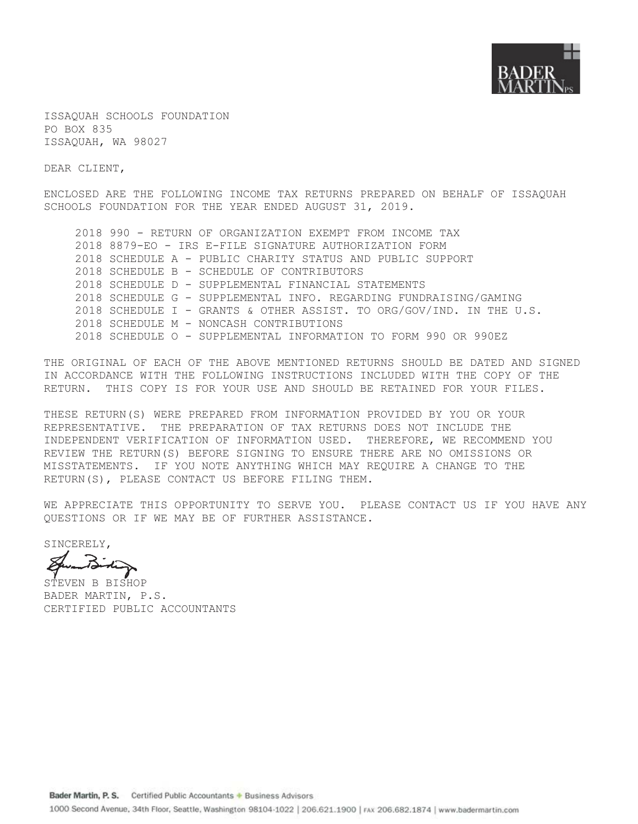

ISSAQUAH SCHOOLS FOUNDATION PO BOX 835 ISSAOUAH, WA 98027

DEAR CLIENT,

ENCLOSED ARE THE FOLLOWING INCOME TAX RETURNS PREPARED ON BEHALF OF ISSAQUAH SCHOOLS FOUNDATION FOR THE YEAR ENDED AUGUST 31, 2019.

2018 990 - RETURN OF ORGANIZATION EXEMPT FROM INCOME TAX 2018 8879-EO - IRS E-FILE SIGNATURE AUTHORIZATION FORM 2018 SCHEDULE A - PUBLIC CHARITY STATUS AND PUBLIC SUPPORT 2018 SCHEDULE B - SCHEDULE OF CONTRIBUTORS 2018 SCHEDULE D - SUPPLEMENTAL FINANCIAL STATEMENTS 2018 SCHEDULE G - SUPPLEMENTAL INFO. REGARDING FUNDRAISING/GAMING 2018 SCHEDULE I - GRANTS & OTHER ASSIST. TO ORG/GOV/IND. IN THE U.S. 2018 SCHEDULE M - NONCASH CONTRIBUTIONS 2018 SCHEDULE O - SUPPLEMENTAL INFORMATION TO FORM 990 OR 990EZ

THE ORIGINAL OF EACH OF THE ABOVE MENTIONED RETURNS SHOULD BE DATED AND SIGNED IN ACCORDANCE WITH THE FOLLOWING INSTRUCTIONS INCLUDED WITH THE COPY OF THE RETURN. THIS COPY IS FOR YOUR USE AND SHOULD BE RETAINED FOR YOUR FILES.

THESE RETURN(S) WERE PREPARED FROM INFORMATION PROVIDED BY YOU OR YOUR REPRESENTATIVE. THE PREPARATION OF TAX RETURNS DOES NOT INCLUDE THE INDEPENDENT VERIFICATION OF INFORMATION USED. THEREFORE, WE RECOMMEND YOU REVIEW THE RETURN (S) BEFORE SIGNING TO ENSURE THERE ARE NO OMISSIONS OR MISSTATEMENTS. IF YOU NOTE ANYTHING WHICH MAY REQUIRE A CHANGE TO THE RETURN(S), PLEASE CONTACT US BEFORE FILING THEM.

WE APPRECIATE THIS OPPORTUNITY TO SERVE YOU. PLEASE CONTACT US IF YOU HAVE ANY OUESTIONS OR IF WE MAY BE OF FURTHER ASSISTANCE.

SINCERELY,

STEVEN B BISHOP BADER MARTIN, P.S. CERTIFIED PUBLIC ACCOUNTANTS

Bader Martin, P. S. Certified Public Accountants + Business Advisors

1000 Second Avenue, 34th Floor, Seattle, Washington 98104-1022 | 206.621.1900 | FAX 206.682.1874 | www.badermartin.com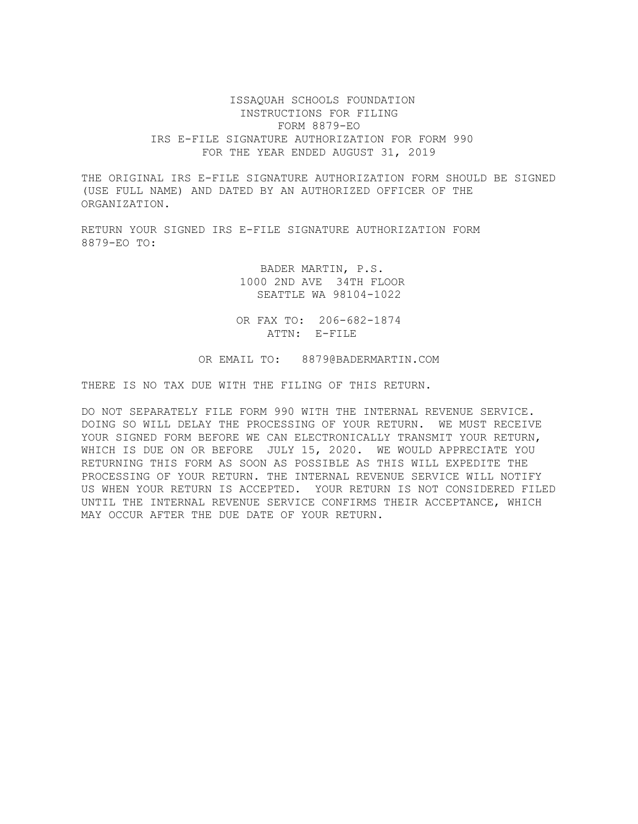# ISSAQUAH SCHOOLS FOUNDATION INSTRUCTIONS FOR FILING FORM 8879-EO IRS E-FILE SIGNATURE AUTHORIZATION FOR FORM 990 FOR THE YEAR ENDED AUGUST 31, 2019

THE ORIGINAL IRS E-FILE SIGNATURE AUTHORIZATION FORM SHOULD BE SIGNED (USE FULL NAME) AND DATED BY AN AUTHORIZED OFFICER OF THE ORGANIZATION.

RETURN YOUR SIGNED IRS E-FILE SIGNATURE AUTHORIZATION FORM 8879-EO TO:

> BADER MARTIN, P.S. 1000 2ND AVE 34TH FLOOR SEATTLE WA 98104-1022

OR FAX TO: 206-682-1874 ATTN: E-FILE

OR EMAIL TO: 8879@BADERMARTIN.COM

THERE IS NO TAX DUE WITH THE FILING OF THIS RETURN.

DO NOT SEPARATELY FILE FORM 990 WITH THE INTERNAL REVENUE SERVICE. DOING SO WILL DELAY THE PROCESSING OF YOUR RETURN. WE MUST RECEIVE YOUR SIGNED FORM BEFORE WE CAN ELECTRONICALLY TRANSMIT YOUR RETURN, WHICH IS DUE ON OR BEFORE JULY 15, 2020. WE WOULD APPRECIATE YOU RETURNING THIS FORM AS SOON AS POSSIBLE AS THIS WILL EXPEDITE THE PROCESSING OF YOUR RETURN. THE INTERNAL REVENUE SERVICE WILL NOTIFY US WHEN YOUR RETURN IS ACCEPTED. YOUR RETURN IS NOT CONSIDERED FILED UNTIL THE INTERNAL REVENUE SERVICE CONFIRMS THEIR ACCEPTANCE, WHICH MAY OCCUR AFTER THE DUE DATE OF YOUR RETURN.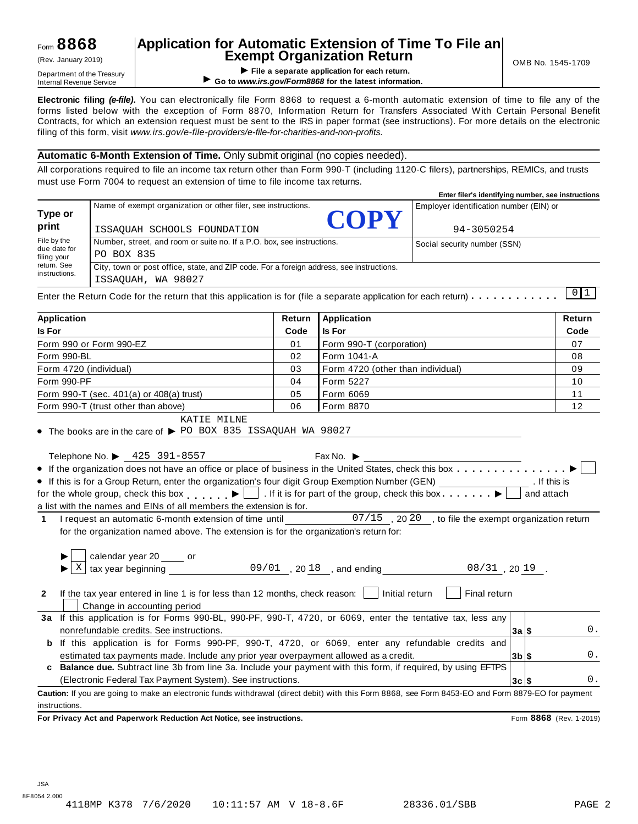# **Application for Automatic Extension of Time To File an Exempt Organization Return** (Rev. January 2019) OMB No. 1545-1709

**EXEMPL OF GET APPLY THE APPLY THE APPLY THE APPLY THE APPLY THE APPLY THE APPLY THE APPLY THE APPLY THE APPLY THE APPLY THE APPLY THE APPLY THE APPLY THE APPLY THE APPLY THE APPLY THE APPLY THE APPLY THE APPLY THE APPLY T** ▶ Go to www.irs.gov/Form8868 for the latest information.

**Electronic filing** *(e-file)***.** You can electronically file Form 8868 to request a 6-month automatic extension of time to file any of the forms listed below with the exception of Form 8870, Information Return for Transfers Associated With Certain Personal Benefit Contracts, for which an extension request must be sent to the IRS in paper format (see instructions). For more details on the electronic filing of this form, visit *www.irs.gov/e-file-providers/e-file-for-charities-and-non-profits.*

## **Automatic 6-Month Extension of Time.** Only submit original (no copies needed).

All corporations required to file an income tax return other than Form 990-T (including 1120-C filers), partnerships, REMICs, and trusts must use Form 7004 to request an extension of time to file income tax returns.

|                             |                                                                                          | Enter filer's identifying number, see instructions |  |  |  |  |  |
|-----------------------------|------------------------------------------------------------------------------------------|----------------------------------------------------|--|--|--|--|--|
| Type or                     | Name of exempt organization or other filer, see instructions.<br>COPY                    | Employer identification number (EIN) or            |  |  |  |  |  |
| print                       | ISSAOUAH SCHOOLS FOUNDATION                                                              | 94-3050254                                         |  |  |  |  |  |
| File by the                 | Number, street, and room or suite no. If a P.O. box, see instructions.                   | Social security number (SSN)                       |  |  |  |  |  |
| due date for<br>filing your | PO BOX 835                                                                               |                                                    |  |  |  |  |  |
| return. See                 | City, town or post office, state, and ZIP code. For a foreign address, see instructions. |                                                    |  |  |  |  |  |
| instructions.               | ISSAOUAH, WA 98027                                                                       |                                                    |  |  |  |  |  |
|                             |                                                                                          |                                                    |  |  |  |  |  |

| <b>Application</b>                                                                                                                                 | Return | <b>Application</b>                | Return                  |  |  |  |  |
|----------------------------------------------------------------------------------------------------------------------------------------------------|--------|-----------------------------------|-------------------------|--|--|--|--|
| <b>Is For</b>                                                                                                                                      | Code   | <b>Is For</b><br>Code             |                         |  |  |  |  |
| Form 990 or Form 990-EZ                                                                                                                            | 01     | Form 990-T (corporation)<br>07    |                         |  |  |  |  |
| Form 990-BL                                                                                                                                        | 02     | Form 1041-A                       | 08                      |  |  |  |  |
| Form 4720 (individual)                                                                                                                             | 03     | Form 4720 (other than individual) | 09                      |  |  |  |  |
| Form 990-PF                                                                                                                                        | 04     | Form 5227                         | 10                      |  |  |  |  |
| Form 990-T (sec. 401(a) or 408(a) trust)                                                                                                           | 05     | Form 6069                         | 11                      |  |  |  |  |
| Form 990-T (trust other than above)                                                                                                                | 06     | Form 8870                         | 12                      |  |  |  |  |
| • The books are in the care of $\triangleright$ PO BOX 835 ISSAQUAH WA 98027<br>Telephone No. ▶ 425 391-8557                                       |        | Fax No. $\blacktriangleright$     |                         |  |  |  |  |
| • If the organization does not have an office or place of business in the United States, check this box                                            |        |                                   |                         |  |  |  |  |
| • If this is for a Group Return, enter the organization's four digit Group Exemption Number (GEN)                                                  |        |                                   | . If this is            |  |  |  |  |
| for the whole group, check this box $\Box$ . If it is for part of the group, check this box $\Box$                                                 |        |                                   | and attach              |  |  |  |  |
| a list with the names and EINs of all members the extension is for.                                                                                |        |                                   |                         |  |  |  |  |
| 1 I request an automatic 6-month extension of time until ______________07/15, 2020, to file the exempt organization return                         |        |                                   |                         |  |  |  |  |
| for the organization named above. The extension is for the organization's return for:                                                              |        |                                   |                         |  |  |  |  |
| Χ                                                                                                                                                  |        |                                   |                         |  |  |  |  |
| If the tax year entered in line 1 is for less than 12 months, check reason: $\Box$ Initial return<br>$\mathbf{2}$<br>Change in accounting period   |        | Final return                      |                         |  |  |  |  |
| 3a If this application is for Forms 990-BL, 990-PF, 990-T, 4720, or 6069, enter the tentative tax, less any                                        |        |                                   |                         |  |  |  |  |
| nonrefundable credits. See instructions.                                                                                                           |        |                                   | 0.<br>3a S              |  |  |  |  |
| <b>b</b> If this application is for Forms 990-PF, 990-T, 4720, or 6069, enter any refundable credits and                                           |        |                                   |                         |  |  |  |  |
| estimated tax payments made. Include any prior year overpayment allowed as a credit.                                                               |        |                                   | $0$ .<br>$3b$ \$        |  |  |  |  |
| c Balance due. Subtract line 3b from line 3a. Include your payment with this form, if required, by using EFTPS                                     |        |                                   |                         |  |  |  |  |
| (Electronic Federal Tax Payment System). See instructions.                                                                                         |        |                                   | 0.<br>3c S              |  |  |  |  |
| Caution: If you are going to make an electronic funds withdrawal (direct debit) with this Form 8868, see Form 8453-EO and Form 8879-EO for payment |        |                                   |                         |  |  |  |  |
| instructions.                                                                                                                                      |        |                                   |                         |  |  |  |  |
| For Privacy Act and Paperwork Reduction Act Notice, see instructions.                                                                              |        |                                   | Form 8868 (Rev. 1-2019) |  |  |  |  |

JSA 8F8054 2.000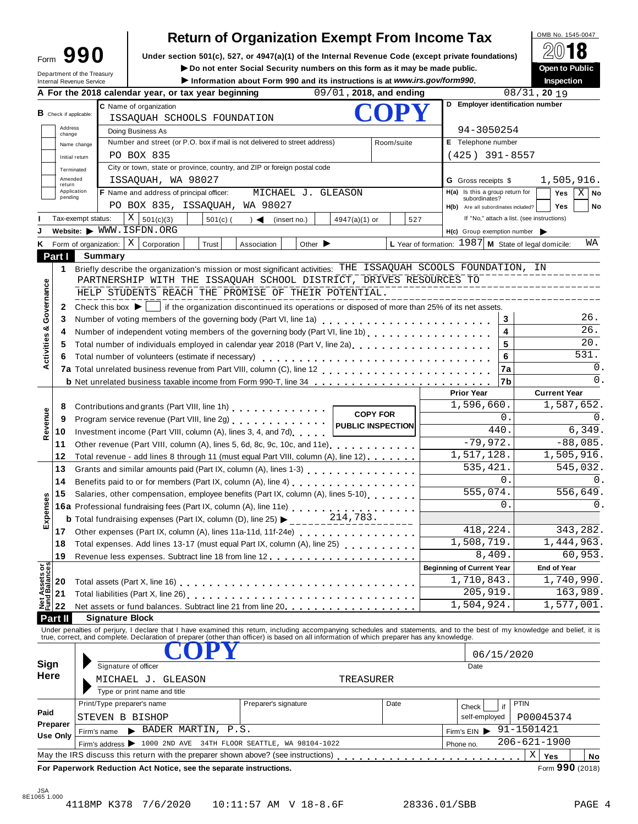| Form | 90                                                            |
|------|---------------------------------------------------------------|
|      | Department of the Treasury<br><b>Internal Revenue Service</b> |

A For the 2018 calendar year, or tax year beginning

# **Return of Organization Exempt From Income Tax**

**Under section 501(c), 527, or 4947(a)(1) of the Internal Revenue Code (except private foundations)** Form **990** À¾µ¼

▶ **Do** not enter Social Security numbers on this form as it may be made public.<br>▶ Information about Form 990 and its instructions is at www.irs.gov/form990.

| mpers on this form as it may be made public.<br>d its instructions is at www.irs.gov/form990. | <b>UNGLI LOT UNITS</b><br><b>Inspection</b> |  |  |  |  |
|-----------------------------------------------------------------------------------------------|---------------------------------------------|--|--|--|--|
| $09/01$ , 2018, and ending                                                                    | $08/31$ , 20 19                             |  |  |  |  |
| <b>COPY</b>                                                                                   | <b>Employer identification number</b>       |  |  |  |  |

|                                        | <b>B</b> Check if applicable: |                                                                                                                     |                                                                          | C Name of organization                                                                                                                                                                                                                                                                                                   |            |                      |                                                                    |                 |            |     | D Employer identification number                       |                                        |                                            |                     |                 |  |
|----------------------------------------|-------------------------------|---------------------------------------------------------------------------------------------------------------------|--------------------------------------------------------------------------|--------------------------------------------------------------------------------------------------------------------------------------------------------------------------------------------------------------------------------------------------------------------------------------------------------------------------|------------|----------------------|--------------------------------------------------------------------|-----------------|------------|-----|--------------------------------------------------------|----------------------------------------|--------------------------------------------|---------------------|-----------------|--|
|                                        |                               |                                                                                                                     |                                                                          | ISSAQUAH SCHOOLS FOUNDATION                                                                                                                                                                                                                                                                                              |            |                      |                                                                    |                 |            |     |                                                        |                                        |                                            |                     |                 |  |
|                                        | Address<br>change             |                                                                                                                     |                                                                          | Doing Business As                                                                                                                                                                                                                                                                                                        |            |                      |                                                                    |                 |            |     | 94-3050254                                             |                                        |                                            |                     |                 |  |
|                                        |                               | Name change                                                                                                         |                                                                          | Number and street (or P.O. box if mail is not delivered to street address)                                                                                                                                                                                                                                               |            |                      |                                                                    |                 | Room/suite |     |                                                        | E Telephone number<br>$(425)$ 391-8557 |                                            |                     |                 |  |
|                                        |                               | Initial return                                                                                                      |                                                                          | PO BOX 835                                                                                                                                                                                                                                                                                                               |            |                      |                                                                    |                 |            |     |                                                        |                                        |                                            |                     |                 |  |
|                                        |                               | Terminated                                                                                                          |                                                                          | City or town, state or province, country, and ZIP or foreign postal code                                                                                                                                                                                                                                                 |            |                      |                                                                    |                 |            |     |                                                        |                                        |                                            |                     |                 |  |
|                                        | Amended<br>return             |                                                                                                                     |                                                                          | ISSAQUAH, WA 98027                                                                                                                                                                                                                                                                                                       |            |                      |                                                                    |                 |            |     | 1,505,916.<br><b>G</b> Gross receipts \$               |                                        |                                            |                     |                 |  |
|                                        | pending                       | Application                                                                                                         |                                                                          | <b>F</b> Name and address of principal officer:                                                                                                                                                                                                                                                                          |            |                      | MICHAEL J. GLEASON                                                 |                 |            |     | H(a) Is this a group return for<br>subordinates?       |                                        |                                            | <b>Yes</b>          | $X \mid No$     |  |
|                                        |                               |                                                                                                                     |                                                                          | PO BOX 835, ISSAQUAH, WA 98027                                                                                                                                                                                                                                                                                           |            |                      |                                                                    |                 |            |     | H(b) Are all subordinates included?                    |                                        |                                            | <b>Yes</b>          | No              |  |
|                                        |                               | Tax-exempt status:                                                                                                  |                                                                          | $X  _{501(c)(3)}$                                                                                                                                                                                                                                                                                                        | $501(c)$ ( | $\rightarrow$        | (insert no.)                                                       | $4947(a)(1)$ or |            | 527 |                                                        |                                        | If "No," attach a list. (see instructions) |                     |                 |  |
|                                        |                               |                                                                                                                     |                                                                          | Website: $\blacktriangleright$ WWW.ISFDN.ORG                                                                                                                                                                                                                                                                             |            |                      |                                                                    |                 |            |     | $H(c)$ Group exemption number $\triangleright$         |                                        |                                            |                     |                 |  |
| κ                                      |                               |                                                                                                                     |                                                                          | Form of organization: $\mid X \mid$ Corporation                                                                                                                                                                                                                                                                          | Trust      | Association          | Other $\blacktriangleright$                                        |                 |            |     | L Year of formation: $1987$ M State of legal domicile: |                                        |                                            |                     | WA              |  |
|                                        | Part I                        |                                                                                                                     | <b>Summary</b>                                                           |                                                                                                                                                                                                                                                                                                                          |            |                      |                                                                    |                 |            |     |                                                        |                                        |                                            |                     |                 |  |
|                                        | 1                             |                                                                                                                     |                                                                          | Briefly describe the organization's mission or most significant activities: THE ISSAQUAH SCOOLS FOUNDATION, IN                                                                                                                                                                                                           |            |                      |                                                                    |                 |            |     |                                                        |                                        |                                            |                     |                 |  |
|                                        |                               |                                                                                                                     |                                                                          | PARTNERSHIP WITH THE ISSAQUAH SCHOOL DISTRICT, DRIVES RESOURCES TO                                                                                                                                                                                                                                                       |            |                      |                                                                    |                 |            |     |                                                        |                                        |                                            |                     |                 |  |
| Governance                             |                               |                                                                                                                     |                                                                          | HELP STUDENTS REACH THE PROMISE OF THEIR POTENTIAL.                                                                                                                                                                                                                                                                      |            |                      |                                                                    |                 |            |     |                                                        |                                        |                                            |                     |                 |  |
|                                        | 2                             |                                                                                                                     |                                                                          | Check this box $\blacktriangleright$   if the organization discontinued its operations or disposed of more than 25% of its net assets.                                                                                                                                                                                   |            |                      |                                                                    |                 |            |     |                                                        |                                        |                                            |                     |                 |  |
|                                        | 3                             |                                                                                                                     |                                                                          | Number of voting members of the governing body (Part VI, line 1a)                                                                                                                                                                                                                                                        |            |                      |                                                                    |                 |            |     |                                                        | 3                                      |                                            |                     | 26.             |  |
|                                        | 4                             |                                                                                                                     |                                                                          | Number of independent voting members of the governing body (Part VI, line 1b)                                                                                                                                                                                                                                            |            |                      |                                                                    |                 |            |     |                                                        | $\overline{\mathbf{4}}$                |                                            |                     | 26.             |  |
|                                        | 5                             |                                                                                                                     |                                                                          | Total number of individuals employed in calendar year 2018 (Part V, line 2a)<br>The 2a)                                                                                                                                                                                                                                  |            |                      |                                                                    |                 |            |     |                                                        | 5                                      |                                            |                     | 20.             |  |
| Activities &                           | 6                             |                                                                                                                     |                                                                          |                                                                                                                                                                                                                                                                                                                          |            |                      |                                                                    |                 |            |     |                                                        | 6                                      |                                            |                     | 531.            |  |
|                                        |                               |                                                                                                                     |                                                                          |                                                                                                                                                                                                                                                                                                                          |            |                      |                                                                    |                 |            |     |                                                        | 7a                                     |                                            |                     | 0.              |  |
|                                        |                               |                                                                                                                     |                                                                          | b Net unrelated business taxable income from Form 990-T, line 34                                                                                                                                                                                                                                                         |            |                      |                                                                    |                 |            |     |                                                        | 7b                                     |                                            |                     | 0.              |  |
|                                        |                               |                                                                                                                     |                                                                          |                                                                                                                                                                                                                                                                                                                          |            |                      |                                                                    |                 |            |     | <b>Prior Year</b>                                      |                                        |                                            | <b>Current Year</b> |                 |  |
|                                        | 8                             |                                                                                                                     |                                                                          |                                                                                                                                                                                                                                                                                                                          |            |                      |                                                                    |                 |            |     | 1,596,660.                                             |                                        |                                            | 1,587,652.          |                 |  |
| Revenue                                | 9                             | Contributions and grants (Part VIII, line 1h) [19] Contributions and grants (Part VIII, line 1h)<br><b>COPY FOR</b> |                                                                          |                                                                                                                                                                                                                                                                                                                          |            |                      |                                                                    |                 |            | 0.  |                                                        |                                        |                                            | $0$ .               |                 |  |
|                                        | 10                            |                                                                                                                     | Investment income (Part VIII, column (A), lines 3, 4, and 7d)            |                                                                                                                                                                                                                                                                                                                          |            |                      |                                                                    |                 |            |     |                                                        |                                        | 6,349.                                     |                     |                 |  |
|                                        |                               |                                                                                                                     | Other revenue (Part VIII, column (A), lines 5, 6d, 8c, 9c, 10c, and 11e) |                                                                                                                                                                                                                                                                                                                          |            |                      |                                                                    |                 |            |     |                                                        | 440.<br>$-79,972.$                     | $-88,085.$                                 |                     |                 |  |
|                                        | 11                            | Total revenue - add lines 8 through 11 (must equal Part VIII, column (A), line 12)                                  |                                                                          |                                                                                                                                                                                                                                                                                                                          |            |                      |                                                                    |                 |            |     | 1,517,128.                                             | 1,505,916.                             |                                            |                     |                 |  |
|                                        | 12                            |                                                                                                                     |                                                                          |                                                                                                                                                                                                                                                                                                                          |            |                      |                                                                    |                 |            |     | 535,421.                                               |                                        |                                            | 545,032.            |                 |  |
|                                        | 13                            |                                                                                                                     |                                                                          |                                                                                                                                                                                                                                                                                                                          |            |                      |                                                                    |                 |            |     |                                                        | $\Omega$ .                             |                                            |                     | 0.              |  |
|                                        | 14                            |                                                                                                                     |                                                                          | Benefits paid to or for members (Part IX, column (A), line 4)                                                                                                                                                                                                                                                            |            |                      |                                                                    |                 |            |     |                                                        | 555,074.                               | 556,649.                                   |                     |                 |  |
| Expenses                               | 15                            |                                                                                                                     |                                                                          | Salaries, other compensation, employee benefits (Part IX, column (A), lines 5-10)                                                                                                                                                                                                                                        |            |                      |                                                                    |                 |            |     |                                                        | $\Omega$                               |                                            |                     | $\Omega$ .      |  |
|                                        |                               |                                                                                                                     |                                                                          |                                                                                                                                                                                                                                                                                                                          |            |                      |                                                                    | 214,783.        |            |     |                                                        |                                        |                                            |                     |                 |  |
|                                        |                               |                                                                                                                     |                                                                          | <b>b</b> Total fundraising expenses (Part IX, column (D), line 25) $\blacktriangleright$                                                                                                                                                                                                                                 |            |                      |                                                                    |                 |            |     |                                                        | 418,224.                               | 343,282.                                   |                     |                 |  |
|                                        | 17                            |                                                                                                                     |                                                                          | Other expenses (Part IX, column (A), lines 11a-11d, 11f-24e)                                                                                                                                                                                                                                                             |            |                      |                                                                    |                 |            |     |                                                        |                                        |                                            |                     |                 |  |
|                                        | 18                            |                                                                                                                     |                                                                          | Total expenses. Add lines 13-17 (must equal Part IX, column (A), line 25)                                                                                                                                                                                                                                                |            |                      |                                                                    |                 |            |     | 1,508,719.                                             |                                        |                                            | 1,444,963.          |                 |  |
|                                        | 19                            |                                                                                                                     |                                                                          |                                                                                                                                                                                                                                                                                                                          |            |                      |                                                                    |                 |            |     |                                                        | 8,409.                                 |                                            |                     | 60,953.         |  |
| <b>Net Assets or<br/>Fund Balances</b> |                               |                                                                                                                     |                                                                          |                                                                                                                                                                                                                                                                                                                          |            |                      |                                                                    |                 |            |     | <b>Beginning of Current Year</b>                       |                                        |                                            | End of Year         |                 |  |
|                                        | 20                            |                                                                                                                     |                                                                          | Total assets (Part X, line 16)                                                                                                                                                                                                                                                                                           | <u>.</u>   |                      |                                                                    |                 |            |     | 1,710,843.                                             |                                        |                                            | 1,740,990.          |                 |  |
|                                        | 21                            |                                                                                                                     |                                                                          | Total liabilities (Part X, line 26)<br>1                                                                                                                                                                                                                                                                                 |            |                      |                                                                    |                 |            |     |                                                        | 205,919.                               |                                            | 163,989.            |                 |  |
|                                        | 22                            |                                                                                                                     |                                                                          | Net assets or fund balances. Subtract line 21 from line 20                                                                                                                                                                                                                                                               |            |                      |                                                                    |                 |            |     | 1,504,924.                                             |                                        |                                            | 1,577,001.          |                 |  |
|                                        | Part II                       |                                                                                                                     |                                                                          | <b>Signature Block</b>                                                                                                                                                                                                                                                                                                   |            |                      |                                                                    |                 |            |     |                                                        |                                        |                                            |                     |                 |  |
|                                        |                               |                                                                                                                     |                                                                          | Under penalties of perjury, I declare that I have examined this return, including accompanying schedules and statements, and to the best of my knowledge and belief, it is<br>true, correct, and complete. Declaration of preparer (other than officer) is based on all information of which preparer has any knowledge. |            |                      |                                                                    |                 |            |     |                                                        |                                        |                                            |                     |                 |  |
|                                        |                               |                                                                                                                     |                                                                          |                                                                                                                                                                                                                                                                                                                          |            |                      |                                                                    |                 |            |     |                                                        |                                        |                                            |                     |                 |  |
| Sign                                   |                               |                                                                                                                     |                                                                          | Signature of officer                                                                                                                                                                                                                                                                                                     |            |                      |                                                                    |                 |            |     |                                                        | 06/15/2020                             |                                            |                     |                 |  |
| <b>Here</b>                            |                               |                                                                                                                     |                                                                          |                                                                                                                                                                                                                                                                                                                          |            |                      |                                                                    |                 |            |     | Date                                                   |                                        |                                            |                     |                 |  |
|                                        |                               |                                                                                                                     |                                                                          | MICHAEL J. GLEASON                                                                                                                                                                                                                                                                                                       |            |                      |                                                                    | TREASURER       |            |     |                                                        |                                        |                                            |                     |                 |  |
|                                        |                               |                                                                                                                     |                                                                          | Type or print name and title                                                                                                                                                                                                                                                                                             |            |                      |                                                                    |                 |            |     |                                                        |                                        |                                            |                     |                 |  |
| Paid                                   |                               |                                                                                                                     |                                                                          | Print/Type preparer's name                                                                                                                                                                                                                                                                                               |            | Preparer's signature |                                                                    |                 | Date       |     | Check                                                  | if                                     | <b>PTIN</b>                                |                     |                 |  |
|                                        | Preparer                      |                                                                                                                     |                                                                          | STEVEN B BISHOP                                                                                                                                                                                                                                                                                                          |            |                      |                                                                    |                 |            |     | self-employed                                          |                                        | P00045374                                  |                     |                 |  |
|                                        | Use Only                      |                                                                                                                     | Firm's name                                                              | BADER MARTIN, P.S.                                                                                                                                                                                                                                                                                                       |            |                      |                                                                    |                 |            |     | Firm's $EIN$                                           |                                        | 91-1501421                                 |                     |                 |  |
|                                        |                               |                                                                                                                     |                                                                          | Firm's address > 1000 2ND AVE 34TH FLOOR SEATTLE, WA 98104-1022                                                                                                                                                                                                                                                          |            |                      |                                                                    |                 |            |     | Phone no.                                              |                                        | $206 - 621 - 1900$                         |                     |                 |  |
|                                        |                               |                                                                                                                     |                                                                          | May the IRS discuss this return with the preparer shown above? (see instructions)                                                                                                                                                                                                                                        |            |                      |                                                                    |                 |            |     |                                                        |                                        | Χ<br>Yes                                   |                     | No              |  |
|                                        |                               |                                                                                                                     |                                                                          |                                                                                                                                                                                                                                                                                                                          |            |                      | For Paperwork Reduction Act Notice, see the separate instructions. |                 |            |     |                                                        |                                        |                                            |                     | Form 990 (2018) |  |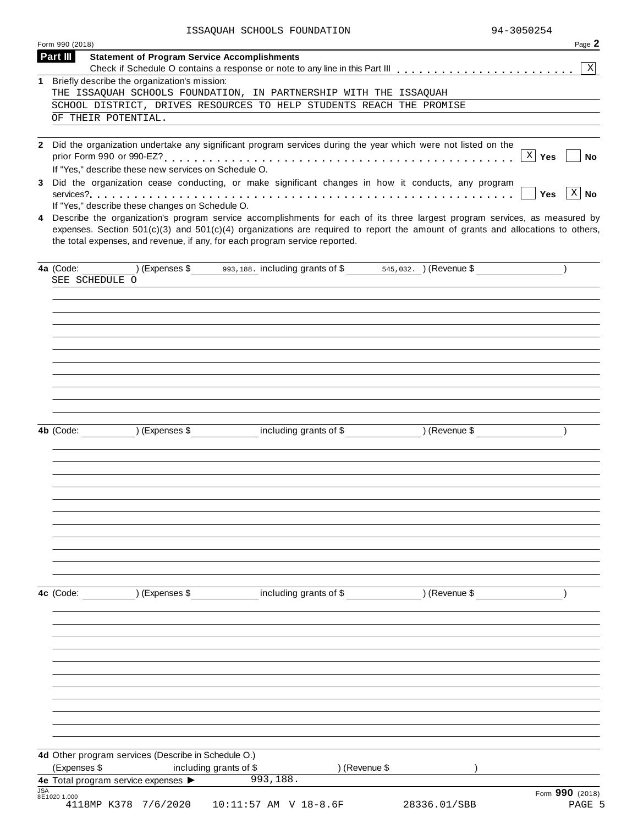ISSAQUAH SCHOOLS FOUNDATION 94-3050254

| Form 990 (2018) |                                                                                                                                                                                                                                                                                                                                                                                                      | Page 2                                                               |
|-----------------|------------------------------------------------------------------------------------------------------------------------------------------------------------------------------------------------------------------------------------------------------------------------------------------------------------------------------------------------------------------------------------------------------|----------------------------------------------------------------------|
| Part III        | <b>Statement of Program Service Accomplishments</b>                                                                                                                                                                                                                                                                                                                                                  | $\mathbf{X}$                                                         |
|                 | 1 Briefly describe the organization's mission:                                                                                                                                                                                                                                                                                                                                                       |                                                                      |
|                 | THE ISSAQUAH SCHOOLS FOUNDATION, IN PARTNERSHIP WITH THE ISSAQUAH                                                                                                                                                                                                                                                                                                                                    |                                                                      |
|                 | SCHOOL DISTRICT, DRIVES RESOURCES TO HELP STUDENTS REACH THE PROMISE                                                                                                                                                                                                                                                                                                                                 |                                                                      |
|                 | OF THEIR POTENTIAL.                                                                                                                                                                                                                                                                                                                                                                                  |                                                                      |
| 3               | 2 Did the organization undertake any significant program services during the year which were not listed on the<br>If "Yes," describe these new services on Schedule O.<br>Did the organization cease conducting, or make significant changes in how it conducts, any program                                                                                                                         | $X \mid Y$ es<br>No<br>$\left\lceil x \right\rceil$ No<br><b>Yes</b> |
|                 | If "Yes," describe these changes on Schedule O.<br>4 Describe the organization's program service accomplishments for each of its three largest program services, as measured by<br>expenses. Section $501(c)(3)$ and $501(c)(4)$ organizations are required to report the amount of grants and allocations to others,<br>the total expenses, and revenue, if any, for each program service reported. |                                                                      |
| 4a (Code:       | $(1.5)$ (Expenses \$93,188. including grants of \$58,032. ) (Revenue \$<br>SEE SCHEDULE O                                                                                                                                                                                                                                                                                                            |                                                                      |
|                 |                                                                                                                                                                                                                                                                                                                                                                                                      |                                                                      |
|                 | 4b (Code: ) (Expenses \$ including grants of \$ ) (Revenue \$                                                                                                                                                                                                                                                                                                                                        |                                                                      |
|                 | 4c (Code: ) (Expenses \$ including grants of \$ ) (Revenue \$                                                                                                                                                                                                                                                                                                                                        |                                                                      |
|                 |                                                                                                                                                                                                                                                                                                                                                                                                      |                                                                      |
| (Expenses \$    | 4d Other program services (Describe in Schedule O.)<br>including grants of \$<br>) (Revenue \$                                                                                                                                                                                                                                                                                                       |                                                                      |
| <b>JSA</b>      | 993,188.<br>4e Total program service expenses                                                                                                                                                                                                                                                                                                                                                        | Form 990 (2018)                                                      |
| 8E1020 1.000    | 4118MP K378 7/6/2020<br>10:11:57 AM V 18-8.6F<br>28336.01/SBB                                                                                                                                                                                                                                                                                                                                        | PAGE 5                                                               |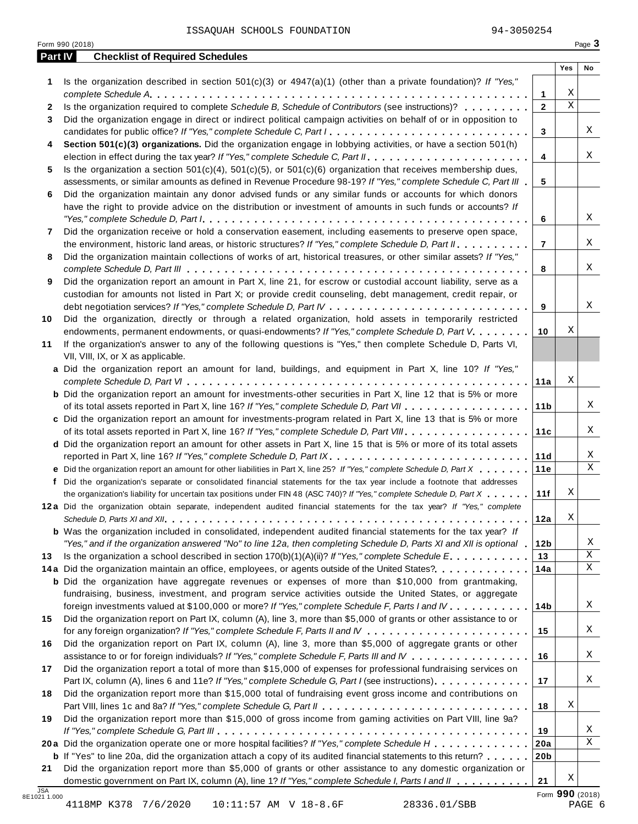ISSAQUAH SCHOOLS FOUNDATION 94-3050254

| Part IV      | <b>Checklist of Required Schedules</b>                                                                                  |                 |             |    |
|--------------|-------------------------------------------------------------------------------------------------------------------------|-----------------|-------------|----|
|              |                                                                                                                         |                 | Yes         | No |
| 1            | Is the organization described in section $501(c)(3)$ or $4947(a)(1)$ (other than a private foundation)? If "Yes,"       |                 |             |    |
|              |                                                                                                                         | 1               | Χ           |    |
| $\mathbf{2}$ | Is the organization required to complete Schedule B, Schedule of Contributors (see instructions)?                       | $\mathbf{2}$    | $\mathbf X$ |    |
| 3            | Did the organization engage in direct or indirect political campaign activities on behalf of or in opposition to        |                 |             |    |
|              | candidates for public office? If "Yes," complete Schedule C, Part I.                                                    | 3               |             | Χ  |
| 4            | Section 501(c)(3) organizations. Did the organization engage in lobbying activities, or have a section 501(h)           |                 |             |    |
|              |                                                                                                                         | 4               |             | X  |
| 5            | Is the organization a section $501(c)(4)$ , $501(c)(5)$ , or $501(c)(6)$ organization that receives membership dues,    |                 |             |    |
|              | assessments, or similar amounts as defined in Revenue Procedure 98-19? If "Yes," complete Schedule C, Part III          | 5               |             |    |
| 6            | Did the organization maintain any donor advised funds or any similar funds or accounts for which donors                 |                 |             |    |
|              | have the right to provide advice on the distribution or investment of amounts in such funds or accounts? If             |                 |             | X  |
|              |                                                                                                                         | 6               |             |    |
| 7            | Did the organization receive or hold a conservation easement, including easements to preserve open space,               |                 |             | Χ  |
|              | the environment, historic land areas, or historic structures? If "Yes," complete Schedule D, Part II.                   | $\overline{7}$  |             |    |
| 8            | Did the organization maintain collections of works of art, historical treasures, or other similar assets? If "Yes,"     |                 |             | Χ  |
|              | Did the organization report an amount in Part X, line 21, for escrow or custodial account liability, serve as a         | 8               |             |    |
| 9            | custodian for amounts not listed in Part X; or provide credit counseling, debt management, credit repair, or            |                 |             |    |
|              |                                                                                                                         | 9               |             | X  |
| 10           | Did the organization, directly or through a related organization, hold assets in temporarily restricted                 |                 |             |    |
|              | endowments, permanent endowments, or quasi-endowments? If "Yes," complete Schedule D, Part V.                           | 10              | Χ           |    |
| 11           | If the organization's answer to any of the following questions is "Yes," then complete Schedule D, Parts VI,            |                 |             |    |
|              | VII, VIII, IX, or X as applicable.                                                                                      |                 |             |    |
|              | a Did the organization report an amount for land, buildings, and equipment in Part X, line 10? If "Yes,"                |                 |             |    |
|              |                                                                                                                         | 11a             | Χ           |    |
|              | <b>b</b> Did the organization report an amount for investments-other securities in Part X, line 12 that is 5% or more   |                 |             |    |
|              |                                                                                                                         | 11 <sub>b</sub> |             | Χ  |
|              | c Did the organization report an amount for investments-program related in Part X, line 13 that is 5% or more           |                 |             |    |
|              |                                                                                                                         | 11c             |             | Χ  |
|              | d Did the organization report an amount for other assets in Part X, line 15 that is 5% or more of its total assets      |                 |             |    |
|              | reported in Part X, line 16? If "Yes," complete Schedule D, Part IX.                                                    | 11d             |             | Χ  |
|              | e Did the organization report an amount for other liabilities in Part X, line 25? If "Yes," complete Schedule D, Part X | 11e             |             | X  |
| f            | Did the organization's separate or consolidated financial statements for the tax year include a footnote that addresses |                 |             |    |
|              | the organization's liability for uncertain tax positions under FIN 48 (ASC 740)? If "Yes," complete Schedule D, Part X  | 11f             | Χ           |    |
|              | 12a Did the organization obtain separate, independent audited financial statements for the tax year? If "Yes," complete |                 |             |    |
|              |                                                                                                                         | 12a             | Χ           |    |
|              | <b>b</b> Was the organization included in consolidated, independent audited financial statements for the tax year? If   |                 |             |    |
|              | "Yes," and if the organization answered "No" to line 12a, then completing Schedule D, Parts XI and XII is optional      | 12 <sub>b</sub> |             | Χ  |
| 13           | Is the organization a school described in section $170(b)(1)(A)(ii)?$ If "Yes," complete Schedule E.                    | 13              |             | Χ  |
|              | 14a Did the organization maintain an office, employees, or agents outside of the United States?                         | 14a             |             | Χ  |
|              | <b>b</b> Did the organization have aggregate revenues or expenses of more than \$10,000 from grantmaking,               |                 |             |    |
|              | fundraising, business, investment, and program service activities outside the United States, or aggregate               |                 |             |    |
|              | foreign investments valued at \$100,000 or more? If "Yes," complete Schedule F, Parts I and IV                          | 14b             |             | Χ  |
| 15           | Did the organization report on Part IX, column (A), line 3, more than \$5,000 of grants or other assistance to or       |                 |             |    |
|              |                                                                                                                         | 15              |             | Χ  |
| 16           | Did the organization report on Part IX, column (A), line 3, more than \$5,000 of aggregate grants or other              |                 |             |    |
|              | assistance to or for foreign individuals? If "Yes," complete Schedule F, Parts III and IV                               | 16              |             | Χ  |
| 17           | Did the organization report a total of more than \$15,000 of expenses for professional fundraising services on          |                 |             |    |
|              | Part IX, column (A), lines 6 and 11e? If "Yes," complete Schedule G, Part I (see instructions)                          | 17              |             | Χ  |
| 18           | Did the organization report more than \$15,000 total of fundraising event gross income and contributions on             |                 |             |    |
|              |                                                                                                                         | 18              | Χ           |    |
| 19           | Did the organization report more than \$15,000 of gross income from gaming activities on Part VIII, line 9a?            |                 |             |    |
|              |                                                                                                                         | 19              |             | Χ  |
|              | 20a Did the organization operate one or more hospital facilities? If "Yes," complete Schedule H                         | 20a             |             | X  |
|              | <b>b</b> If "Yes" to line 20a, did the organization attach a copy of its audited financial statements to this return?   | 20 <sub>b</sub> |             |    |
| 21           | Did the organization report more than \$5,000 of grants or other assistance to any domestic organization or             |                 |             |    |
|              | domestic government on Part IX, column (A), line 1? If "Yes," complete Schedule I, Parts I and II                       | 21              | Χ           |    |

4118MP K378 7/6/2020 10:11:57 AM V 18-8.6F 28336.01/SBB PAGE 6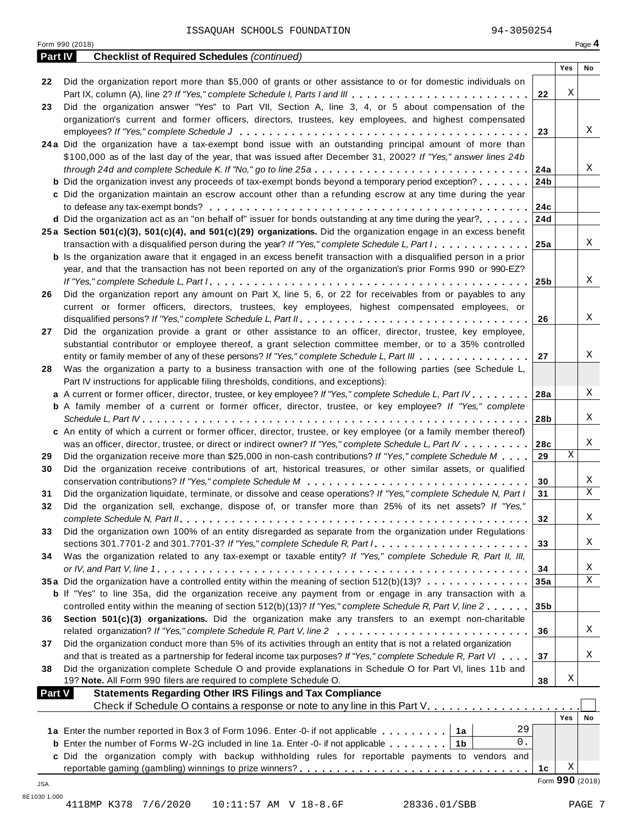|    | Form 990 (2018)                                                                                                           |                 |     | Page 4 |
|----|---------------------------------------------------------------------------------------------------------------------------|-----------------|-----|--------|
|    | Part IV<br><b>Checklist of Required Schedules (continued)</b>                                                             |                 |     |        |
|    |                                                                                                                           |                 | Yes | No     |
| 22 | Did the organization report more than \$5,000 of grants or other assistance to or for domestic individuals on             |                 |     |        |
|    | Part IX, column (A), line 2? If "Yes," complete Schedule I, Parts I and III                                               | 22              | Χ   |        |
| 23 | Did the organization answer "Yes" to Part VII, Section A, line 3, 4, or 5 about compensation of the                       |                 |     |        |
|    | organization's current and former officers, directors, trustees, key employees, and highest compensated                   |                 |     |        |
|    |                                                                                                                           | 23              |     | X      |
|    | 24a Did the organization have a tax-exempt bond issue with an outstanding principal amount of more than                   |                 |     |        |
|    | \$100,000 as of the last day of the year, that was issued after December 31, 2002? If "Yes," answer lines 24b             |                 |     |        |
|    |                                                                                                                           | 24a             |     | Χ      |
|    | <b>b</b> Did the organization invest any proceeds of tax-exempt bonds beyond a temporary period exception?                | 24 <sub>b</sub> |     |        |
|    | c Did the organization maintain an escrow account other than a refunding escrow at any time during the year               |                 |     |        |
|    |                                                                                                                           | 24c             |     |        |
|    | <b>d</b> Did the organization act as an "on behalf of" issuer for bonds outstanding at any time during the year?          | 24d             |     |        |
|    | 25a Section 501(c)(3), 501(c)(4), and 501(c)(29) organizations. Did the organization engage in an excess benefit          |                 |     |        |
|    | transaction with a disqualified person during the year? If "Yes," complete Schedule L, Part I.                            | 25a             |     | Χ      |
|    | <b>b</b> Is the organization aware that it engaged in an excess benefit transaction with a disqualified person in a prior |                 |     |        |
|    | year, and that the transaction has not been reported on any of the organization's prior Forms 990 or 990-EZ?              |                 |     |        |
|    |                                                                                                                           | 25b             |     | X      |
| 26 | Did the organization report any amount on Part X, line 5, 6, or 22 for receivables from or payables to any                |                 |     |        |
|    | current or former officers, directors, trustees, key employees, highest compensated employees, or                         |                 |     |        |
|    |                                                                                                                           | 26              |     | X      |
| 27 | Did the organization provide a grant or other assistance to an officer, director, trustee, key employee,                  |                 |     |        |
|    | substantial contributor or employee thereof, a grant selection committee member, or to a 35% controlled                   |                 |     |        |
|    | entity or family member of any of these persons? If "Yes," complete Schedule L, Part III                                  | 27              |     | Χ      |
| 28 | Was the organization a party to a business transaction with one of the following parties (see Schedule L,                 |                 |     |        |
|    | Part IV instructions for applicable filing thresholds, conditions, and exceptions):                                       |                 |     |        |
|    | a A current or former officer, director, trustee, or key employee? If "Yes," complete Schedule L, Part IV                 | 28a             |     | Χ      |
|    | <b>b</b> A family member of a current or former officer, director, trustee, or key employee? If "Yes," complete           |                 |     |        |
|    |                                                                                                                           | 28b             |     | Χ      |
|    | c An entity of which a current or former officer, director, trustee, or key employee (or a family member thereof)         |                 |     |        |
|    | was an officer, director, trustee, or direct or indirect owner? If "Yes," complete Schedule L, Part IV                    | 28c             |     | Χ      |
| 29 | Did the organization receive more than \$25,000 in non-cash contributions? If "Yes," complete Schedule M                  | 29              | Χ   |        |
| 30 | Did the organization receive contributions of art, historical treasures, or other similar assets, or qualified            |                 |     |        |
|    |                                                                                                                           | 30              |     | Χ      |
| 31 | Did the organization liquidate, terminate, or dissolve and cease operations? If "Yes," complete Schedule N, Part I        | 31              |     | X      |
| 32 | Did the organization sell, exchange, dispose of, or transfer more than 25% of its net assets? If "Yes,"                   |                 |     |        |
|    |                                                                                                                           | 32              |     | Χ      |
| 33 | Did the organization own 100% of an entity disregarded as separate from the organization under Regulations                |                 |     |        |
|    |                                                                                                                           | 33              |     | Χ      |
| 34 | Was the organization related to any tax-exempt or taxable entity? If "Yes," complete Schedule R, Part II, III,            |                 |     |        |
|    |                                                                                                                           | 34              |     | Χ      |
|    | 35a Did the organization have a controlled entity within the meaning of section 512(b)(13)?                               | 35a             |     | X      |
|    | <b>b</b> If "Yes" to line 35a, did the organization receive any payment from or engage in any transaction with a          |                 |     |        |
|    | controlled entity within the meaning of section 512(b)(13)? If "Yes," complete Schedule R, Part V, line 2                 | 35 <sub>b</sub> |     |        |
| 36 | Section 501(c)(3) organizations. Did the organization make any transfers to an exempt non-charitable                      |                 |     |        |
|    |                                                                                                                           | 36              |     | Χ      |
| 37 | Did the organization conduct more than 5% of its activities through an entity that is not a related organization          |                 |     |        |
|    | and that is treated as a partnership for federal income tax purposes? If "Yes," complete Schedule R, Part VI              | 37              |     | Χ      |
| 38 | Did the organization complete Schedule O and provide explanations in Schedule O for Part VI, lines 11b and                |                 |     |        |
|    | 19? Note. All Form 990 filers are required to complete Schedule O.                                                        | 38              | Χ   |        |
|    | <b>Statements Regarding Other IRS Filings and Tax Compliance</b><br><b>Part V</b>                                         |                 |     |        |
|    | Check if Schedule O contains a response or note to any line in this Part V.                                               |                 |     |        |
|    |                                                                                                                           |                 | Yes | No     |
|    |                                                                                                                           |                 |     |        |
|    | 29<br>1a Enter the number reported in Box 3 of Form 1096. Enter -0- if not applicable   1a                                |                 |     |        |
|    | 0.<br><b>b</b> Enter the number of Forms W-2G included in line 1a. Enter -0- if not applicable $\ldots \ldots$   1b       |                 |     |        |
|    | c Did the organization comply with backup withholding rules for reportable payments to vendors and                        |                 | Χ   |        |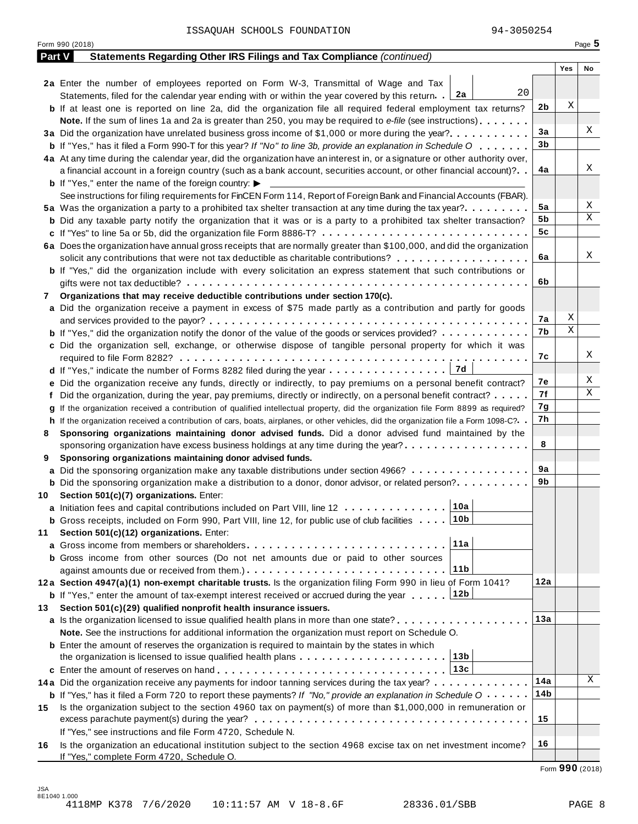|     | Form 990 (2018)                                                                                                                              |     |     | Page 5 |
|-----|----------------------------------------------------------------------------------------------------------------------------------------------|-----|-----|--------|
|     | Part V<br>Statements Regarding Other IRS Filings and Tax Compliance (continued)                                                              |     |     |        |
|     |                                                                                                                                              |     | Yes | No     |
|     | 2a Enter the number of employees reported on Form W-3, Transmittal of Wage and Tax                                                           |     |     |        |
|     | 20<br>Statements, filed for the calendar year ending with or within the year covered by this return. $2a$                                    |     |     |        |
|     | <b>b</b> If at least one is reported on line 2a, did the organization file all required federal employment tax returns?                      | 2b  | X   |        |
|     | <b>Note.</b> If the sum of lines 1a and 2a is greater than 250, you may be required to e-file (see instructions).                            |     |     |        |
|     | 3a Did the organization have unrelated business gross income of \$1,000 or more during the year?                                             | 3a  |     | Χ      |
|     | <b>b</b> If "Yes," has it filed a Form 990-T for this year? If "No" to line 3b, provide an explanation in Schedule O                         | 3b  |     |        |
|     | 4a At any time during the calendar year, did the organization have an interest in, or a signature or other authority over,                   |     |     |        |
|     | a financial account in a foreign country (such as a bank account, securities account, or other financial account)?                           | 4a  |     | Χ      |
|     | <b>b</b> If "Yes," enter the name of the foreign country: $\blacktriangleright$                                                              |     |     |        |
|     | See instructions for filing requirements for FinCEN Form 114, Report of Foreign Bank and Financial Accounts (FBAR).                          |     |     |        |
|     | 5a Was the organization a party to a prohibited tax shelter transaction at any time during the tax year?                                     | 5a  |     | Χ      |
|     | <b>b</b> Did any taxable party notify the organization that it was or is a party to a prohibited tax shelter transaction?                    | 5b  |     | Χ      |
|     | c If "Yes" to line 5a or 5b, did the organization file Form 8886-T?                                                                          | 5c  |     |        |
|     | 6a Does the organization have annual gross receipts that are normally greater than \$100,000, and did the organization                       |     |     |        |
|     | solicit any contributions that were not tax deductible as charitable contributions?                                                          | 6a  |     | Χ      |
|     | <b>b</b> If "Yes," did the organization include with every solicitation an express statement that such contributions or                      |     |     |        |
|     |                                                                                                                                              | 6b  |     |        |
| 7   | Organizations that may receive deductible contributions under section 170(c).                                                                |     |     |        |
|     | a Did the organization receive a payment in excess of \$75 made partly as a contribution and partly for goods                                |     |     |        |
|     |                                                                                                                                              | 7а  | Χ   |        |
|     | <b>b</b> If "Yes," did the organization notify the donor of the value of the goods or services provided?                                     | 7b  | Χ   |        |
|     | c Did the organization sell, exchange, or otherwise dispose of tangible personal property for which it was                                   |     |     |        |
|     |                                                                                                                                              | 7с  |     | Χ      |
|     | 17d<br><b>d</b> If "Yes," indicate the number of Forms 8282 filed during the year $\dots \dots \dots \dots \dots$                            |     |     |        |
|     | e Did the organization receive any funds, directly or indirectly, to pay premiums on a personal benefit contract?                            | 7е  |     | Χ      |
|     | f Did the organization, during the year, pay premiums, directly or indirectly, on a personal benefit contract?                               | 7f  |     | Χ      |
|     | If the organization received a contribution of qualified intellectual property, did the organization file Form 8899 as required?             | 7g  |     |        |
|     | h If the organization received a contribution of cars, boats, airplanes, or other vehicles, did the organization file a Form 1098-C?         | 7h  |     |        |
| 8   | Sponsoring organizations maintaining donor advised funds. Did a donor advised fund maintained by the                                         |     |     |        |
|     | sponsoring organization have excess business holdings at any time during the year?                                                           | 8   |     |        |
| 9   | Sponsoring organizations maintaining donor advised funds.                                                                                    |     |     |        |
|     | a Did the sponsoring organization make any taxable distributions under section 4966?                                                         | 9а  |     |        |
|     | <b>b</b> Did the sponsoring organization make a distribution to a donor, donor advisor, or related person?                                   | 9b  |     |        |
|     | 10 Section 501(c)(7) organizations. Enter:                                                                                                   |     |     |        |
|     | 10a <br>a Initiation fees and capital contributions included on Part VIII, line 12                                                           |     |     |        |
|     | ∣10b<br><b>b</b> Gross receipts, included on Form 990, Part VIII, line 12, for public use of club facilities $\ldots$ .                      |     |     |        |
| 11  | Section 501(c)(12) organizations. Enter:                                                                                                     |     |     |        |
|     | 11a                                                                                                                                          |     |     |        |
|     | b Gross income from other sources (Do not net amounts due or paid to other sources                                                           |     |     |        |
|     | 11 <sub>b</sub>                                                                                                                              |     |     |        |
|     | 12a Section 4947(a)(1) non-exempt charitable trusts. Is the organization filing Form 990 in lieu of Form 1041?                               | 12a |     |        |
|     | 12b<br><b>b</b> If "Yes," enter the amount of tax-exempt interest received or accrued during the year                                        |     |     |        |
| 13. | Section 501(c)(29) qualified nonprofit health insurance issuers.                                                                             |     |     |        |
|     | a Is the organization licensed to issue qualified health plans in more than one state?                                                       | 13а |     |        |
|     | Note. See the instructions for additional information the organization must report on Schedule O.                                            |     |     |        |
|     | <b>b</b> Enter the amount of reserves the organization is required to maintain by the states in which                                        |     |     |        |
|     | 13b<br>the organization is licensed to issue qualified health plans $\ldots \ldots \ldots \ldots \ldots \ldots \ldots$                       |     |     |        |
|     | 13c                                                                                                                                          |     |     |        |
|     | 14a Did the organization receive any payments for indoor tanning services during the tax year?                                               | 14a |     | Χ      |
|     | <b>b</b> If "Yes," has it filed a Form 720 to report these payments? If "No," provide an explanation in Schedule $0 \cdot \cdot \cdot \cdot$ | 14b |     |        |
| 15  | Is the organization subject to the section 4960 tax on payment(s) of more than \$1,000,000 in remuneration or                                |     |     |        |
|     |                                                                                                                                              | 15  |     |        |
|     | If "Yes," see instructions and file Form 4720, Schedule N.                                                                                   |     |     |        |
| 16  | Is the organization an educational institution subject to the section 4968 excise tax on net investment income?                              | 16  |     |        |
|     | If "Yes," complete Form 4720, Schedule O.                                                                                                    |     |     |        |

Form **990** (2018)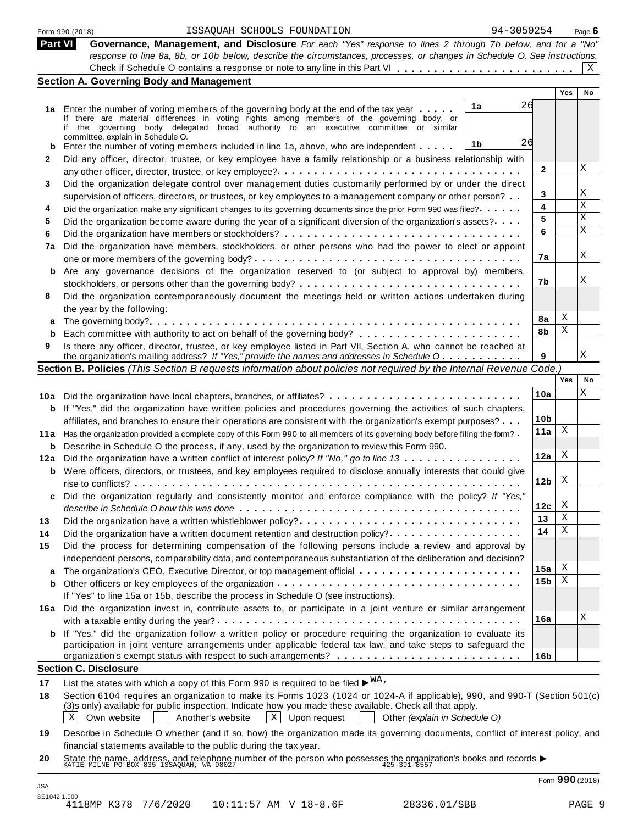| ISSAQUAH SCHOOLS FOUNDATION<br>Form 990 (2018)                                                                                                                                                                                                                                                                                                    |                                                                                                                                                                                                                                                                                                                                                                                                                                                                                                                                                                                                                                                                                                                                                                                                                                                                                                                                                                                                                                                                                                                                                           |                                                                                                                                                                                                                                                                                                                                                                                                                                                                                                                                                                                                                                                                                                                                                                                                                                                                                                                                                                                                                                                                                                           | Page $\bm{6}$                                                                                                                                                                                                                                                                                                                                                                                      |
|---------------------------------------------------------------------------------------------------------------------------------------------------------------------------------------------------------------------------------------------------------------------------------------------------------------------------------------------------|-----------------------------------------------------------------------------------------------------------------------------------------------------------------------------------------------------------------------------------------------------------------------------------------------------------------------------------------------------------------------------------------------------------------------------------------------------------------------------------------------------------------------------------------------------------------------------------------------------------------------------------------------------------------------------------------------------------------------------------------------------------------------------------------------------------------------------------------------------------------------------------------------------------------------------------------------------------------------------------------------------------------------------------------------------------------------------------------------------------------------------------------------------------|-----------------------------------------------------------------------------------------------------------------------------------------------------------------------------------------------------------------------------------------------------------------------------------------------------------------------------------------------------------------------------------------------------------------------------------------------------------------------------------------------------------------------------------------------------------------------------------------------------------------------------------------------------------------------------------------------------------------------------------------------------------------------------------------------------------------------------------------------------------------------------------------------------------------------------------------------------------------------------------------------------------------------------------------------------------------------------------------------------------|----------------------------------------------------------------------------------------------------------------------------------------------------------------------------------------------------------------------------------------------------------------------------------------------------------------------------------------------------------------------------------------------------|
| Part VI                                                                                                                                                                                                                                                                                                                                           |                                                                                                                                                                                                                                                                                                                                                                                                                                                                                                                                                                                                                                                                                                                                                                                                                                                                                                                                                                                                                                                                                                                                                           |                                                                                                                                                                                                                                                                                                                                                                                                                                                                                                                                                                                                                                                                                                                                                                                                                                                                                                                                                                                                                                                                                                           |                                                                                                                                                                                                                                                                                                                                                                                                    |
|                                                                                                                                                                                                                                                                                                                                                   |                                                                                                                                                                                                                                                                                                                                                                                                                                                                                                                                                                                                                                                                                                                                                                                                                                                                                                                                                                                                                                                                                                                                                           |                                                                                                                                                                                                                                                                                                                                                                                                                                                                                                                                                                                                                                                                                                                                                                                                                                                                                                                                                                                                                                                                                                           |                                                                                                                                                                                                                                                                                                                                                                                                    |
|                                                                                                                                                                                                                                                                                                                                                   |                                                                                                                                                                                                                                                                                                                                                                                                                                                                                                                                                                                                                                                                                                                                                                                                                                                                                                                                                                                                                                                                                                                                                           |                                                                                                                                                                                                                                                                                                                                                                                                                                                                                                                                                                                                                                                                                                                                                                                                                                                                                                                                                                                                                                                                                                           | X                                                                                                                                                                                                                                                                                                                                                                                                  |
|                                                                                                                                                                                                                                                                                                                                                   |                                                                                                                                                                                                                                                                                                                                                                                                                                                                                                                                                                                                                                                                                                                                                                                                                                                                                                                                                                                                                                                                                                                                                           |                                                                                                                                                                                                                                                                                                                                                                                                                                                                                                                                                                                                                                                                                                                                                                                                                                                                                                                                                                                                                                                                                                           | No                                                                                                                                                                                                                                                                                                                                                                                                 |
|                                                                                                                                                                                                                                                                                                                                                   |                                                                                                                                                                                                                                                                                                                                                                                                                                                                                                                                                                                                                                                                                                                                                                                                                                                                                                                                                                                                                                                                                                                                                           |                                                                                                                                                                                                                                                                                                                                                                                                                                                                                                                                                                                                                                                                                                                                                                                                                                                                                                                                                                                                                                                                                                           |                                                                                                                                                                                                                                                                                                                                                                                                    |
|                                                                                                                                                                                                                                                                                                                                                   |                                                                                                                                                                                                                                                                                                                                                                                                                                                                                                                                                                                                                                                                                                                                                                                                                                                                                                                                                                                                                                                                                                                                                           |                                                                                                                                                                                                                                                                                                                                                                                                                                                                                                                                                                                                                                                                                                                                                                                                                                                                                                                                                                                                                                                                                                           |                                                                                                                                                                                                                                                                                                                                                                                                    |
|                                                                                                                                                                                                                                                                                                                                                   |                                                                                                                                                                                                                                                                                                                                                                                                                                                                                                                                                                                                                                                                                                                                                                                                                                                                                                                                                                                                                                                                                                                                                           |                                                                                                                                                                                                                                                                                                                                                                                                                                                                                                                                                                                                                                                                                                                                                                                                                                                                                                                                                                                                                                                                                                           |                                                                                                                                                                                                                                                                                                                                                                                                    |
| committee, explain in Schedule O.                                                                                                                                                                                                                                                                                                                 |                                                                                                                                                                                                                                                                                                                                                                                                                                                                                                                                                                                                                                                                                                                                                                                                                                                                                                                                                                                                                                                                                                                                                           |                                                                                                                                                                                                                                                                                                                                                                                                                                                                                                                                                                                                                                                                                                                                                                                                                                                                                                                                                                                                                                                                                                           |                                                                                                                                                                                                                                                                                                                                                                                                    |
|                                                                                                                                                                                                                                                                                                                                                   |                                                                                                                                                                                                                                                                                                                                                                                                                                                                                                                                                                                                                                                                                                                                                                                                                                                                                                                                                                                                                                                                                                                                                           |                                                                                                                                                                                                                                                                                                                                                                                                                                                                                                                                                                                                                                                                                                                                                                                                                                                                                                                                                                                                                                                                                                           |                                                                                                                                                                                                                                                                                                                                                                                                    |
|                                                                                                                                                                                                                                                                                                                                                   |                                                                                                                                                                                                                                                                                                                                                                                                                                                                                                                                                                                                                                                                                                                                                                                                                                                                                                                                                                                                                                                                                                                                                           |                                                                                                                                                                                                                                                                                                                                                                                                                                                                                                                                                                                                                                                                                                                                                                                                                                                                                                                                                                                                                                                                                                           | X                                                                                                                                                                                                                                                                                                                                                                                                  |
|                                                                                                                                                                                                                                                                                                                                                   |                                                                                                                                                                                                                                                                                                                                                                                                                                                                                                                                                                                                                                                                                                                                                                                                                                                                                                                                                                                                                                                                                                                                                           |                                                                                                                                                                                                                                                                                                                                                                                                                                                                                                                                                                                                                                                                                                                                                                                                                                                                                                                                                                                                                                                                                                           |                                                                                                                                                                                                                                                                                                                                                                                                    |
|                                                                                                                                                                                                                                                                                                                                                   |                                                                                                                                                                                                                                                                                                                                                                                                                                                                                                                                                                                                                                                                                                                                                                                                                                                                                                                                                                                                                                                                                                                                                           |                                                                                                                                                                                                                                                                                                                                                                                                                                                                                                                                                                                                                                                                                                                                                                                                                                                                                                                                                                                                                                                                                                           | Χ                                                                                                                                                                                                                                                                                                                                                                                                  |
|                                                                                                                                                                                                                                                                                                                                                   |                                                                                                                                                                                                                                                                                                                                                                                                                                                                                                                                                                                                                                                                                                                                                                                                                                                                                                                                                                                                                                                                                                                                                           |                                                                                                                                                                                                                                                                                                                                                                                                                                                                                                                                                                                                                                                                                                                                                                                                                                                                                                                                                                                                                                                                                                           | Χ                                                                                                                                                                                                                                                                                                                                                                                                  |
|                                                                                                                                                                                                                                                                                                                                                   |                                                                                                                                                                                                                                                                                                                                                                                                                                                                                                                                                                                                                                                                                                                                                                                                                                                                                                                                                                                                                                                                                                                                                           |                                                                                                                                                                                                                                                                                                                                                                                                                                                                                                                                                                                                                                                                                                                                                                                                                                                                                                                                                                                                                                                                                                           | Χ                                                                                                                                                                                                                                                                                                                                                                                                  |
|                                                                                                                                                                                                                                                                                                                                                   |                                                                                                                                                                                                                                                                                                                                                                                                                                                                                                                                                                                                                                                                                                                                                                                                                                                                                                                                                                                                                                                                                                                                                           |                                                                                                                                                                                                                                                                                                                                                                                                                                                                                                                                                                                                                                                                                                                                                                                                                                                                                                                                                                                                                                                                                                           | X                                                                                                                                                                                                                                                                                                                                                                                                  |
|                                                                                                                                                                                                                                                                                                                                                   |                                                                                                                                                                                                                                                                                                                                                                                                                                                                                                                                                                                                                                                                                                                                                                                                                                                                                                                                                                                                                                                                                                                                                           |                                                                                                                                                                                                                                                                                                                                                                                                                                                                                                                                                                                                                                                                                                                                                                                                                                                                                                                                                                                                                                                                                                           |                                                                                                                                                                                                                                                                                                                                                                                                    |
|                                                                                                                                                                                                                                                                                                                                                   |                                                                                                                                                                                                                                                                                                                                                                                                                                                                                                                                                                                                                                                                                                                                                                                                                                                                                                                                                                                                                                                                                                                                                           |                                                                                                                                                                                                                                                                                                                                                                                                                                                                                                                                                                                                                                                                                                                                                                                                                                                                                                                                                                                                                                                                                                           | X                                                                                                                                                                                                                                                                                                                                                                                                  |
|                                                                                                                                                                                                                                                                                                                                                   |                                                                                                                                                                                                                                                                                                                                                                                                                                                                                                                                                                                                                                                                                                                                                                                                                                                                                                                                                                                                                                                                                                                                                           |                                                                                                                                                                                                                                                                                                                                                                                                                                                                                                                                                                                                                                                                                                                                                                                                                                                                                                                                                                                                                                                                                                           |                                                                                                                                                                                                                                                                                                                                                                                                    |
|                                                                                                                                                                                                                                                                                                                                                   | 7b                                                                                                                                                                                                                                                                                                                                                                                                                                                                                                                                                                                                                                                                                                                                                                                                                                                                                                                                                                                                                                                                                                                                                        |                                                                                                                                                                                                                                                                                                                                                                                                                                                                                                                                                                                                                                                                                                                                                                                                                                                                                                                                                                                                                                                                                                           | Χ                                                                                                                                                                                                                                                                                                                                                                                                  |
|                                                                                                                                                                                                                                                                                                                                                   |                                                                                                                                                                                                                                                                                                                                                                                                                                                                                                                                                                                                                                                                                                                                                                                                                                                                                                                                                                                                                                                                                                                                                           |                                                                                                                                                                                                                                                                                                                                                                                                                                                                                                                                                                                                                                                                                                                                                                                                                                                                                                                                                                                                                                                                                                           |                                                                                                                                                                                                                                                                                                                                                                                                    |
|                                                                                                                                                                                                                                                                                                                                                   |                                                                                                                                                                                                                                                                                                                                                                                                                                                                                                                                                                                                                                                                                                                                                                                                                                                                                                                                                                                                                                                                                                                                                           |                                                                                                                                                                                                                                                                                                                                                                                                                                                                                                                                                                                                                                                                                                                                                                                                                                                                                                                                                                                                                                                                                                           |                                                                                                                                                                                                                                                                                                                                                                                                    |
|                                                                                                                                                                                                                                                                                                                                                   | 8a                                                                                                                                                                                                                                                                                                                                                                                                                                                                                                                                                                                                                                                                                                                                                                                                                                                                                                                                                                                                                                                                                                                                                        | Χ                                                                                                                                                                                                                                                                                                                                                                                                                                                                                                                                                                                                                                                                                                                                                                                                                                                                                                                                                                                                                                                                                                         |                                                                                                                                                                                                                                                                                                                                                                                                    |
|                                                                                                                                                                                                                                                                                                                                                   | 8b                                                                                                                                                                                                                                                                                                                                                                                                                                                                                                                                                                                                                                                                                                                                                                                                                                                                                                                                                                                                                                                                                                                                                        | Χ                                                                                                                                                                                                                                                                                                                                                                                                                                                                                                                                                                                                                                                                                                                                                                                                                                                                                                                                                                                                                                                                                                         |                                                                                                                                                                                                                                                                                                                                                                                                    |
|                                                                                                                                                                                                                                                                                                                                                   |                                                                                                                                                                                                                                                                                                                                                                                                                                                                                                                                                                                                                                                                                                                                                                                                                                                                                                                                                                                                                                                                                                                                                           |                                                                                                                                                                                                                                                                                                                                                                                                                                                                                                                                                                                                                                                                                                                                                                                                                                                                                                                                                                                                                                                                                                           |                                                                                                                                                                                                                                                                                                                                                                                                    |
| the organization's mailing address? If "Yes," provide the names and addresses in Schedule O                                                                                                                                                                                                                                                       | 9                                                                                                                                                                                                                                                                                                                                                                                                                                                                                                                                                                                                                                                                                                                                                                                                                                                                                                                                                                                                                                                                                                                                                         |                                                                                                                                                                                                                                                                                                                                                                                                                                                                                                                                                                                                                                                                                                                                                                                                                                                                                                                                                                                                                                                                                                           | Χ                                                                                                                                                                                                                                                                                                                                                                                                  |
|                                                                                                                                                                                                                                                                                                                                                   |                                                                                                                                                                                                                                                                                                                                                                                                                                                                                                                                                                                                                                                                                                                                                                                                                                                                                                                                                                                                                                                                                                                                                           |                                                                                                                                                                                                                                                                                                                                                                                                                                                                                                                                                                                                                                                                                                                                                                                                                                                                                                                                                                                                                                                                                                           |                                                                                                                                                                                                                                                                                                                                                                                                    |
|                                                                                                                                                                                                                                                                                                                                                   |                                                                                                                                                                                                                                                                                                                                                                                                                                                                                                                                                                                                                                                                                                                                                                                                                                                                                                                                                                                                                                                                                                                                                           | Yes                                                                                                                                                                                                                                                                                                                                                                                                                                                                                                                                                                                                                                                                                                                                                                                                                                                                                                                                                                                                                                                                                                       | No                                                                                                                                                                                                                                                                                                                                                                                                 |
|                                                                                                                                                                                                                                                                                                                                                   | 10a                                                                                                                                                                                                                                                                                                                                                                                                                                                                                                                                                                                                                                                                                                                                                                                                                                                                                                                                                                                                                                                                                                                                                       |                                                                                                                                                                                                                                                                                                                                                                                                                                                                                                                                                                                                                                                                                                                                                                                                                                                                                                                                                                                                                                                                                                           | Χ                                                                                                                                                                                                                                                                                                                                                                                                  |
|                                                                                                                                                                                                                                                                                                                                                   |                                                                                                                                                                                                                                                                                                                                                                                                                                                                                                                                                                                                                                                                                                                                                                                                                                                                                                                                                                                                                                                                                                                                                           |                                                                                                                                                                                                                                                                                                                                                                                                                                                                                                                                                                                                                                                                                                                                                                                                                                                                                                                                                                                                                                                                                                           |                                                                                                                                                                                                                                                                                                                                                                                                    |
|                                                                                                                                                                                                                                                                                                                                                   | 10 <sub>b</sub>                                                                                                                                                                                                                                                                                                                                                                                                                                                                                                                                                                                                                                                                                                                                                                                                                                                                                                                                                                                                                                                                                                                                           |                                                                                                                                                                                                                                                                                                                                                                                                                                                                                                                                                                                                                                                                                                                                                                                                                                                                                                                                                                                                                                                                                                           |                                                                                                                                                                                                                                                                                                                                                                                                    |
| 11a Has the organization provided a complete copy of this Form 990 to all members of its governing body before filing the form?                                                                                                                                                                                                                   | 11a                                                                                                                                                                                                                                                                                                                                                                                                                                                                                                                                                                                                                                                                                                                                                                                                                                                                                                                                                                                                                                                                                                                                                       | Χ                                                                                                                                                                                                                                                                                                                                                                                                                                                                                                                                                                                                                                                                                                                                                                                                                                                                                                                                                                                                                                                                                                         |                                                                                                                                                                                                                                                                                                                                                                                                    |
| Describe in Schedule O the process, if any, used by the organization to review this Form 990.                                                                                                                                                                                                                                                     |                                                                                                                                                                                                                                                                                                                                                                                                                                                                                                                                                                                                                                                                                                                                                                                                                                                                                                                                                                                                                                                                                                                                                           |                                                                                                                                                                                                                                                                                                                                                                                                                                                                                                                                                                                                                                                                                                                                                                                                                                                                                                                                                                                                                                                                                                           |                                                                                                                                                                                                                                                                                                                                                                                                    |
| Did the organization have a written conflict of interest policy? If "No," go to line 13                                                                                                                                                                                                                                                           | 12a                                                                                                                                                                                                                                                                                                                                                                                                                                                                                                                                                                                                                                                                                                                                                                                                                                                                                                                                                                                                                                                                                                                                                       |                                                                                                                                                                                                                                                                                                                                                                                                                                                                                                                                                                                                                                                                                                                                                                                                                                                                                                                                                                                                                                                                                                           |                                                                                                                                                                                                                                                                                                                                                                                                    |
|                                                                                                                                                                                                                                                                                                                                                   |                                                                                                                                                                                                                                                                                                                                                                                                                                                                                                                                                                                                                                                                                                                                                                                                                                                                                                                                                                                                                                                                                                                                                           |                                                                                                                                                                                                                                                                                                                                                                                                                                                                                                                                                                                                                                                                                                                                                                                                                                                                                                                                                                                                                                                                                                           |                                                                                                                                                                                                                                                                                                                                                                                                    |
|                                                                                                                                                                                                                                                                                                                                                   | 12 <sub>b</sub>                                                                                                                                                                                                                                                                                                                                                                                                                                                                                                                                                                                                                                                                                                                                                                                                                                                                                                                                                                                                                                                                                                                                           |                                                                                                                                                                                                                                                                                                                                                                                                                                                                                                                                                                                                                                                                                                                                                                                                                                                                                                                                                                                                                                                                                                           |                                                                                                                                                                                                                                                                                                                                                                                                    |
|                                                                                                                                                                                                                                                                                                                                                   |                                                                                                                                                                                                                                                                                                                                                                                                                                                                                                                                                                                                                                                                                                                                                                                                                                                                                                                                                                                                                                                                                                                                                           |                                                                                                                                                                                                                                                                                                                                                                                                                                                                                                                                                                                                                                                                                                                                                                                                                                                                                                                                                                                                                                                                                                           |                                                                                                                                                                                                                                                                                                                                                                                                    |
|                                                                                                                                                                                                                                                                                                                                                   |                                                                                                                                                                                                                                                                                                                                                                                                                                                                                                                                                                                                                                                                                                                                                                                                                                                                                                                                                                                                                                                                                                                                                           |                                                                                                                                                                                                                                                                                                                                                                                                                                                                                                                                                                                                                                                                                                                                                                                                                                                                                                                                                                                                                                                                                                           |                                                                                                                                                                                                                                                                                                                                                                                                    |
|                                                                                                                                                                                                                                                                                                                                                   |                                                                                                                                                                                                                                                                                                                                                                                                                                                                                                                                                                                                                                                                                                                                                                                                                                                                                                                                                                                                                                                                                                                                                           |                                                                                                                                                                                                                                                                                                                                                                                                                                                                                                                                                                                                                                                                                                                                                                                                                                                                                                                                                                                                                                                                                                           |                                                                                                                                                                                                                                                                                                                                                                                                    |
| Did the organization have a written whistleblower policy?                                                                                                                                                                                                                                                                                         | 13                                                                                                                                                                                                                                                                                                                                                                                                                                                                                                                                                                                                                                                                                                                                                                                                                                                                                                                                                                                                                                                                                                                                                        | Χ                                                                                                                                                                                                                                                                                                                                                                                                                                                                                                                                                                                                                                                                                                                                                                                                                                                                                                                                                                                                                                                                                                         |                                                                                                                                                                                                                                                                                                                                                                                                    |
| Did the organization have a written document retention and destruction policy?                                                                                                                                                                                                                                                                    | 14                                                                                                                                                                                                                                                                                                                                                                                                                                                                                                                                                                                                                                                                                                                                                                                                                                                                                                                                                                                                                                                                                                                                                        | Χ                                                                                                                                                                                                                                                                                                                                                                                                                                                                                                                                                                                                                                                                                                                                                                                                                                                                                                                                                                                                                                                                                                         |                                                                                                                                                                                                                                                                                                                                                                                                    |
| Did the process for determining compensation of the following persons include a review and approval by                                                                                                                                                                                                                                            |                                                                                                                                                                                                                                                                                                                                                                                                                                                                                                                                                                                                                                                                                                                                                                                                                                                                                                                                                                                                                                                                                                                                                           |                                                                                                                                                                                                                                                                                                                                                                                                                                                                                                                                                                                                                                                                                                                                                                                                                                                                                                                                                                                                                                                                                                           |                                                                                                                                                                                                                                                                                                                                                                                                    |
| independent persons, comparability data, and contemporaneous substantiation of the deliberation and decision?                                                                                                                                                                                                                                     |                                                                                                                                                                                                                                                                                                                                                                                                                                                                                                                                                                                                                                                                                                                                                                                                                                                                                                                                                                                                                                                                                                                                                           |                                                                                                                                                                                                                                                                                                                                                                                                                                                                                                                                                                                                                                                                                                                                                                                                                                                                                                                                                                                                                                                                                                           |                                                                                                                                                                                                                                                                                                                                                                                                    |
|                                                                                                                                                                                                                                                                                                                                                   | 15a                                                                                                                                                                                                                                                                                                                                                                                                                                                                                                                                                                                                                                                                                                                                                                                                                                                                                                                                                                                                                                                                                                                                                       | Χ                                                                                                                                                                                                                                                                                                                                                                                                                                                                                                                                                                                                                                                                                                                                                                                                                                                                                                                                                                                                                                                                                                         |                                                                                                                                                                                                                                                                                                                                                                                                    |
|                                                                                                                                                                                                                                                                                                                                                   | 15 <sub>b</sub>                                                                                                                                                                                                                                                                                                                                                                                                                                                                                                                                                                                                                                                                                                                                                                                                                                                                                                                                                                                                                                                                                                                                           | Χ                                                                                                                                                                                                                                                                                                                                                                                                                                                                                                                                                                                                                                                                                                                                                                                                                                                                                                                                                                                                                                                                                                         |                                                                                                                                                                                                                                                                                                                                                                                                    |
| If "Yes" to line 15a or 15b, describe the process in Schedule O (see instructions).                                                                                                                                                                                                                                                               |                                                                                                                                                                                                                                                                                                                                                                                                                                                                                                                                                                                                                                                                                                                                                                                                                                                                                                                                                                                                                                                                                                                                                           |                                                                                                                                                                                                                                                                                                                                                                                                                                                                                                                                                                                                                                                                                                                                                                                                                                                                                                                                                                                                                                                                                                           |                                                                                                                                                                                                                                                                                                                                                                                                    |
| 16a Did the organization invest in, contribute assets to, or participate in a joint venture or similar arrangement                                                                                                                                                                                                                                |                                                                                                                                                                                                                                                                                                                                                                                                                                                                                                                                                                                                                                                                                                                                                                                                                                                                                                                                                                                                                                                                                                                                                           |                                                                                                                                                                                                                                                                                                                                                                                                                                                                                                                                                                                                                                                                                                                                                                                                                                                                                                                                                                                                                                                                                                           |                                                                                                                                                                                                                                                                                                                                                                                                    |
|                                                                                                                                                                                                                                                                                                                                                   | 16a                                                                                                                                                                                                                                                                                                                                                                                                                                                                                                                                                                                                                                                                                                                                                                                                                                                                                                                                                                                                                                                                                                                                                       |                                                                                                                                                                                                                                                                                                                                                                                                                                                                                                                                                                                                                                                                                                                                                                                                                                                                                                                                                                                                                                                                                                           | Χ                                                                                                                                                                                                                                                                                                                                                                                                  |
| <b>b</b> If "Yes," did the organization follow a written policy or procedure requiring the organization to evaluate its                                                                                                                                                                                                                           |                                                                                                                                                                                                                                                                                                                                                                                                                                                                                                                                                                                                                                                                                                                                                                                                                                                                                                                                                                                                                                                                                                                                                           |                                                                                                                                                                                                                                                                                                                                                                                                                                                                                                                                                                                                                                                                                                                                                                                                                                                                                                                                                                                                                                                                                                           |                                                                                                                                                                                                                                                                                                                                                                                                    |
| participation in joint venture arrangements under applicable federal tax law, and take steps to safeguard the                                                                                                                                                                                                                                     |                                                                                                                                                                                                                                                                                                                                                                                                                                                                                                                                                                                                                                                                                                                                                                                                                                                                                                                                                                                                                                                                                                                                                           |                                                                                                                                                                                                                                                                                                                                                                                                                                                                                                                                                                                                                                                                                                                                                                                                                                                                                                                                                                                                                                                                                                           |                                                                                                                                                                                                                                                                                                                                                                                                    |
|                                                                                                                                                                                                                                                                                                                                                   | 16 <sub>b</sub>                                                                                                                                                                                                                                                                                                                                                                                                                                                                                                                                                                                                                                                                                                                                                                                                                                                                                                                                                                                                                                                                                                                                           |                                                                                                                                                                                                                                                                                                                                                                                                                                                                                                                                                                                                                                                                                                                                                                                                                                                                                                                                                                                                                                                                                                           |                                                                                                                                                                                                                                                                                                                                                                                                    |
| <b>Section C. Disclosure</b>                                                                                                                                                                                                                                                                                                                      |                                                                                                                                                                                                                                                                                                                                                                                                                                                                                                                                                                                                                                                                                                                                                                                                                                                                                                                                                                                                                                                                                                                                                           |                                                                                                                                                                                                                                                                                                                                                                                                                                                                                                                                                                                                                                                                                                                                                                                                                                                                                                                                                                                                                                                                                                           |                                                                                                                                                                                                                                                                                                                                                                                                    |
| List the states with which a copy of this Form 990 is required to be filed $\blacktriangleright^{\text{MA}}$ .                                                                                                                                                                                                                                    |                                                                                                                                                                                                                                                                                                                                                                                                                                                                                                                                                                                                                                                                                                                                                                                                                                                                                                                                                                                                                                                                                                                                                           |                                                                                                                                                                                                                                                                                                                                                                                                                                                                                                                                                                                                                                                                                                                                                                                                                                                                                                                                                                                                                                                                                                           |                                                                                                                                                                                                                                                                                                                                                                                                    |
| Section 6104 requires an organization to make its Forms 1023 (1024 or 1024-A if applicable), 990, and 990-T (Section 501(c)<br>(3)s only) available for public inspection. Indicate how you made these available. Check all that apply.<br>$\mathbf{X}$<br>Upon request<br>X<br>Own website<br>Another's website<br>Other (explain in Schedule O) |                                                                                                                                                                                                                                                                                                                                                                                                                                                                                                                                                                                                                                                                                                                                                                                                                                                                                                                                                                                                                                                                                                                                                           |                                                                                                                                                                                                                                                                                                                                                                                                                                                                                                                                                                                                                                                                                                                                                                                                                                                                                                                                                                                                                                                                                                           |                                                                                                                                                                                                                                                                                                                                                                                                    |
|                                                                                                                                                                                                                                                                                                                                                   |                                                                                                                                                                                                                                                                                                                                                                                                                                                                                                                                                                                                                                                                                                                                                                                                                                                                                                                                                                                                                                                                                                                                                           |                                                                                                                                                                                                                                                                                                                                                                                                                                                                                                                                                                                                                                                                                                                                                                                                                                                                                                                                                                                                                                                                                                           |                                                                                                                                                                                                                                                                                                                                                                                                    |
| Describe in Schedule O whether (and if so, how) the organization made its governing documents, conflict of interest policy, and<br>financial statements available to the public during the tax year.                                                                                                                                              |                                                                                                                                                                                                                                                                                                                                                                                                                                                                                                                                                                                                                                                                                                                                                                                                                                                                                                                                                                                                                                                                                                                                                           |                                                                                                                                                                                                                                                                                                                                                                                                                                                                                                                                                                                                                                                                                                                                                                                                                                                                                                                                                                                                                                                                                                           |                                                                                                                                                                                                                                                                                                                                                                                                    |
|                                                                                                                                                                                                                                                                                                                                                   | <b>Section A. Governing Body and Management</b><br>1a<br>1a Enter the number of voting members of the governing body at the end of the tax year<br>If there are material differences in voting rights among members of the governing body, or<br>if the governing body delegated broad authority to an executive committee or similar<br>1b<br>Enter the number of voting members included in line 1a, above, who are independent<br>any other officer, director, trustee, or key employee?. $\dots \dots \dots \dots \dots \dots \dots \dots \dots \dots \dots \dots \dots \dots$<br>supervision of officers, directors, or trustees, or key employees to a management company or other person?<br>Did the organization make any significant changes to its governing documents since the prior Form 990 was filed?<br>Did the organization become aware during the year of a significant diversion of the organization's assets?<br>the year by the following:<br>10a Did the organization have local chapters, branches, or affiliates?<br>affiliates, and branches to ensure their operations are consistent with the organization's exempt purposes? | 94-3050254<br>26<br>26<br>Did any officer, director, trustee, or key employee have a family relationship or a business relationship with<br>2<br>Did the organization delegate control over management duties customarily performed by or under the direct<br>3<br>4<br>5<br>6<br>Did the organization have members, stockholders, or other persons who had the power to elect or appoint<br>7а<br>b Are any governance decisions of the organization reserved to (or subject to approval by) members,<br>Did the organization contemporaneously document the meetings held or written actions undertaken during<br>Is there any officer, director, trustee, or key employee listed in Part VII, Section A, who cannot be reached at<br><b>b</b> If "Yes," did the organization have written policies and procedures governing the activities of such chapters,<br><b>b</b> Were officers, directors, or trustees, and key employees required to disclose annually interests that could give<br>Did the organization regularly and consistently monitor and enforce compliance with the policy? If "Yes," | Governance, Management, and Disclosure For each "Yes" response to lines 2 through 7b below, and for a "No"<br>response to line 8a, 8b, or 10b below, describe the circumstances, processes, or changes in Schedule O. See instructions.<br><b>Yes</b><br>Section B. Policies (This Section B requests information about policies not required by the Internal Revenue Code.)<br>X<br>X<br>X<br>12c |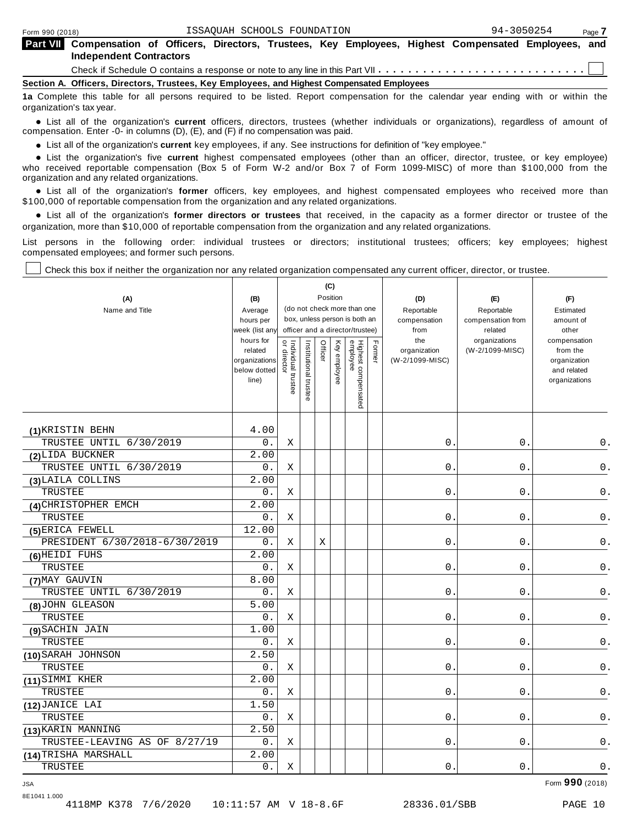| <b>Part VII</b> Compensation of Officers, Directors, Trustees, Key Employees, Highest Compensated Employees, and<br><b>Independent Contractors</b> |  |  |  |  |  |  |  |  |  |
|----------------------------------------------------------------------------------------------------------------------------------------------------|--|--|--|--|--|--|--|--|--|
|                                                                                                                                                    |  |  |  |  |  |  |  |  |  |
| Bantlan, A., Official Microbiol Touchang, Vari Forderick, and Highest Banconcated Forderick.                                                       |  |  |  |  |  |  |  |  |  |

**Section A. Officers, Directors, Trustees, Key Employees, and Highest Compensated Employees**

**1a** Complete this table for all persons required to be listed. Report compensation for the calendar year ending with or within the organization's tax year.

anization's lax year.<br>● List all of the organization's **current** officers, directors, trustees (whether individuals or organizations), regardless of amount of<br>nnensation Enter -0- in columns (D) (E) and (E) if no compensa compensation. Enter -0- in columns (D), (E), and (F) if no compensation was paid.

**■** List all of the organization's **current** key employees, if any. See instructions for definition of "key employee."<br>■ List the experientials five event highert expressed employees (other than an efficer director of

**Example in the organization's current** key employees, if any. See instructions for definition of key employee.<br>• List the organization's five **current** highest compensated employees (other than an officer, director, trust who received reportable compensation (Box 5 of Form W-2 and/or Box 7 of Form 1099-MISC) of more than \$100,000 from the

organization and any related organizations.<br>• List all of the organization's **former** officers, key employees, and highest compensated employees who received more than<br>\$1.00.000 of reportable componention from the erganiza \$100,000 of reportable compensation from the organization and any related organizations.

% List all of the organization's **former directors or trustees** that received, in the capacity as a former director or trustee of the organization, more than \$10,000 of reportable compensation from the organization and any related organizations.

List persons in the following order: individual trustees or directors; institutional trustees; officers; key employees; highest compensated employees; and former such persons.

Check this box if neither the organization nor any related organization compensated any current officer, director, or trustee.

| (A)<br>Name and Title         | (B)<br>Average<br>hours per<br>week (list an <sup>,</sup>      | (C)<br>Position<br>(do not check more than one<br>box, unless person is both an<br>officer and a director/trustee) |                       |         |              |                                 |        | (D)<br>Reportable<br>compensation<br>from | (E)<br>Reportable<br>compensation from<br>related | (F)<br>Estimated<br>amount of<br>other                                   |
|-------------------------------|----------------------------------------------------------------|--------------------------------------------------------------------------------------------------------------------|-----------------------|---------|--------------|---------------------------------|--------|-------------------------------------------|---------------------------------------------------|--------------------------------------------------------------------------|
|                               | hours for<br>related<br>organizations<br>below dotted<br>line) | Individual trustee<br>  or director                                                                                | Institutional trustee | Officer | Key employee | Highest compensated<br>employee | Former | the<br>organization<br>(W-2/1099-MISC)    | organizations<br>(W-2/1099-MISC)                  | compensation<br>from the<br>organization<br>and related<br>organizations |
| (1) KRISTIN BEHN              | 4.00                                                           |                                                                                                                    |                       |         |              |                                 |        |                                           |                                                   |                                                                          |
| TRUSTEE UNTIL 6/30/2019       | 0.                                                             | X                                                                                                                  |                       |         |              |                                 |        | 0.                                        | 0.                                                | $0$ .                                                                    |
| (2) LIDA BUCKNER              | 2.00                                                           |                                                                                                                    |                       |         |              |                                 |        |                                           |                                                   |                                                                          |
| TRUSTEE UNTIL 6/30/2019       | $0$ .                                                          | X                                                                                                                  |                       |         |              |                                 |        | $0$ .                                     | $0$ .                                             | $\mathsf 0$ .                                                            |
| (3) LAILA COLLINS             | 2.00                                                           |                                                                                                                    |                       |         |              |                                 |        |                                           |                                                   |                                                                          |
| TRUSTEE                       | $0$ .                                                          | Χ                                                                                                                  |                       |         |              |                                 |        | $0$ .                                     | $0$ .                                             | $\mathsf 0$ .                                                            |
| (4) CHRISTOPHER EMCH          | 2.00                                                           |                                                                                                                    |                       |         |              |                                 |        |                                           |                                                   |                                                                          |
| TRUSTEE                       | 0.                                                             | Χ                                                                                                                  |                       |         |              |                                 |        | 0.                                        | $0$ .                                             | $\mathsf 0$ .                                                            |
| (5) ERICA FEWELL              | 12.00                                                          |                                                                                                                    |                       |         |              |                                 |        |                                           |                                                   |                                                                          |
| PRESIDENT 6/30/2018-6/30/2019 | 0.                                                             | Χ                                                                                                                  |                       | Χ       |              |                                 |        | 0.                                        | 0.                                                | 0.                                                                       |
| (6) HEIDI FUHS                | 2.00                                                           |                                                                                                                    |                       |         |              |                                 |        |                                           |                                                   |                                                                          |
| TRUSTEE                       | 0.                                                             | X                                                                                                                  |                       |         |              |                                 |        | 0.                                        | 0.                                                | 0.                                                                       |
| (7) MAY GAUVIN                | 8.00                                                           |                                                                                                                    |                       |         |              |                                 |        |                                           |                                                   |                                                                          |
| TRUSTEE UNTIL 6/30/2019       | 0.                                                             | Χ                                                                                                                  |                       |         |              |                                 |        | $\mathsf{O}$ .                            | $\mathsf 0$ .                                     | $0$ .                                                                    |
| (8) JOHN GLEASON              | 5.00                                                           |                                                                                                                    |                       |         |              |                                 |        |                                           |                                                   |                                                                          |
| <b>TRUSTEE</b>                | 0.                                                             | X                                                                                                                  |                       |         |              |                                 |        | $\mathbf 0$ .                             | $\mathbf 0$ .                                     | $0$ .                                                                    |
| (9) SACHIN JAIN               | 1.00                                                           |                                                                                                                    |                       |         |              |                                 |        |                                           |                                                   |                                                                          |
| <b>TRUSTEE</b>                | 0.                                                             | X                                                                                                                  |                       |         |              |                                 |        | $\mathbf 0$ .                             | 0.                                                | $0$ .                                                                    |
| (10) SARAH JOHNSON            | 2.50                                                           |                                                                                                                    |                       |         |              |                                 |        |                                           |                                                   |                                                                          |
| TRUSTEE                       | $0$ .                                                          | Χ                                                                                                                  |                       |         |              |                                 |        | 0.                                        | $0$ .                                             | 0.                                                                       |
| (11) SIMMI KHER               | $\overline{2.00}$                                              |                                                                                                                    |                       |         |              |                                 |        |                                           |                                                   |                                                                          |
| TRUSTEE                       | $0$ .                                                          | Χ                                                                                                                  |                       |         |              |                                 |        | $0$ .                                     | 0.                                                | 0.                                                                       |
| (12) JANICE LAI               | 1.50                                                           |                                                                                                                    |                       |         |              |                                 |        |                                           |                                                   |                                                                          |
| TRUSTEE                       | 0.                                                             | Χ                                                                                                                  |                       |         |              |                                 |        | 0.                                        | $0$ .                                             | 0.                                                                       |
| (13) KARIN MANNING            | 2.50                                                           |                                                                                                                    |                       |         |              |                                 |        |                                           |                                                   |                                                                          |
| TRUSTEE-LEAVING AS OF 8/27/19 | 0.                                                             | Χ                                                                                                                  |                       |         |              |                                 |        | $0$ .                                     | $0$ .                                             | $0$ .                                                                    |
| (14) TRISHA MARSHALL          | 2.00                                                           |                                                                                                                    |                       |         |              |                                 |        |                                           |                                                   |                                                                          |
| TRUSTEE                       | 0.                                                             | Χ                                                                                                                  |                       |         |              |                                 |        | $0$ .                                     | 0.                                                | $0$ .                                                                    |

8E1041 1.000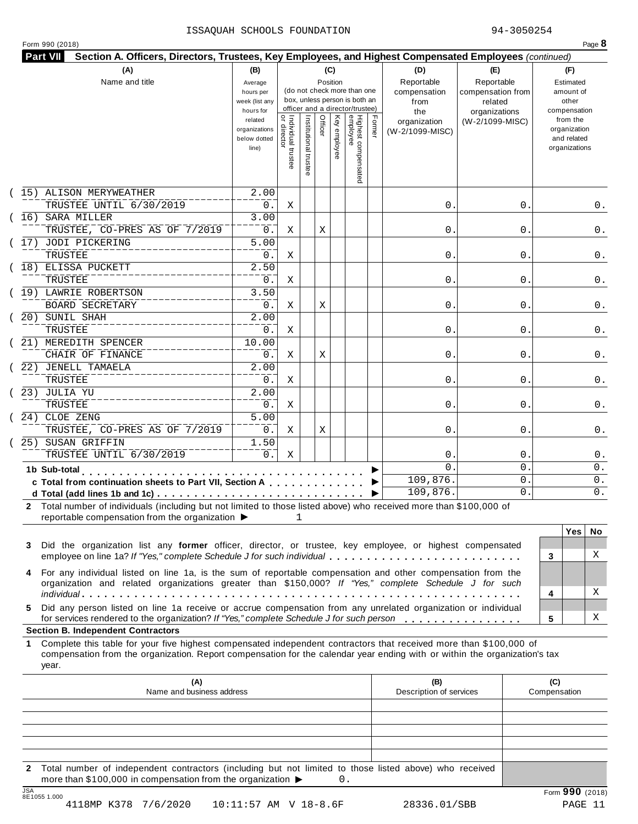# ISSAQUAH SCHOOLS FOUNDATION 94-3050254

| Form 990 (2018)<br><b>Part VII</b><br>Section A. Officers, Directors, Trustees, Key Employees, and Highest Compensated Employees (continued)                                                                                                          |                                                                                               |                                   |                       |                 |                                                                                                                                                    |        |                                                                |                                                                  | Page 8                                                                                         |
|-------------------------------------------------------------------------------------------------------------------------------------------------------------------------------------------------------------------------------------------------------|-----------------------------------------------------------------------------------------------|-----------------------------------|-----------------------|-----------------|----------------------------------------------------------------------------------------------------------------------------------------------------|--------|----------------------------------------------------------------|------------------------------------------------------------------|------------------------------------------------------------------------------------------------|
| (A)<br>Name and title                                                                                                                                                                                                                                 | (B)<br>Average                                                                                |                                   |                       | (C)<br>Position |                                                                                                                                                    |        | (D)<br>Reportable                                              | (E)<br>Reportable                                                | (F)<br>Estimated                                                                               |
|                                                                                                                                                                                                                                                       | hours per<br>week (list any<br>hours for<br>related<br>organizations<br>below dotted<br>line) | Individual trustee<br>or director | Institutional trustee | Officer         | (do not check more than one<br>box, unless person is both an<br>officer and a director/trustee)<br>Highest compensated<br>employee<br>Key employee | Former | compensation<br>from<br>the<br>organization<br>(W-2/1099-MISC) | compensation from<br>related<br>organizations<br>(W-2/1099-MISC) | amount of<br>other<br>compensation<br>from the<br>organization<br>and related<br>organizations |
|                                                                                                                                                                                                                                                       |                                                                                               |                                   |                       |                 |                                                                                                                                                    |        |                                                                |                                                                  |                                                                                                |
| (15) ALISON MERYWEATHER<br>TRUSTEE UNTIL 6/30/2019                                                                                                                                                                                                    | 2.00<br>0.                                                                                    | Χ                                 |                       |                 |                                                                                                                                                    |        | $\mathsf{0}$ .                                                 | 0                                                                | 0.                                                                                             |
| 16) SARA MILLER<br>TRUSTEE, CO-PRES AS OF 7/2019                                                                                                                                                                                                      | 3.00<br>0.                                                                                    | Χ                                 |                       | Χ               |                                                                                                                                                    |        | $\mathsf{O}$ .                                                 | 0                                                                | 0.                                                                                             |
| (17) JODI PICKERING<br>TRUSTEE                                                                                                                                                                                                                        | 5.00<br>0.                                                                                    | Χ                                 |                       |                 |                                                                                                                                                    |        | $\mathsf{0}$ .                                                 | 0                                                                | 0.                                                                                             |
| 18) ELISSA PUCKETT<br>TRUSTEE                                                                                                                                                                                                                         | 2.50<br>0.                                                                                    | Χ                                 |                       |                 |                                                                                                                                                    |        | $\mathsf{0}$ .                                                 | 0                                                                | 0.                                                                                             |
| 19) LAWRIE ROBERTSON<br>BOARD SECRETARY                                                                                                                                                                                                               | 3.50<br>0.                                                                                    | Χ                                 |                       | Χ               |                                                                                                                                                    |        | $\mathsf{0}$ .                                                 | 0                                                                | 0.                                                                                             |
| 20) SUNIL SHAH<br>TRUSTEE                                                                                                                                                                                                                             | $\overline{2.00}$<br>0.                                                                       | Χ                                 |                       |                 |                                                                                                                                                    |        | $\mathsf{O}$ .                                                 | 0                                                                | 0.                                                                                             |
| 21) MEREDITH SPENCER<br>CHAIR OF FINANCE                                                                                                                                                                                                              | 10.00<br>0.                                                                                   | Χ                                 |                       | Χ               |                                                                                                                                                    |        | $\mathsf{0}$ .                                                 | 0                                                                | 0.                                                                                             |
| 22) JENELL TAMAELA<br>TRUSTEE                                                                                                                                                                                                                         | 2.00<br>$0$ .                                                                                 | X                                 |                       |                 |                                                                                                                                                    |        | $\mathsf{0}$ .                                                 | 0                                                                | 0.                                                                                             |
| 23) JULIA YU<br>TRUSTEE                                                                                                                                                                                                                               | $\overline{2.00}$<br>0.                                                                       | Χ                                 |                       |                 |                                                                                                                                                    |        | 0.                                                             | 0                                                                | 0.                                                                                             |
| 24) CLOE ZENG<br>TRUSTEE, CO-PRES AS OF 7/2019                                                                                                                                                                                                        | 5.00<br>0.                                                                                    | Χ                                 |                       | Χ               |                                                                                                                                                    |        | $\mathsf{0}$ .                                                 | 0                                                                | 0.                                                                                             |
| 25) SUSAN GRIFFIN<br>TRUSTEE UNTIL 6/30/2019                                                                                                                                                                                                          | 1.50<br>$0$ .                                                                                 | Χ                                 |                       |                 |                                                                                                                                                    |        | 0                                                              | 0                                                                | $0$ .                                                                                          |
| 1b Sub-total<br>c Total from continuation sheets to Part VII, Section A                                                                                                                                                                               |                                                                                               |                                   |                       |                 |                                                                                                                                                    |        | $\Omega$<br>109,876.                                           | 0<br>0                                                           | $0$ .<br>$0$ .                                                                                 |
| d Total (add lines 1b and 1c) $\cdots$ $\cdots$ $\cdots$ $\cdots$ $\cdots$ $\cdots$ $\cdots$ $\cdots$ $\cdots$ $\cdots$<br>Total number of individuals (including but not limited to those listed above) who received more than \$100,000 of          |                                                                                               |                                   |                       |                 |                                                                                                                                                    |        | 109,876.                                                       | 0                                                                | 0.                                                                                             |
| reportable compensation from the organization $\blacktriangleright$                                                                                                                                                                                   |                                                                                               | 1                                 |                       |                 |                                                                                                                                                    |        |                                                                |                                                                  | <b>Yes</b><br>No                                                                               |
| Did the organization list any former officer, director, or trustee, key employee, or highest compensated<br>3<br>employee on line 1a? If "Yes," complete Schedule J for such individual                                                               |                                                                                               |                                   |                       |                 |                                                                                                                                                    |        |                                                                |                                                                  | Χ<br>3                                                                                         |
| For any individual listed on line 1a, is the sum of reportable compensation and other compensation from the<br>organization and related organizations greater than \$150,000? If "Yes," complete Schedule J for such                                  |                                                                                               |                                   |                       |                 |                                                                                                                                                    |        |                                                                |                                                                  |                                                                                                |
| Did any person listed on line 1a receive or accrue compensation from any unrelated organization or individual<br>5.                                                                                                                                   |                                                                                               |                                   |                       |                 |                                                                                                                                                    |        |                                                                |                                                                  | Χ<br>4                                                                                         |
| for services rendered to the organization? If "Yes," complete Schedule J for such person<br><b>Section B. Independent Contractors</b>                                                                                                                 |                                                                                               |                                   |                       |                 |                                                                                                                                                    |        |                                                                |                                                                  | Χ<br>5                                                                                         |
| Complete this table for your five highest compensated independent contractors that received more than \$100,000 of<br>1<br>compensation from the organization. Report compensation for the calendar year ending with or within the organization's tax |                                                                                               |                                   |                       |                 |                                                                                                                                                    |        |                                                                |                                                                  |                                                                                                |
| year.                                                                                                                                                                                                                                                 |                                                                                               |                                   |                       |                 |                                                                                                                                                    |        |                                                                |                                                                  |                                                                                                |

**2** Total number of independent contractors (including but not limited to those listed above) who received more than \$100,000 in compensation from the organization  $\triangleright$  0.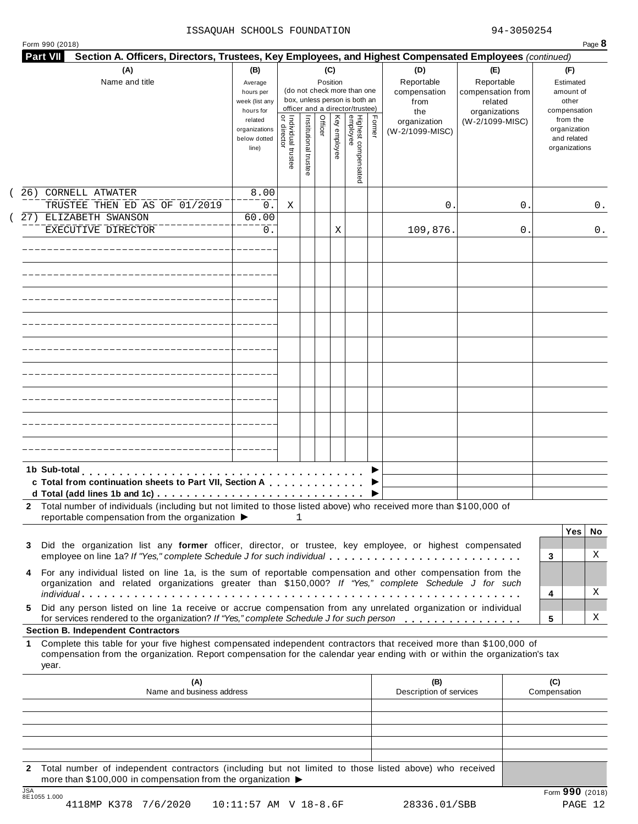### ISSAQUAH SCHOOLS FOUNDATION 94-3050254

| (A)<br>Name and title                                                                                                                                                                                                                                           | (B)<br>Average<br>hours per<br>week (list any<br>hours for |                                     |                       | (C)<br>Position |              | (do not check more than one<br>box, unless person is both an<br>officer and a director/trustee) |        | (D)<br>Reportable<br>compensation<br>from<br>the | (E)<br>Reportable<br>compensation from<br>related<br>organizations | (F)<br>Estimated<br>amount of<br>other<br>compensation   |     |
|-----------------------------------------------------------------------------------------------------------------------------------------------------------------------------------------------------------------------------------------------------------------|------------------------------------------------------------|-------------------------------------|-----------------------|-----------------|--------------|-------------------------------------------------------------------------------------------------|--------|--------------------------------------------------|--------------------------------------------------------------------|----------------------------------------------------------|-----|
|                                                                                                                                                                                                                                                                 | related<br>organizations<br>below dotted<br>line)          | Individual trustee<br>  or director | Institutional trustee | Officer         | Key employee | Highest compensated<br>employee                                                                 | Former | organization<br>(W-2/1099-MISC)                  | (W-2/1099-MISC)                                                    | from the<br>organization<br>and related<br>organizations |     |
| CORNELL ATWATER<br>26)<br>TRUSTEE THEN ED AS OF 01/2019                                                                                                                                                                                                         | 8.00<br>0.                                                 | Χ                                   |                       |                 |              |                                                                                                 |        | 0                                                | 0                                                                  |                                                          | 0.  |
| 27) ELIZABETH SWANSON                                                                                                                                                                                                                                           | 60.00                                                      |                                     |                       |                 |              |                                                                                                 |        |                                                  |                                                                    |                                                          |     |
| EXECUTIVE DIRECTOR                                                                                                                                                                                                                                              | 0.                                                         |                                     |                       |                 | Χ            |                                                                                                 |        | 109,876.                                         | 0                                                                  |                                                          | 0.  |
|                                                                                                                                                                                                                                                                 |                                                            |                                     |                       |                 |              |                                                                                                 |        |                                                  |                                                                    |                                                          |     |
|                                                                                                                                                                                                                                                                 |                                                            |                                     |                       |                 |              |                                                                                                 |        |                                                  |                                                                    |                                                          |     |
|                                                                                                                                                                                                                                                                 |                                                            |                                     |                       |                 |              |                                                                                                 |        |                                                  |                                                                    |                                                          |     |
|                                                                                                                                                                                                                                                                 |                                                            |                                     |                       |                 |              |                                                                                                 |        |                                                  |                                                                    |                                                          |     |
|                                                                                                                                                                                                                                                                 |                                                            |                                     |                       |                 |              |                                                                                                 |        |                                                  |                                                                    |                                                          |     |
|                                                                                                                                                                                                                                                                 |                                                            |                                     |                       |                 |              |                                                                                                 |        |                                                  |                                                                    |                                                          |     |
|                                                                                                                                                                                                                                                                 |                                                            |                                     |                       |                 |              |                                                                                                 |        |                                                  |                                                                    |                                                          |     |
|                                                                                                                                                                                                                                                                 |                                                            |                                     |                       |                 |              |                                                                                                 |        |                                                  |                                                                    |                                                          |     |
| 1b Sub-total<br>c Total from continuation sheets to Part VII, Section A                                                                                                                                                                                         |                                                            |                                     |                       |                 |              |                                                                                                 |        |                                                  |                                                                    |                                                          |     |
|                                                                                                                                                                                                                                                                 |                                                            |                                     |                       |                 |              |                                                                                                 |        |                                                  |                                                                    |                                                          |     |
| 2 Total number of individuals (including but not limited to those listed above) who received more than \$100,000 of<br>reportable compensation from the organization ▶                                                                                          |                                                            |                                     | $\mathbf{1}$          |                 |              |                                                                                                 |        |                                                  |                                                                    |                                                          |     |
| Did the organization list any former officer, director, or trustee, key employee, or highest compensated                                                                                                                                                        |                                                            |                                     |                       |                 |              |                                                                                                 |        |                                                  |                                                                    | <b>Yes</b>                                               | No. |
| 3<br>employee on line 1a? If "Yes," complete Schedule J for such individual                                                                                                                                                                                     |                                                            |                                     |                       |                 |              |                                                                                                 |        |                                                  |                                                                    | 3                                                        | X   |
| For any individual listed on line 1a, is the sum of reportable compensation and other compensation from the<br>4<br>organization and related organizations greater than \$150,000? If "Yes," complete Schedule J for such                                       |                                                            |                                     |                       |                 |              |                                                                                                 |        |                                                  |                                                                    |                                                          |     |
|                                                                                                                                                                                                                                                                 |                                                            |                                     |                       |                 |              |                                                                                                 |        |                                                  |                                                                    | 4                                                        | X   |
| Did any person listed on line 1a receive or accrue compensation from any unrelated organization or individual<br>5.<br>for services rendered to the organization? If "Yes," complete Schedule J for such person<br><b>Section B. Independent Contractors</b>    |                                                            |                                     |                       |                 |              |                                                                                                 |        |                                                  |                                                                    | 5                                                        | Χ   |
| Complete this table for your five highest compensated independent contractors that received more than \$100,000 of<br>1.<br>compensation from the organization. Report compensation for the calendar year ending with or within the organization's tax<br>year. |                                                            |                                     |                       |                 |              |                                                                                                 |        |                                                  |                                                                    |                                                          |     |
| (A)<br>Name and business address                                                                                                                                                                                                                                |                                                            |                                     |                       |                 |              |                                                                                                 |        | (B)<br>Description of services                   |                                                                    | (C)<br>Compensation                                      |     |
|                                                                                                                                                                                                                                                                 |                                                            |                                     |                       |                 |              |                                                                                                 |        |                                                  |                                                                    |                                                          |     |
|                                                                                                                                                                                                                                                                 |                                                            |                                     |                       |                 |              |                                                                                                 |        |                                                  |                                                                    |                                                          |     |
|                                                                                                                                                                                                                                                                 |                                                            |                                     |                       |                 |              |                                                                                                 |        |                                                  |                                                                    |                                                          |     |

JSA Form **990** (2018) 8E1055 1.000 4118MP K378 7/6/2020 10:11:57 AM V 18-8.6F 28336.01/SBB PAGE 12

more than \$100,000 in compensation from the organization  $\blacktriangleright$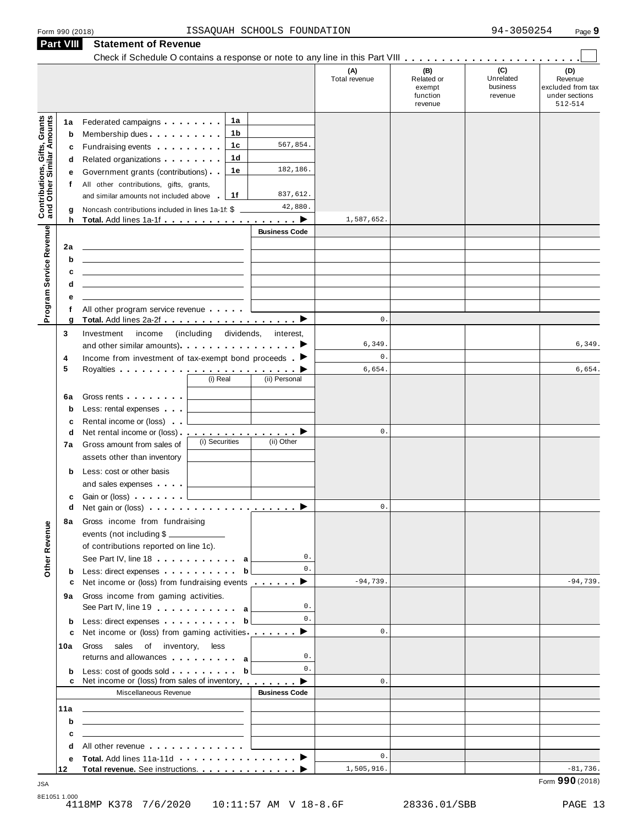| Form 990 (2018) |  |  |
|-----------------|--|--|
|                 |  |  |

|                                                                  | <b>Part VIII</b> | <b>Statement of Revenue</b>                                                                                                                                                                                                                   |                          |                      |                      |                                                    |                                         |                                                                  |
|------------------------------------------------------------------|------------------|-----------------------------------------------------------------------------------------------------------------------------------------------------------------------------------------------------------------------------------------------|--------------------------|----------------------|----------------------|----------------------------------------------------|-----------------------------------------|------------------------------------------------------------------|
|                                                                  |                  |                                                                                                                                                                                                                                               |                          |                      |                      |                                                    |                                         |                                                                  |
|                                                                  |                  |                                                                                                                                                                                                                                               |                          |                      | (A)<br>Total revenue | (B)<br>Related or<br>exempt<br>function<br>revenue | (C)<br>Unrelated<br>business<br>revenue | (D)<br>Revenue<br>excluded from tax<br>under sections<br>512-514 |
|                                                                  | 1а               | Federated campaigns <b>Federated</b>                                                                                                                                                                                                          | 1а                       |                      |                      |                                                    |                                         |                                                                  |
| <b>Contributions, Gifts, Grants</b><br>and Other Similar Amounts | b                | Membership dues                                                                                                                                                                                                                               | 1 b                      |                      |                      |                                                    |                                         |                                                                  |
|                                                                  | c                | Fundraising events <b>Fundraising</b>                                                                                                                                                                                                         | 1c                       | 567,854.             |                      |                                                    |                                         |                                                                  |
|                                                                  | d                | Related organizations <b>contains</b> and <b>Related</b> organizations <b>and</b> a set of the set of the set of the set of the set of the set of the set of the set of the set of the set of the set of the set of the set of the set of the | 1d                       |                      |                      |                                                    |                                         |                                                                  |
|                                                                  | е                | Government grants (contributions)                                                                                                                                                                                                             | 1е                       | 182,186.             |                      |                                                    |                                         |                                                                  |
|                                                                  | f                | All other contributions, gifts, grants,                                                                                                                                                                                                       |                          |                      |                      |                                                    |                                         |                                                                  |
|                                                                  |                  | and similar amounts not included above                                                                                                                                                                                                        | 1f                       | 837,612.<br>42,880.  |                      |                                                    |                                         |                                                                  |
|                                                                  | g<br>h           | Noncash contributions included in lines 1a-1f: \$                                                                                                                                                                                             |                          |                      | 1,587,652.           |                                                    |                                         |                                                                  |
|                                                                  |                  |                                                                                                                                                                                                                                               |                          | <b>Business Code</b> |                      |                                                    |                                         |                                                                  |
| Program Service Revenue                                          | 2a               |                                                                                                                                                                                                                                               |                          |                      |                      |                                                    |                                         |                                                                  |
|                                                                  | b                |                                                                                                                                                                                                                                               |                          |                      |                      |                                                    |                                         |                                                                  |
|                                                                  | c                | the control of the control of the control of the control of the control of the control of                                                                                                                                                     |                          |                      |                      |                                                    |                                         |                                                                  |
|                                                                  | d                | the control of the control of the control of the control of the control of the control of                                                                                                                                                     |                          |                      |                      |                                                    |                                         |                                                                  |
|                                                                  | е                |                                                                                                                                                                                                                                               |                          |                      |                      |                                                    |                                         |                                                                  |
|                                                                  | f                | All other program service revenue                                                                                                                                                                                                             |                          |                      |                      |                                                    |                                         |                                                                  |
|                                                                  | g                |                                                                                                                                                                                                                                               |                          |                      | $\mathsf{0}$ .       |                                                    |                                         |                                                                  |
|                                                                  | 3                | Investment<br>income                                                                                                                                                                                                                          | dividends,<br>(including | interest,            | 6,349                |                                                    |                                         | 6,349.                                                           |
|                                                                  | 4                | and other similar amounts) $\cdots$ $\cdots$ $\cdots$ $\cdots$<br>Income from investment of tax-exempt bond proceeds $\blacktriangleright$                                                                                                    |                          |                      | $\mathsf{0}$ .       |                                                    |                                         |                                                                  |
|                                                                  | 5                |                                                                                                                                                                                                                                               |                          |                      | 6,654.               |                                                    |                                         | 6,654.                                                           |
|                                                                  |                  |                                                                                                                                                                                                                                               | (i) Real                 | (ii) Personal        |                      |                                                    |                                         |                                                                  |
|                                                                  | 6a               |                                                                                                                                                                                                                                               |                          |                      |                      |                                                    |                                         |                                                                  |
|                                                                  | b                | Less: rental expenses                                                                                                                                                                                                                         |                          |                      |                      |                                                    |                                         |                                                                  |
|                                                                  | c                | Rental income or (loss)                                                                                                                                                                                                                       |                          |                      |                      |                                                    |                                         |                                                                  |
|                                                                  | d                | Net rental income or (loss) . ___________________                                                                                                                                                                                             |                          |                      | 0.                   |                                                    |                                         |                                                                  |
|                                                                  | 7a               | Gross amount from sales of                                                                                                                                                                                                                    | (i) Securities           | (ii) Other           |                      |                                                    |                                         |                                                                  |
|                                                                  |                  | assets other than inventory                                                                                                                                                                                                                   |                          |                      |                      |                                                    |                                         |                                                                  |
|                                                                  | b                | Less: cost or other basis                                                                                                                                                                                                                     |                          |                      |                      |                                                    |                                         |                                                                  |
|                                                                  |                  | and sales expenses                                                                                                                                                                                                                            |                          |                      |                      |                                                    |                                         |                                                                  |
|                                                                  | c                | Gain or (loss)                                                                                                                                                                                                                                |                          |                      | $\mathsf{0}$ .       |                                                    |                                         |                                                                  |
|                                                                  | d                |                                                                                                                                                                                                                                               |                          |                      |                      |                                                    |                                         |                                                                  |
| Revenue                                                          | 8а               | Gross income from fundraising<br>events (not including \$                                                                                                                                                                                     |                          |                      |                      |                                                    |                                         |                                                                  |
|                                                                  |                  | of contributions reported on line 1c).                                                                                                                                                                                                        |                          |                      |                      |                                                    |                                         |                                                                  |
|                                                                  |                  | See Part IV, line 18 and a set of the set of the set of the set of the set of the set of the set of the set of the set of the set of the set of the set of the set of the set of the set of the set of the set of the set of t                |                          | 0.                   |                      |                                                    |                                         |                                                                  |
| Other                                                            | b                | Less: direct expenses extensively belief to be a basic of the basic state of the basic state of the basic state of the basic state of the basic state of the basic state of the basic state of the basic state of the basic st                |                          | $\mathbf{0}$ .       |                      |                                                    |                                         |                                                                  |
|                                                                  | c                | Net income or (loss) from fundraising events $\qquad \qquad \blacktriangleright$                                                                                                                                                              |                          |                      | $-94,739.$           |                                                    |                                         | $-94,739.$                                                       |
|                                                                  | 9а               | Gross income from gaming activities.                                                                                                                                                                                                          |                          |                      |                      |                                                    |                                         |                                                                  |
|                                                                  |                  | See Part IV, line 19 and a later with a                                                                                                                                                                                                       |                          | 0.                   |                      |                                                    |                                         |                                                                  |
|                                                                  | b                | Less: direct expenses b                                                                                                                                                                                                                       |                          | 0.                   |                      |                                                    |                                         |                                                                  |
|                                                                  | c                | Net income or (loss) from gaming activities ________ ▶                                                                                                                                                                                        |                          |                      | $\mathbf{0}$ .       |                                                    |                                         |                                                                  |
|                                                                  | 10a              | Gross sales of inventory, less<br>returns and allowances a                                                                                                                                                                                    |                          | 0.                   |                      |                                                    |                                         |                                                                  |
|                                                                  | b                |                                                                                                                                                                                                                                               |                          | 0.                   |                      |                                                    |                                         |                                                                  |
|                                                                  | c                | Net income or (loss) from sales of inventory <b>example 1</b> ▶                                                                                                                                                                               |                          |                      | $\mathbf{0}$ .       |                                                    |                                         |                                                                  |
|                                                                  |                  | Miscellaneous Revenue                                                                                                                                                                                                                         |                          | <b>Business Code</b> |                      |                                                    |                                         |                                                                  |
|                                                                  | 11a              | <u> 1989 - John Harry Harry Harry Harry Harry Harry Harry Harry Harry Harry Harry Harry Harry Harry Harry Harry H</u>                                                                                                                         |                          |                      |                      |                                                    |                                         |                                                                  |
|                                                                  | b                | the contract of the contract of the contract of the contract of the contract of                                                                                                                                                               |                          |                      |                      |                                                    |                                         |                                                                  |
|                                                                  | c                | the contract of the contract of the contract of the contract of the contract of                                                                                                                                                               |                          |                      |                      |                                                    |                                         |                                                                  |
|                                                                  | d                | All other revenue                                                                                                                                                                                                                             |                          |                      |                      |                                                    |                                         |                                                                  |
|                                                                  | е                |                                                                                                                                                                                                                                               |                          |                      | $\mathbf{0}$ .       |                                                    |                                         |                                                                  |
|                                                                  | 12               |                                                                                                                                                                                                                                               |                          |                      | 1,505,916.           |                                                    |                                         | $-81,736.$                                                       |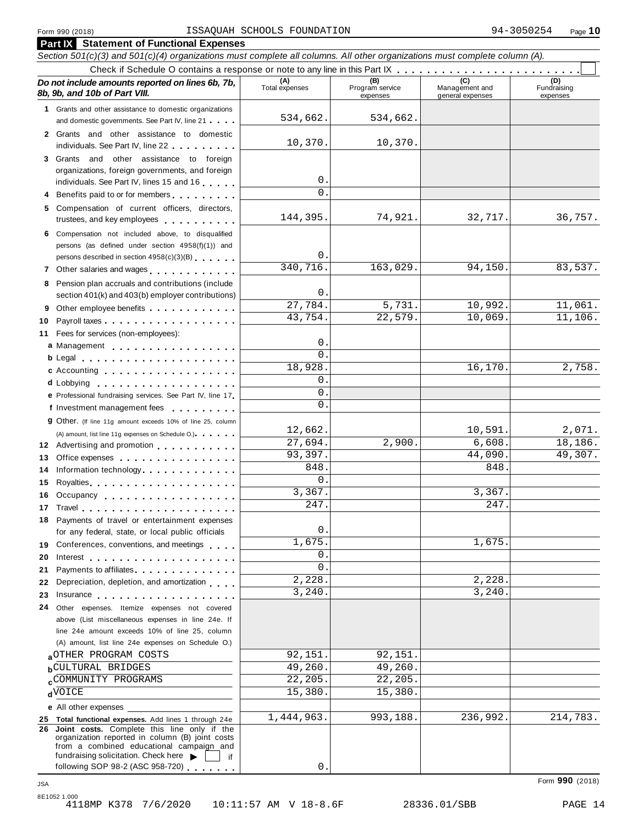|          | <b>Part IX</b> Statement of Functional Expenses                                                                                                                                                                                                                                |                           |                                    |                                    |                                |
|----------|--------------------------------------------------------------------------------------------------------------------------------------------------------------------------------------------------------------------------------------------------------------------------------|---------------------------|------------------------------------|------------------------------------|--------------------------------|
|          | Section 501(c)(3) and 501(c)(4) organizations must complete all columns. All other organizations must complete column (A).                                                                                                                                                     |                           |                                    |                                    |                                |
|          |                                                                                                                                                                                                                                                                                |                           |                                    |                                    |                                |
|          | Do not include amounts reported on lines 6b, 7b,<br>8b, 9b, and 10b of Part VIII.                                                                                                                                                                                              | (A)<br>Total expenses     | (B)<br>Program service<br>expenses | Management and<br>general expenses | (D)<br>Fundraising<br>expenses |
|          | 1 Grants and other assistance to domestic organizations                                                                                                                                                                                                                        |                           |                                    |                                    |                                |
|          | and domestic governments. See Part IV, line 21                                                                                                                                                                                                                                 | 534,662.                  | 534,662.                           |                                    |                                |
|          | 2 Grants and other assistance to domestic                                                                                                                                                                                                                                      |                           |                                    |                                    |                                |
|          | individuals. See Part IV, line 22                                                                                                                                                                                                                                              | 10,370.                   | 10,370.                            |                                    |                                |
|          | 3 Grants and other assistance to foreign                                                                                                                                                                                                                                       |                           |                                    |                                    |                                |
|          | organizations, foreign governments, and foreign                                                                                                                                                                                                                                |                           |                                    |                                    |                                |
|          | individuals. See Part IV, lines 15 and 16                                                                                                                                                                                                                                      | $\mathbf 0$<br>$\Omega$ . |                                    |                                    |                                |
| 4        | Benefits paid to or for members                                                                                                                                                                                                                                                |                           |                                    |                                    |                                |
|          | 5 Compensation of current officers, directors,                                                                                                                                                                                                                                 | 144,395.                  | 74,921.                            | 32,717.                            | 36,757.                        |
|          | trustees, and key employees entitled and the set of the set of the set of the set of the set of the set of the                                                                                                                                                                 |                           |                                    |                                    |                                |
|          | 6 Compensation not included above, to disqualified                                                                                                                                                                                                                             |                           |                                    |                                    |                                |
|          | persons (as defined under section 4958(f)(1)) and                                                                                                                                                                                                                              | $0$ .                     |                                    |                                    |                                |
|          | persons described in section 4958(c)(3)(B)                                                                                                                                                                                                                                     | 340, 716.                 | 163,029.                           | 94,150                             | 83,537.                        |
|          | 7 Other salaries and wages<br>1.1.1.1.1.1                                                                                                                                                                                                                                      |                           |                                    |                                    |                                |
| 8        | Pension plan accruals and contributions (include                                                                                                                                                                                                                               | $\mathbf 0$ .             |                                    |                                    |                                |
|          | section 401(k) and 403(b) employer contributions)                                                                                                                                                                                                                              | 27,784.                   | 5,731.                             | 10,992.                            | 11,061.                        |
| 9        | Other employee benefits                                                                                                                                                                                                                                                        | 43,754.                   | 22,579.                            | 10,069.                            | 11,106.                        |
| 10       |                                                                                                                                                                                                                                                                                |                           |                                    |                                    |                                |
| 11       | Fees for services (non-employees):                                                                                                                                                                                                                                             | 0                         |                                    |                                    |                                |
|          | a Management                                                                                                                                                                                                                                                                   | $\Omega$ .                |                                    |                                    |                                |
|          | b Legal experience in the set of the set of the set of the set of the set of the set of the set of the set of                                                                                                                                                                  | 18,928.                   |                                    | 16,170.                            | 2,758.                         |
|          | c Accounting                                                                                                                                                                                                                                                                   | $\mathbf 0$ .             |                                    |                                    |                                |
|          | <b>d</b> Lobbying<br>.                                                                                                                                                                                                                                                         | 0                         |                                    |                                    |                                |
|          | e Professional fundraising services. See Part IV, line 17                                                                                                                                                                                                                      | $\Omega$ .                |                                    |                                    |                                |
|          | f Investment management fees                                                                                                                                                                                                                                                   |                           |                                    |                                    |                                |
|          | <b>g</b> Other. (If line 11g amount exceeds 10% of line 25, column                                                                                                                                                                                                             | 12,662.                   |                                    | 10,591                             | 2,071.                         |
|          | (A) amount, list line 11g expenses on Schedule O.)                                                                                                                                                                                                                             | 27,694.                   | 2,900.                             | 6,608.                             | 18,186.                        |
|          | 12 Advertising and promotion                                                                                                                                                                                                                                                   | 93,397.                   |                                    | 44,090                             | 49,307.                        |
| 13       | Office expenses extensive and the set of the set of the set of the set of the set of the set of the set of the                                                                                                                                                                 | 848.                      |                                    | 848                                |                                |
| 14       | Information technology experiences                                                                                                                                                                                                                                             | 0.                        |                                    |                                    |                                |
| 15       |                                                                                                                                                                                                                                                                                | 3,367.                    |                                    | 3,367.                             |                                |
| 16       | Occupancy                                                                                                                                                                                                                                                                      | 247.                      |                                    | 247                                |                                |
|          |                                                                                                                                                                                                                                                                                |                           |                                    |                                    |                                |
|          | 18 Payments of travel or entertainment expenses<br>for any federal, state, or local public officials                                                                                                                                                                           | $\mathsf{O}$ .            |                                    |                                    |                                |
|          |                                                                                                                                                                                                                                                                                | 1,675.                    |                                    | 1,675                              |                                |
|          | 19 Conferences, conventions, and meetings                                                                                                                                                                                                                                      | $\mathbf 0$ .             |                                    |                                    |                                |
| 20       |                                                                                                                                                                                                                                                                                | $\Omega$ .                |                                    |                                    |                                |
| 21       | Payments to affiliates.<br>Depreciation, depletion, and amortization                                                                                                                                                                                                           | 2,228.                    |                                    | 2,228                              |                                |
| 22       |                                                                                                                                                                                                                                                                                | 3,240.                    |                                    | 3,240                              |                                |
| 23<br>24 | Insurance in the contract of the contract of the contract of the contract of the contract of the contract of the contract of the contract of the contract of the contract of the contract of the contract of the contract of t<br>Other expenses. Itemize expenses not covered |                           |                                    |                                    |                                |
|          | above (List miscellaneous expenses in line 24e. If                                                                                                                                                                                                                             |                           |                                    |                                    |                                |
|          | line 24e amount exceeds 10% of line 25, column                                                                                                                                                                                                                                 |                           |                                    |                                    |                                |
|          | (A) amount, list line 24e expenses on Schedule O.)                                                                                                                                                                                                                             |                           |                                    |                                    |                                |
|          | aOTHER PROGRAM COSTS                                                                                                                                                                                                                                                           | 92,151.                   | 92,151.                            |                                    |                                |
|          | <b>b</b> CULTURAL BRIDGES                                                                                                                                                                                                                                                      | 49,260.                   | 49,260.                            |                                    |                                |
|          | <b>cCOMMUNITY PROGRAMS</b>                                                                                                                                                                                                                                                     | 22,205.                   | 22,205.                            |                                    |                                |
|          | <b>d</b> OICE                                                                                                                                                                                                                                                                  | 15,380.                   | 15,380                             |                                    |                                |
|          | e All other expenses                                                                                                                                                                                                                                                           |                           |                                    |                                    |                                |
|          | 25 Total functional expenses. Add lines 1 through 24e                                                                                                                                                                                                                          | 1,444,963.                | 993,188.                           | 236,992.                           | 214,783.                       |
|          | 26 Joint costs. Complete this line only if the                                                                                                                                                                                                                                 |                           |                                    |                                    |                                |
|          | organization reported in column (B) joint costs<br>from a combined educational campaign and                                                                                                                                                                                    |                           |                                    |                                    |                                |
|          | fundraising solicitation. Check here<br>if                                                                                                                                                                                                                                     |                           |                                    |                                    |                                |

0.

Form **990** (2018) JSA

following SOP 98-2 (ASC 958-720) ...

8E1052 1.000 4118MP K378 7/6/2020 10:11:57 AM V 18-8.6F 28336.01/SBB PAGE 14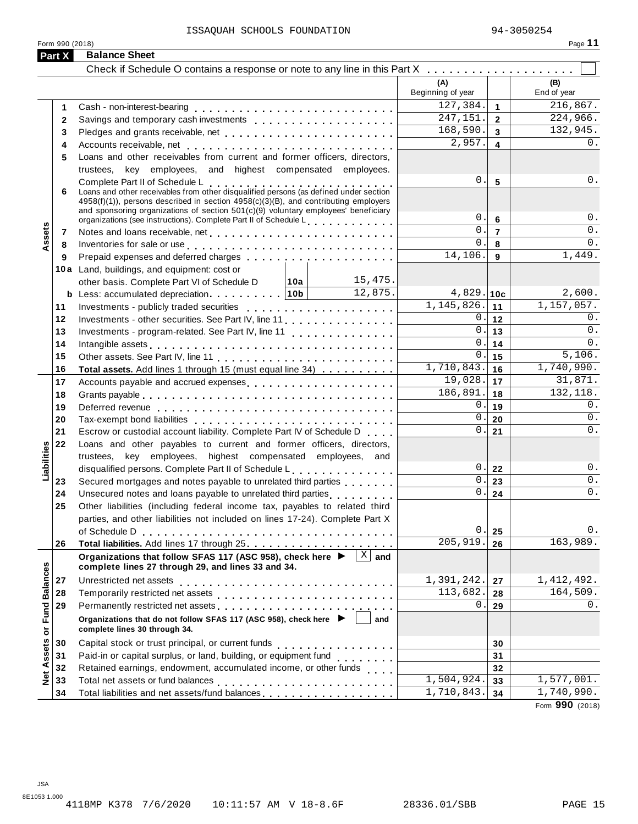| Form 990 (2018)<br>Part X | <b>Balance Sheet</b>                                                                                                                                                           |              |                          |                         | Page 11            |
|---------------------------|--------------------------------------------------------------------------------------------------------------------------------------------------------------------------------|--------------|--------------------------|-------------------------|--------------------|
|                           |                                                                                                                                                                                |              |                          |                         |                    |
|                           |                                                                                                                                                                                |              | (A)<br>Beginning of year |                         | (B)<br>End of year |
| 1                         |                                                                                                                                                                                |              | 127,384.                 | $\mathbf{1}$            | 216,867.           |
| $\mathbf{2}$              |                                                                                                                                                                                |              | 247, 151.                | $\overline{2}$          | 224,966.           |
| 3                         |                                                                                                                                                                                |              | 168,590.                 | $\overline{\mathbf{3}}$ | 132,945.           |
| 4                         |                                                                                                                                                                                |              | 2,957.                   | $\overline{4}$          | $0$ .              |
| 5                         | Loans and other receivables from current and former officers, directors,                                                                                                       |              |                          |                         |                    |
|                           | trustees, key employees, and highest compensated employees.                                                                                                                    |              |                          |                         |                    |
|                           |                                                                                                                                                                                |              | 0.                       | $5\phantom{1}$          | 0.                 |
| 6                         | Complete Part II of Schedule L<br>Loans and other receivables from other disqualified persons (as defined under section                                                        |              |                          |                         |                    |
|                           | $4958(f)(1)$ , persons described in section $4958(c)(3)(B)$ , and contributing employers<br>and sponsoring organizations of section 501(c)(9) voluntary employees' beneficiary |              |                          |                         |                    |
|                           | organizations (see instructions). Complete Part II of Schedule L.                                                                                                              |              | 0.                       | $6\phantom{1}$          | 0.                 |
| Assets<br>7               |                                                                                                                                                                                |              | $\mathbf{0}$ .           | $\overline{7}$          | $0$ .              |
| 8                         | Inventories for sale or use enterprise to contact the contact of the sale or use of the contact to contact the                                                                 |              | $\Omega$ .               | 8                       | 0.                 |
| 9                         |                                                                                                                                                                                |              | 14,106.                  | 9                       | 1,449.             |
|                           | 10a Land, buildings, and equipment: cost or                                                                                                                                    |              |                          |                         |                    |
|                           | other basis. Complete Part VI of Schedule D   10a                                                                                                                              | 15,475.      |                          |                         |                    |
|                           | <b>b</b> Less: accumulated depreciation   10b                                                                                                                                  | 12,875.      | $4,829.$ 10c             |                         | 2,600.             |
| 11                        |                                                                                                                                                                                |              | 1, 145, 826.             | 11                      | 1, 157, 057.       |
| 12                        |                                                                                                                                                                                |              | 0.1                      | 12                      | $0$ .              |
| 13                        | Investments - program-related. See Part IV, line 11                                                                                                                            |              | 0.                       | 13                      | $0$ .              |
| 14                        |                                                                                                                                                                                |              | 0.                       | 14                      | 0.                 |
| 15                        |                                                                                                                                                                                |              | 0.                       | 15                      | 5,106.             |
| 16                        | Total assets. Add lines 1 through 15 (must equal line 34)                                                                                                                      |              | 1,710,843.               | 16                      | 1,740,990.         |
| 17                        |                                                                                                                                                                                |              | 19,028.                  | 17                      | 31,871.            |
| 18                        |                                                                                                                                                                                |              | 186,891.                 | 18                      | 132,118.           |
| 19                        |                                                                                                                                                                                |              | $0$ .                    | 19                      | 0.                 |
| 20                        |                                                                                                                                                                                |              | 0.                       | 20                      | $0$ .              |
| 21                        | Escrow or custodial account liability. Complete Part IV of Schedule D                                                                                                          |              | 0.                       | 21                      | 0.                 |
| 22                        | Loans and other payables to current and former officers, directors,                                                                                                            |              |                          |                         |                    |
| Liabilities               | trustees, key employees, highest compensated employees, and                                                                                                                    |              |                          |                         |                    |
|                           | disqualified persons. Complete Part II of Schedule L.                                                                                                                          |              | 0.                       | 22                      | 0.                 |
| 23                        | Secured mortgages and notes payable to unrelated third parties                                                                                                                 |              | 0.                       | 23                      | 0.                 |
| 24                        | Unsecured notes and loans payable to unrelated third parties                                                                                                                   |              | $\overline{0}$ .         | 24                      | $0$ .              |
| 25                        | Other liabilities (including federal income tax, payables to related third                                                                                                     |              |                          |                         |                    |
|                           | parties, and other liabilities not included on lines 17-24). Complete Part X                                                                                                   |              |                          |                         |                    |
|                           |                                                                                                                                                                                |              | 0.                       | 25                      | 0.                 |
| 26                        |                                                                                                                                                                                |              | 205,919.                 | 26                      | 163,989.           |
|                           | Organizations that follow SFAS 117 (ASC 958), check here ▶<br>complete lines 27 through 29, and lines 33 and 34.                                                               | $X \mid$ and |                          |                         |                    |
| 27                        | Unrestricted net assets                                                                                                                                                        |              | 1,391,242.               | 27                      | 1,412,492.         |
| 28                        |                                                                                                                                                                                |              | 113,682.                 | 28                      | 164,509.           |
| 29                        | Permanently restricted net assets entertainment resumes and research and research and response to the results                                                                  |              | 0.                       | 29                      | 0.                 |
| <b>Fund Balances</b><br>ŏ | Organizations that do not follow SFAS 117 (ASC 958), check here ▶<br>complete lines 30 through 34.                                                                             | and          |                          |                         |                    |
| 30                        |                                                                                                                                                                                |              |                          | 30                      |                    |
| 31                        | Paid-in or capital surplus, or land, building, or equipment fund<br>                                                                                                           |              |                          | 31                      |                    |
| 32                        | Retained earnings, endowment, accumulated income, or other funds                                                                                                               |              |                          | 32                      |                    |
| <b>Net Assets</b><br>33   |                                                                                                                                                                                |              | 1,504,924.               | 33                      | 1,577,001.         |
| 34                        | Total liabilities and net assets/fund balances                                                                                                                                 |              | 1,710,843.               | 34                      | 1,740,990.         |

Form **990** (2018)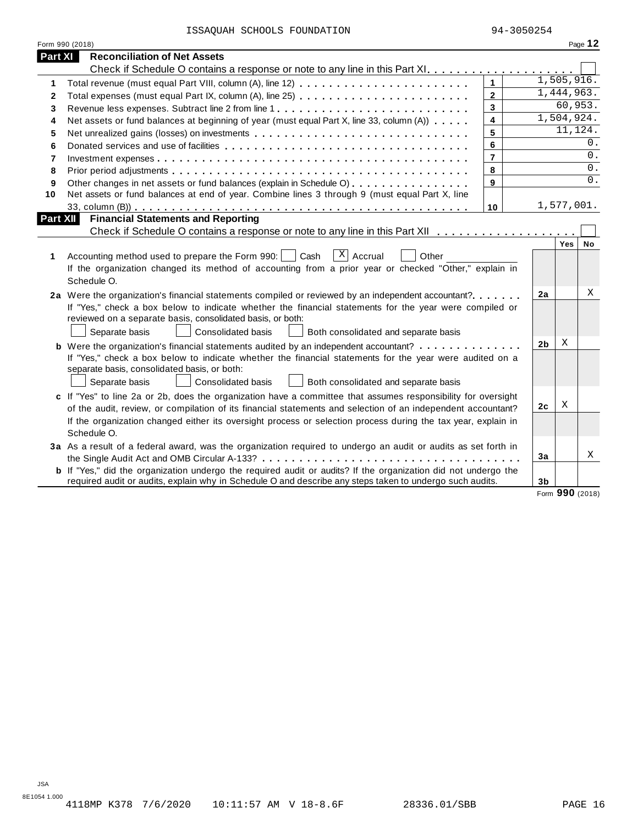|  |  | ISSAQUAH SCHOOLS FOUNDATION |
|--|--|-----------------------------|
|--|--|-----------------------------|

|          | Form 990 (2018)                                                                                                                                                                                                                                                                                                                                            |                         |                |            | Page 12 |
|----------|------------------------------------------------------------------------------------------------------------------------------------------------------------------------------------------------------------------------------------------------------------------------------------------------------------------------------------------------------------|-------------------------|----------------|------------|---------|
| Part XI  | <b>Reconciliation of Net Assets</b>                                                                                                                                                                                                                                                                                                                        |                         |                |            |         |
|          |                                                                                                                                                                                                                                                                                                                                                            |                         |                |            |         |
| 1        |                                                                                                                                                                                                                                                                                                                                                            | $\mathbf{1}$            |                | 1,505,916. |         |
| 2        |                                                                                                                                                                                                                                                                                                                                                            | $\overline{2}$          |                | 1,444,963. |         |
| 3        | Revenue less expenses. Subtract line 2 from line 1                                                                                                                                                                                                                                                                                                         | $\overline{3}$          |                | 60,953.    |         |
| 4        | Net assets or fund balances at beginning of year (must equal Part X, line 33, column (A))                                                                                                                                                                                                                                                                  | $\overline{\mathbf{4}}$ |                | 1,504,924. |         |
| 5        | Net unrealized gains (losses) on investments                                                                                                                                                                                                                                                                                                               | 5                       |                | 11,124.    |         |
| 6        |                                                                                                                                                                                                                                                                                                                                                            | 6                       |                |            | 0.      |
| 7        |                                                                                                                                                                                                                                                                                                                                                            | $\overline{7}$          |                |            | 0.      |
| 8        |                                                                                                                                                                                                                                                                                                                                                            | 8                       |                |            | 0.      |
| 9        | Other changes in net assets or fund balances (explain in Schedule O)                                                                                                                                                                                                                                                                                       | 9                       |                |            | 0.      |
| 10       | Net assets or fund balances at end of year. Combine lines 3 through 9 (must equal Part X, line                                                                                                                                                                                                                                                             |                         |                |            |         |
|          |                                                                                                                                                                                                                                                                                                                                                            | 10                      |                | 1,577,001. |         |
| Part XII | <b>Financial Statements and Reporting</b>                                                                                                                                                                                                                                                                                                                  |                         |                |            |         |
|          |                                                                                                                                                                                                                                                                                                                                                            |                         |                |            |         |
| 1        | $\lceil x \rceil$ Accrual<br>Accounting method used to prepare the Form 990:     Cash<br>Other<br>If the organization changed its method of accounting from a prior year or checked "Other," explain in<br>Schedule O.                                                                                                                                     |                         |                | Yes        | No      |
|          | 2a Were the organization's financial statements compiled or reviewed by an independent accountant?<br>If "Yes," check a box below to indicate whether the financial statements for the year were compiled or<br>reviewed on a separate basis, consolidated basis, or both:<br>Separate basis<br>Consolidated basis<br>Both consolidated and separate basis |                         | 2a             |            | Χ       |
|          | <b>b</b> Were the organization's financial statements audited by an independent accountant?                                                                                                                                                                                                                                                                |                         | 2 <sub>b</sub> | X          |         |
|          | If "Yes," check a box below to indicate whether the financial statements for the year were audited on a<br>separate basis, consolidated basis, or both:<br>Consolidated basis<br>Separate basis<br>Both consolidated and separate basis                                                                                                                    |                         |                |            |         |
|          | c If "Yes" to line 2a or 2b, does the organization have a committee that assumes responsibility for oversight                                                                                                                                                                                                                                              |                         |                |            |         |
|          | of the audit, review, or compilation of its financial statements and selection of an independent accountant?                                                                                                                                                                                                                                               |                         | 2c             | Χ          |         |
|          | If the organization changed either its oversight process or selection process during the tax year, explain in<br>Schedule O.                                                                                                                                                                                                                               |                         |                |            |         |
|          | 3a As a result of a federal award, was the organization required to undergo an audit or audits as set forth in                                                                                                                                                                                                                                             |                         |                |            |         |
|          |                                                                                                                                                                                                                                                                                                                                                            |                         | 3a             |            | Χ       |
|          | <b>b</b> If "Yes," did the organization undergo the required audit or audits? If the organization did not undergo the<br>required audit or audits, explain why in Schedule O and describe any steps taken to undergo such audits.                                                                                                                          |                         | 3 <sub>b</sub> |            |         |

Form **990** (2018)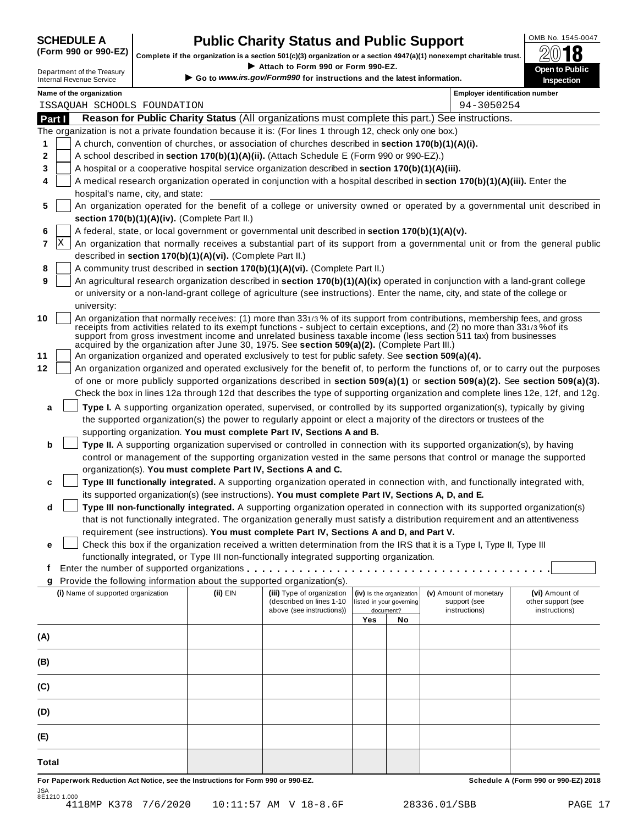# **SCHEDULE A Public Charity Status and Public Support**  $\frac{100 \text{dB No. }1545-0047}{000 \text{dB}}$

(Form 990 or 990-EZ) complete if the organization is a section 501(c)(3) organization or a section 4947(a)(1) nonexempt charitable trust.  $2018$ 

|              |                                                               |                                                            |                                                                                                              |     |                                       | Complete if the organization is a section 501(c)(3) organization or a section 4947(a)(1) nonexempt charitable trust.             | ZW IO                               |
|--------------|---------------------------------------------------------------|------------------------------------------------------------|--------------------------------------------------------------------------------------------------------------|-----|---------------------------------------|----------------------------------------------------------------------------------------------------------------------------------|-------------------------------------|
|              | Department of the Treasury<br><b>Internal Revenue Service</b> |                                                            | Attach to Form 990 or Form 990-EZ.<br>Go to www.irs.gov/Form990 for instructions and the latest information. |     |                                       |                                                                                                                                  | Open to Public<br><b>Inspection</b> |
|              | Name of the organization                                      |                                                            |                                                                                                              |     |                                       | <b>Employer identification number</b>                                                                                            |                                     |
|              | ISSAQUAH SCHOOLS FOUNDATION                                   |                                                            |                                                                                                              |     |                                       | 94-3050254                                                                                                                       |                                     |
| Part I       |                                                               |                                                            |                                                                                                              |     |                                       | Reason for Public Charity Status (All organizations must complete this part.) See instructions.                                  |                                     |
|              |                                                               |                                                            | The organization is not a private foundation because it is: (For lines 1 through 12, check only one box.)    |     |                                       |                                                                                                                                  |                                     |
| 1            |                                                               |                                                            | A church, convention of churches, or association of churches described in section 170(b)(1)(A)(i).           |     |                                       |                                                                                                                                  |                                     |
| 2            |                                                               |                                                            | A school described in section 170(b)(1)(A)(ii). (Attach Schedule E (Form 990 or 990-EZ).)                    |     |                                       |                                                                                                                                  |                                     |
| 3            |                                                               |                                                            | A hospital or a cooperative hospital service organization described in section 170(b)(1)(A)(iii).            |     |                                       |                                                                                                                                  |                                     |
| 4            | hospital's name, city, and state:                             |                                                            |                                                                                                              |     |                                       | A medical research organization operated in conjunction with a hospital described in section 170(b)(1)(A)(iii). Enter the        |                                     |
| 5            |                                                               |                                                            |                                                                                                              |     |                                       | An organization operated for the benefit of a college or university owned or operated by a governmental unit described in        |                                     |
|              |                                                               | section 170(b)(1)(A)(iv). (Complete Part II.)              |                                                                                                              |     |                                       |                                                                                                                                  |                                     |
| 6            |                                                               |                                                            | A federal, state, or local government or governmental unit described in section 170(b)(1)(A)(v).             |     |                                       |                                                                                                                                  |                                     |
| X<br>7       |                                                               |                                                            |                                                                                                              |     |                                       | An organization that normally receives a substantial part of its support from a governmental unit or from the general public     |                                     |
|              |                                                               | described in section 170(b)(1)(A)(vi). (Complete Part II.) |                                                                                                              |     |                                       |                                                                                                                                  |                                     |
| 8            |                                                               |                                                            | A community trust described in section 170(b)(1)(A)(vi). (Complete Part II.)                                 |     |                                       |                                                                                                                                  |                                     |
| 9            |                                                               |                                                            |                                                                                                              |     |                                       | An agricultural research organization described in section 170(b)(1)(A)(ix) operated in conjunction with a land-grant college    |                                     |
|              |                                                               |                                                            |                                                                                                              |     |                                       | or university or a non-land-grant college of agriculture (see instructions). Enter the name, city, and state of the college or   |                                     |
|              | university:                                                   |                                                            |                                                                                                              |     |                                       |                                                                                                                                  |                                     |
| 10           |                                                               |                                                            |                                                                                                              |     |                                       | An organization that normally receives: (1) more than 331/3% of its support from contributions, membership fees, and gross       |                                     |
|              |                                                               |                                                            |                                                                                                              |     |                                       | receipts from activities related to its exempt functions - subject to certain exceptions, and (2) no more than 331/3% of its     |                                     |
|              |                                                               |                                                            | acquired by the organization after June 30, 1975. See section 509(a)(2). (Complete Part III.)                |     |                                       | support from gross investment income and unrelated business taxable income (less section 511 tax) from businesses                |                                     |
| 11           |                                                               |                                                            | An organization organized and operated exclusively to test for public safety. See section 509(a)(4).         |     |                                       |                                                                                                                                  |                                     |
| 12           |                                                               |                                                            |                                                                                                              |     |                                       | An organization organized and operated exclusively for the benefit of, to perform the functions of, or to carry out the purposes |                                     |
|              |                                                               |                                                            |                                                                                                              |     |                                       | of one or more publicly supported organizations described in section 509(a)(1) or section 509(a)(2). See section 509(a)(3).      |                                     |
|              |                                                               |                                                            |                                                                                                              |     |                                       | Check the box in lines 12a through 12d that describes the type of supporting organization and complete lines 12e, 12f, and 12g.  |                                     |
|              |                                                               |                                                            |                                                                                                              |     |                                       |                                                                                                                                  |                                     |
| а            |                                                               |                                                            |                                                                                                              |     |                                       | Type I. A supporting organization operated, supervised, or controlled by its supported organization(s), typically by giving      |                                     |
|              |                                                               |                                                            |                                                                                                              |     |                                       | the supported organization(s) the power to regularly appoint or elect a majority of the directors or trustees of the             |                                     |
|              |                                                               |                                                            | supporting organization. You must complete Part IV, Sections A and B.                                        |     |                                       |                                                                                                                                  |                                     |
| b            |                                                               |                                                            |                                                                                                              |     |                                       | Type II. A supporting organization supervised or controlled in connection with its supported organization(s), by having          |                                     |
|              |                                                               |                                                            |                                                                                                              |     |                                       | control or management of the supporting organization vested in the same persons that control or manage the supported             |                                     |
|              |                                                               |                                                            | organization(s). You must complete Part IV, Sections A and C.                                                |     |                                       |                                                                                                                                  |                                     |
| c            |                                                               |                                                            |                                                                                                              |     |                                       | Type III functionally integrated. A supporting organization operated in connection with, and functionally integrated with,       |                                     |
|              |                                                               |                                                            | its supported organization(s) (see instructions). You must complete Part IV, Sections A, D, and E.           |     |                                       |                                                                                                                                  |                                     |
| d            |                                                               |                                                            |                                                                                                              |     |                                       | Type III non-functionally integrated. A supporting organization operated in connection with its supported organization(s)        |                                     |
|              |                                                               |                                                            |                                                                                                              |     |                                       | that is not functionally integrated. The organization generally must satisfy a distribution requirement and an attentiveness     |                                     |
|              |                                                               |                                                            | requirement (see instructions). You must complete Part IV, Sections A and D, and Part V.                     |     |                                       |                                                                                                                                  |                                     |
| е            |                                                               |                                                            |                                                                                                              |     |                                       | Check this box if the organization received a written determination from the IRS that it is a Type I, Type II, Type III          |                                     |
|              |                                                               |                                                            | functionally integrated, or Type III non-functionally integrated supporting organization.                    |     |                                       |                                                                                                                                  |                                     |
| f            |                                                               |                                                            |                                                                                                              |     |                                       |                                                                                                                                  |                                     |
| g            |                                                               |                                                            | Provide the following information about the supported organization(s).                                       |     |                                       |                                                                                                                                  |                                     |
|              | (i) Name of supported organization                            | (ii) EIN                                                   | (iii) Type of organization<br>(described on lines 1-10                                                       |     | (iv) Is the organization              | (v) Amount of monetary                                                                                                           | (vi) Amount of                      |
|              |                                                               |                                                            | above (see instructions))                                                                                    |     | listed in your governing<br>document? | support (see<br>instructions)                                                                                                    | other support (see<br>instructions) |
|              |                                                               |                                                            |                                                                                                              | Yes | No                                    |                                                                                                                                  |                                     |
| (A)          |                                                               |                                                            |                                                                                                              |     |                                       |                                                                                                                                  |                                     |
|              |                                                               |                                                            |                                                                                                              |     |                                       |                                                                                                                                  |                                     |
| (B)          |                                                               |                                                            |                                                                                                              |     |                                       |                                                                                                                                  |                                     |
|              |                                                               |                                                            |                                                                                                              |     |                                       |                                                                                                                                  |                                     |
| (C)          |                                                               |                                                            |                                                                                                              |     |                                       |                                                                                                                                  |                                     |
|              |                                                               |                                                            |                                                                                                              |     |                                       |                                                                                                                                  |                                     |
|              |                                                               |                                                            |                                                                                                              |     |                                       |                                                                                                                                  |                                     |
| (D)          |                                                               |                                                            |                                                                                                              |     |                                       |                                                                                                                                  |                                     |
|              |                                                               |                                                            |                                                                                                              |     |                                       |                                                                                                                                  |                                     |
| (E)          |                                                               |                                                            |                                                                                                              |     |                                       |                                                                                                                                  |                                     |
|              |                                                               |                                                            |                                                                                                              |     |                                       |                                                                                                                                  |                                     |
| <b>Total</b> |                                                               |                                                            |                                                                                                              |     |                                       |                                                                                                                                  |                                     |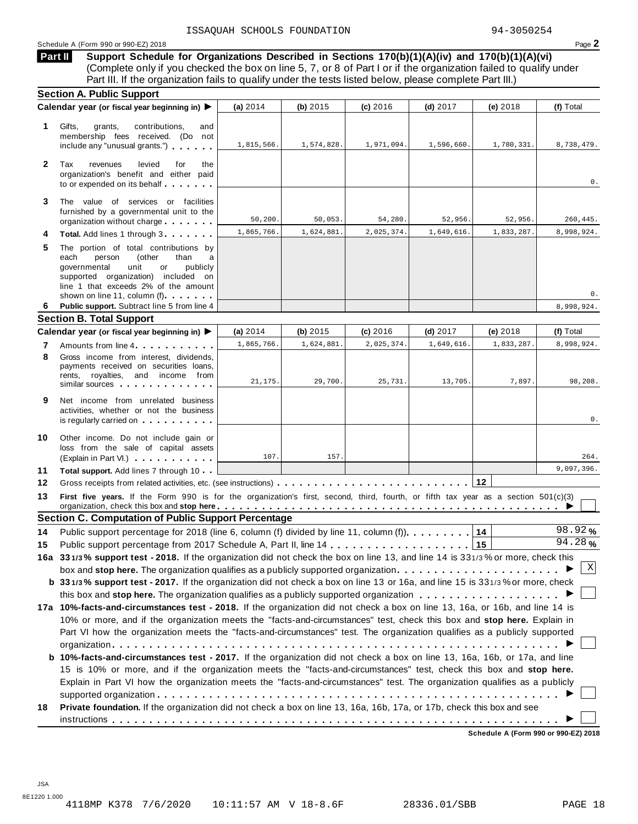## Schedule <sup>A</sup> (Form <sup>990</sup> or 990-EZ) <sup>2018</sup> Page **2**

**Support Schedule for Organizations Described in Sections 170(b)(1)(A)(iv) and 170(b)(1)(A)(vi)** Complete only if you checked the box on line 5, 7, or 8 of Part I or if the organization failed to qualify under Part III. If the organization fails to qualify under the tests listed below, please complete Part III.) **Part II**

|              | <b>Section A. Public Support</b>                                                                                                                                                                                                                                                                                                                                              |            |            |            |                                     |            |            |
|--------------|-------------------------------------------------------------------------------------------------------------------------------------------------------------------------------------------------------------------------------------------------------------------------------------------------------------------------------------------------------------------------------|------------|------------|------------|-------------------------------------|------------|------------|
|              | Calendar year (or fiscal year beginning in)                                                                                                                                                                                                                                                                                                                                   | (a) $2014$ | (b) 2015   | (c) 2016   | $(d)$ 2017                          | (e) 2018   | (f) Total  |
| 1.           | Gifts,<br>grants,<br>contributions,<br>and<br>membership fees received. (Do not<br>include any "unusual grants.")                                                                                                                                                                                                                                                             | 1,815,566. | 1,574,828. | 1,971,094. | 1,596,660.                          | 1,780,331. | 8,738,479. |
| $\mathbf{2}$ | Tax<br>revenues<br>levied<br>for<br>the<br>organization's benefit and either paid<br>to or expended on its behalf                                                                                                                                                                                                                                                             |            |            |            |                                     |            | 0.         |
| 3            | The value of services or facilities<br>furnished by a governmental unit to the<br>organization without charge                                                                                                                                                                                                                                                                 | 50, 200.   | 50,053.    | 54,280.    | 52,956.                             | 52,956.    | 260, 445.  |
| 4            | Total. Add lines 1 through 3                                                                                                                                                                                                                                                                                                                                                  | 1,865,766. | 1,624,881. | 2,025,374  | 1,649,616.                          | 1,833,287. | 8,998,924. |
| 5            | The portion of total contributions by<br>person<br>(other<br>than<br>each<br>a<br>governmental<br>unit<br>publicly<br>or<br>supported organization) included on<br>line 1 that exceeds 2% of the amount<br>shown on line 11, column (f)                                                                                                                                       |            |            |            |                                     |            | 0.         |
| 6            | Public support. Subtract line 5 from line 4                                                                                                                                                                                                                                                                                                                                   |            |            |            |                                     |            | 8,998,924. |
|              | <b>Section B. Total Support</b>                                                                                                                                                                                                                                                                                                                                               |            |            |            |                                     |            |            |
|              | Calendar year (or fiscal year beginning in)                                                                                                                                                                                                                                                                                                                                   | (a) $2014$ | (b) 2015   | (c) 2016   | $(d)$ 2017                          | (e) 2018   | (f) Total  |
| 7            | Amounts from line 4                                                                                                                                                                                                                                                                                                                                                           | 1,865,766. | 1,624,881. | 2,025,374  | 1,649,616                           | 1,833,287  | 8,998,924. |
| 8            | Gross income from interest, dividends,<br>payments received on securities loans,<br>rents, royalties, and income from<br>similar sources experiences                                                                                                                                                                                                                          | 21, 175.   | 29,700.    | 25,731.    | 13,705.                             | 7,897.     | 98,208.    |
| 9            | Net income from unrelated business<br>activities, whether or not the business<br>is regularly carried on the control of the control of the control of the control of the control of the control of the control of the control of the control of the control of the control of the control of the control of the                                                               |            |            |            |                                     |            | 0.         |
| 10           | Other income. Do not include gain or<br>loss from the sale of capital assets<br>(Explain in Part VI.)                                                                                                                                                                                                                                                                         | 107.       | 157.       |            |                                     |            | 264.       |
| 11           | Total support. Add lines 7 through 10                                                                                                                                                                                                                                                                                                                                         |            |            |            |                                     |            | 9,097,396. |
| 12           |                                                                                                                                                                                                                                                                                                                                                                               |            |            |            |                                     | 12         |            |
| 13           | First five years. If the Form 990 is for the organization's first, second, third, fourth, or fifth tax year as a section 501(c)(3)<br>organization, check this box and stop here entitled and state of the state of the state of the state of the state of the state of the state of the state of the state of the state of the state of the state of the state of t          |            |            |            |                                     |            |            |
|              | <b>Section C. Computation of Public Support Percentage</b>                                                                                                                                                                                                                                                                                                                    |            |            |            |                                     |            |            |
| 14           | Public support percentage for 2018 (line 6, column (f) divided by line 11, column (f)).                                                                                                                                                                                                                                                                                       |            |            |            |                                     | 14         | 98.92%     |
| 15           |                                                                                                                                                                                                                                                                                                                                                                               |            |            |            |                                     | 15         | 94.28%     |
|              | 16a 331/3% support test - 2018. If the organization did not check the box on line 13, and line 14 is 331/3% or more, check this                                                                                                                                                                                                                                               |            |            |            |                                     |            |            |
|              | box and stop here. The organization qualifies as a publicly supported organization                                                                                                                                                                                                                                                                                            |            |            |            |                                     |            | Χ          |
|              | b 331/3% support test - 2017. If the organization did not check a box on line 13 or 16a, and line 15 is 331/3% or more, check                                                                                                                                                                                                                                                 |            |            |            |                                     |            |            |
|              |                                                                                                                                                                                                                                                                                                                                                                               |            |            |            |                                     |            |            |
|              | 17a 10%-facts-and-circumstances test - 2018. If the organization did not check a box on line 13, 16a, or 16b, and line 14 is                                                                                                                                                                                                                                                  |            |            |            |                                     |            |            |
|              | 10% or more, and if the organization meets the "facts-and-circumstances" test, check this box and stop here. Explain in                                                                                                                                                                                                                                                       |            |            |            |                                     |            |            |
|              | Part VI how the organization meets the "facts-and-circumstances" test. The organization qualifies as a publicly supported                                                                                                                                                                                                                                                     |            |            |            |                                     |            |            |
|              |                                                                                                                                                                                                                                                                                                                                                                               |            |            |            |                                     |            |            |
|              | b 10%-facts-and-circumstances test - 2017. If the organization did not check a box on line 13, 16a, 16b, or 17a, and line<br>15 is 10% or more, and if the organization meets the "facts-and-circumstances" test, check this box and stop here.<br>Explain in Part VI how the organization meets the "facts-and-circumstances" test. The organization qualifies as a publicly |            |            |            |                                     |            |            |
| 18           | Private foundation. If the organization did not check a box on line 13, 16a, 16b, 17a, or 17b, check this box and see                                                                                                                                                                                                                                                         |            |            |            | Cahadula A (Farm 000 ar 000 EZ) 201 |            |            |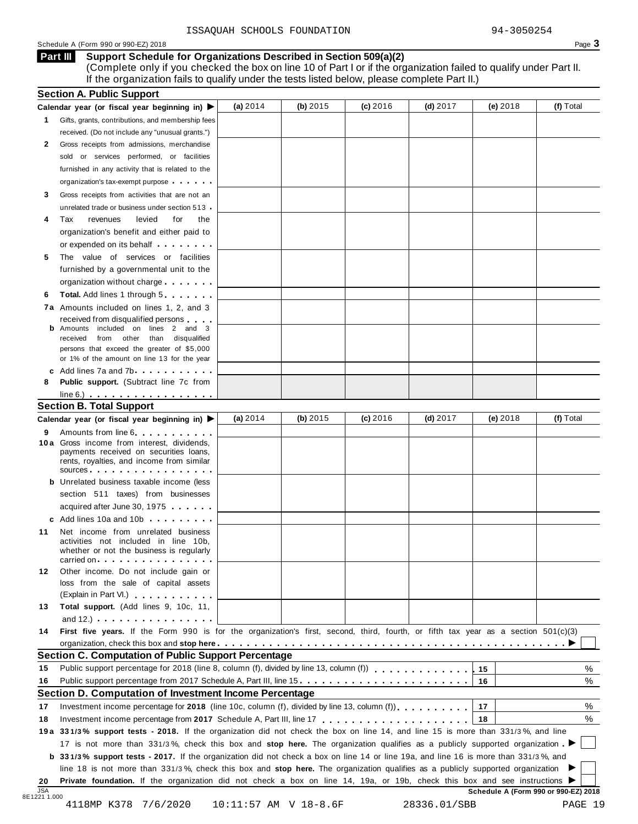### Schedule <sup>A</sup> (Form <sup>990</sup> or 990-EZ) <sup>2018</sup> Page **3**

### **Support Schedule for Organizations Described in Section 509(a)(2) Part III**

(Complete only if you checked the box on line 10 of Part I or if the organization failed to qualify under Part II. If the organization fails to qualify under the tests listed below, please complete Part II.)

|          | <b>Section A. Public Support</b><br>Calendar year (or fiscal year beginning in) $\blacktriangleright$                                                                                                                                                        | (a) 2014 | (b) 2015 | (c) 2016 | $(d)$ 2017 | (e) 2018 | (f) Total |
|----------|--------------------------------------------------------------------------------------------------------------------------------------------------------------------------------------------------------------------------------------------------------------|----------|----------|----------|------------|----------|-----------|
| 1.       | Gifts, grants, contributions, and membership fees                                                                                                                                                                                                            |          |          |          |            |          |           |
|          | received. (Do not include any "unusual grants.")                                                                                                                                                                                                             |          |          |          |            |          |           |
| 2        | Gross receipts from admissions, merchandise                                                                                                                                                                                                                  |          |          |          |            |          |           |
|          | sold or services performed, or facilities                                                                                                                                                                                                                    |          |          |          |            |          |           |
|          | furnished in any activity that is related to the                                                                                                                                                                                                             |          |          |          |            |          |           |
|          | organization's tax-exempt purpose                                                                                                                                                                                                                            |          |          |          |            |          |           |
| 3        |                                                                                                                                                                                                                                                              |          |          |          |            |          |           |
|          | Gross receipts from activities that are not an<br>unrelated trade or business under section 513.                                                                                                                                                             |          |          |          |            |          |           |
|          | Tax<br>revenues<br>levied<br>for<br>the                                                                                                                                                                                                                      |          |          |          |            |          |           |
| 4        |                                                                                                                                                                                                                                                              |          |          |          |            |          |           |
|          | organization's benefit and either paid to                                                                                                                                                                                                                    |          |          |          |            |          |           |
|          | or expended on its behalf                                                                                                                                                                                                                                    |          |          |          |            |          |           |
| 5        | The value of services or facilities                                                                                                                                                                                                                          |          |          |          |            |          |           |
|          | furnished by a governmental unit to the                                                                                                                                                                                                                      |          |          |          |            |          |           |
|          | organization without charge                                                                                                                                                                                                                                  |          |          |          |            |          |           |
| 6        | <b>Total.</b> Add lines 1 through 5                                                                                                                                                                                                                          |          |          |          |            |          |           |
|          | 7a Amounts included on lines 1, 2, and 3                                                                                                                                                                                                                     |          |          |          |            |          |           |
|          | received from disqualified persons<br>Amounts included on lines 2 and 3                                                                                                                                                                                      |          |          |          |            |          |           |
| b        | received from other than disqualified                                                                                                                                                                                                                        |          |          |          |            |          |           |
|          | persons that exceed the greater of \$5,000                                                                                                                                                                                                                   |          |          |          |            |          |           |
|          | or 1% of the amount on line 13 for the year                                                                                                                                                                                                                  |          |          |          |            |          |           |
|          | c Add lines 7a and 7b.                                                                                                                                                                                                                                       |          |          |          |            |          |           |
| 8        | Public support. (Subtract line 7c from                                                                                                                                                                                                                       |          |          |          |            |          |           |
|          | $line 6.)$                                                                                                                                                                                                                                                   |          |          |          |            |          |           |
|          | <b>Section B. Total Support</b>                                                                                                                                                                                                                              |          |          |          |            |          |           |
|          | Calendar year (or fiscal year beginning in) ▶                                                                                                                                                                                                                | (a) 2014 | (b) 2015 | (c) 2016 | $(d)$ 2017 | (e) 2018 | (f) Total |
| 9        | Amounts from line 6                                                                                                                                                                                                                                          |          |          |          |            |          |           |
|          | 10 a Gross income from interest, dividends,<br>payments received on securities loans,                                                                                                                                                                        |          |          |          |            |          |           |
|          | rents, royalties, and income from similar<br>SOUICES                                                                                                                                                                                                         |          |          |          |            |          |           |
|          | <b>b</b> Unrelated business taxable income (less                                                                                                                                                                                                             |          |          |          |            |          |           |
|          | section 511 taxes) from businesses                                                                                                                                                                                                                           |          |          |          |            |          |           |
|          | acquired after June 30, 1975                                                                                                                                                                                                                                 |          |          |          |            |          |           |
|          | c Add lines 10a and 10b                                                                                                                                                                                                                                      |          |          |          |            |          |           |
| 11       | Net income from unrelated business                                                                                                                                                                                                                           |          |          |          |            |          |           |
|          | activities not included in line 10b,<br>whether or not the business is regularly                                                                                                                                                                             |          |          |          |            |          |           |
|          | carried on entering the set of the set of the set of the set of the set of the set of the set of the set of the                                                                                                                                              |          |          |          |            |          |           |
| 12       | Other income. Do not include gain or                                                                                                                                                                                                                         |          |          |          |            |          |           |
|          | loss from the sale of capital assets                                                                                                                                                                                                                         |          |          |          |            |          |           |
|          | (Explain in Part VI.) <b>All and Street Act 2019</b>                                                                                                                                                                                                         |          |          |          |            |          |           |
| 13       | Total support. (Add lines 9, 10c, 11,<br>and 12.) $\ldots$ $\ldots$ $\ldots$ $\ldots$ $\ldots$                                                                                                                                                               |          |          |          |            |          |           |
| 14       | First five years. If the Form 990 is for the organization's first, second, third, fourth, or fifth tax year as a section 501(c)(3)                                                                                                                           |          |          |          |            |          |           |
|          |                                                                                                                                                                                                                                                              |          |          |          |            |          |           |
|          | <b>Section C. Computation of Public Support Percentage</b>                                                                                                                                                                                                   |          |          |          |            |          |           |
| 15       |                                                                                                                                                                                                                                                              |          |          |          |            | 15       | %         |
| 16       | Public support percentage from 2017 Schedule A, Part III, line 15.                                                                                                                                                                                           |          |          |          |            | 16       | %         |
|          | Section D. Computation of Investment Income Percentage                                                                                                                                                                                                       |          |          |          |            |          |           |
|          |                                                                                                                                                                                                                                                              |          |          |          |            | 17       | %         |
|          |                                                                                                                                                                                                                                                              |          |          |          |            |          |           |
|          | Investment income percentage for 2018 (line 10c, column (f), divided by line 13, column (f) $\ldots$ ,,,,,,,                                                                                                                                                 |          |          |          |            | 18       | %         |
|          |                                                                                                                                                                                                                                                              |          |          |          |            |          |           |
| 17<br>18 | 19a 331/3% support tests - 2018. If the organization did not check the box on line 14, and line 15 is more than 331/3%, and line                                                                                                                             |          |          |          |            |          |           |
|          | 17 is not more than 331/3%, check this box and stop here. The organization qualifies as a publicly supported organization                                                                                                                                    |          |          |          |            |          |           |
|          | b 331/3% support tests - 2017. If the organization did not check a box on line 14 or line 19a, and line 16 is more than 331/3%, and                                                                                                                          |          |          |          |            |          |           |
|          | line 18 is not more than 331/3%, check this box and stop here. The organization qualifies as a publicly supported organization<br>Private foundation. If the organization did not check a box on line 14, 19a, or 19b, check this box and see instructions ▶ |          |          |          |            |          |           |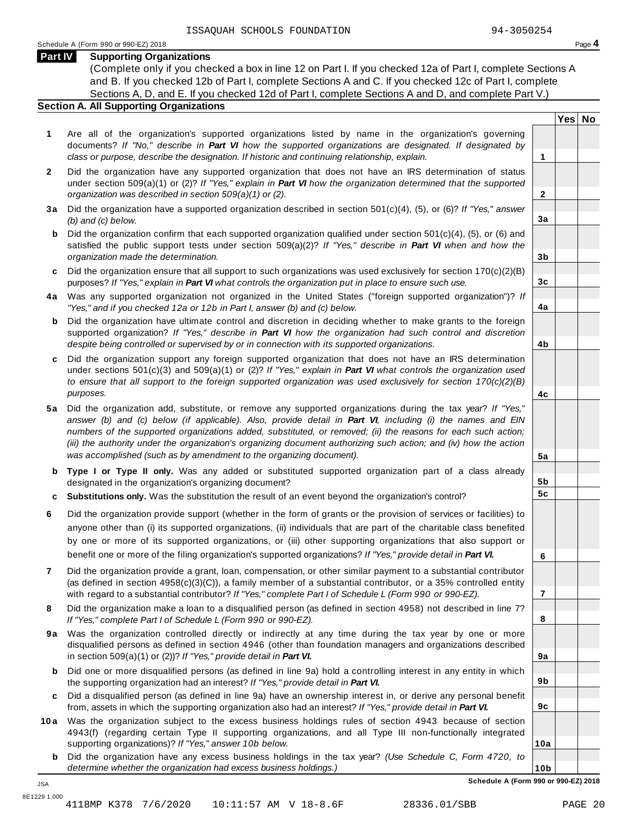**Yes No**

**2**

**3a**

**3b**

**3c**

**4a**

**4b**

**4c**

**5a**

**5b 5c**

**6**

**7**

**8**

**9a**

**9b**

**9c**

**10a**

# **Part IV Supporting Organizations**

(Complete only if you checked a box in line 12 on Part I. If you checked 12a of Part I, complete Sections A and B. If you checked 12b of Part I, complete Sections A and C. If you checked 12c of Part I, complete Sections A, D, and E. If you checked 12d of Part I, complete Sections A and D, and complete Part V.)

# **Section A. All Supporting Organizations**

- **1** Are all of the organization's supported organizations listed by name in the organization's governing documents? *If "No," describe in Part VI how the supported organizations are designated. If designated by class or purpose, describe the designation. If historic and continuing relationship, explain.* **1**
- **2** Did the organization have any supported organization that does not have an IRS determination of status under section 509(a)(1) or (2)? *If"Yes," explain in Part VI how the organization determined that the supported organization was described in section 509(a)(1) or (2).*
- **3 a** Did the organization have a supported organization described in section 501(c)(4), (5), or (6)? *If "Yes," answer (b) and (c) below.*
- **b** Did the organization confirm that each supported organization qualified under section 501(c)(4), (5), or (6) and | satisfied the public support tests under section 509(a)(2)? *If "Yes," describe in Part VI when and how the organization made the determination.*
- **c** Did the organization ensure that all support to such organizations was used exclusively for section 170(c)(2)(B) purposes? *If"Yes," explain in Part VI what controls the organization put in place to ensure such use.*
- **4 a** Was any supported organization not organized in the United States ("foreign supported organization")? *If "Yes," and if you checked 12a or 12b in Part I, answer (b) and (c) below.*
- **b** Did the organization have ultimate control and discretion in deciding whether to make grants to the foreign | supported organization? *If "Yes," describe in Part VI how the organization had such control and discretion despite being controlled or supervised by or in connection with its supported organizations.*
- **c** Did the organization support any foreign supported organization that does not have an IRS determination | under sections 501(c)(3) and 509(a)(1) or (2)? *If "Yes," explain in Part VI what controls the organization used to ensure that all support to the foreign supported organization was used exclusively for section 170(c)(2)(B) purposes.*
- **5 a** Did the organization add, substitute, or remove any supported organizations during the tax year? *If "Yes,"* answer (b) and (c) below (if applicable). Also, provide detail in Part VI, including (i) the names and EIN *numbers of the supported organizations added, substituted, or removed; (ii) the reasons for each such action;* (iii) the authority under the organization's organizing document authorizing such action; and (iv) how the action *was accomplished (such as by amendment to the organizing document).*
- **b Type I or Type II only.** Was any added or substituted supported organization part of a class already designated in the organization's organizing document?
- **c Substitutions only.** Was the substitution the result of an event beyond the organization's control?
- **6** Did the organization provide support (whether in the form of grants or the provision of services or facilities) to anyone other than (i) its supported organizations, (ii) individuals that are part of the charitable class benefited by one or more of its supported organizations, or (iii) other supporting organizations that also support or benefit one or more of the filing organization's supported organizations? *If"Yes," provide detail in Part VI.*
- **7** Did the organization provide a grant, loan, compensation, or other similar payment to a substantial contributor (as defined in section 4958(c)(3)(C)), a family member of a substantial contributor, or a 35% controlled entity with regard to a substantial contributor? *If"Yes," complete Part I of Schedule L (Form 990 or 990-EZ).*
- **8** Did the organization make a loan to a disqualified person (as defined in section 4958) not described in line 7? *If "Yes," complete Part I of Schedule L (Form 990 or 990-EZ).*
- **9a** Was the organization controlled directly or indirectly at any time during the tax year by one or more | disqualified persons as defined in section 4946 (other than foundation managers and organizations described in section 509(a)(1) or (2))? *If"Yes," provide detail in Part VI.*
- **b** Did one or more disqualified persons (as defined in line 9a) hold a controlling interest in any entity in which | the supporting organization had an interest? *If"Yes," provide detail in Part VI.*
- **c** Did a disqualified person (as defined in line 9a) have an ownership interest in, or derive any personal benefit from, assets in which the supporting organization also had an interest? *If"Yes," provide detail in Part VI.*
- **10a** Was the organization subject to the excess business holdings rules of section 4943 because of section | 4943(f) (regarding certain Type II supporting organizations, and all Type III non-functionally integrated supporting organizations)? *If"Yes," answer 10b below.*
	- **b** Did the organization have any excess business holdings in the tax year? *(Use Schedule C, Form 4720, to determine whether the organization had excess business holdings.)*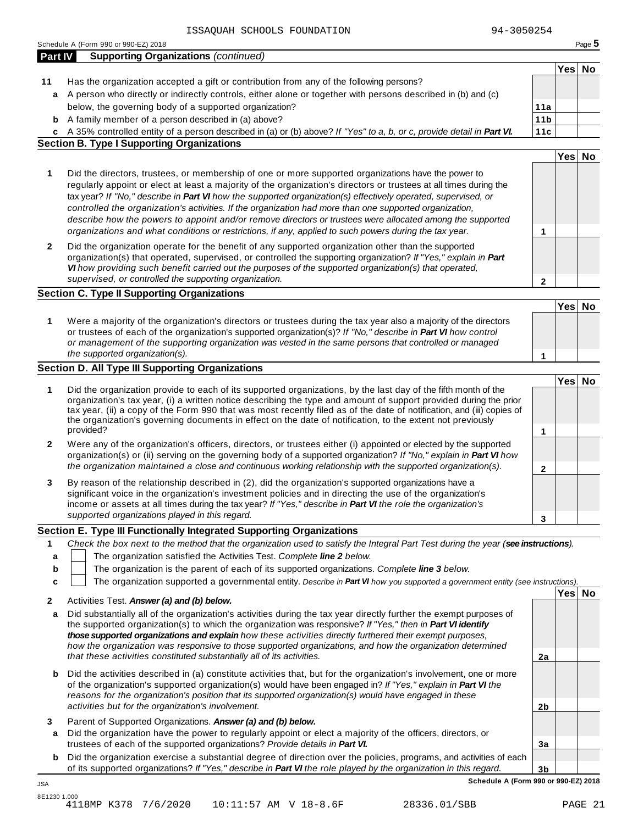|              | ISSAQUAH SCHOOLS FOUNDATION                                                                                                                                                                                                                                                                                                                                                                                                                                                                                                                                                                                                                                                  | 94-3050254      |        |        |
|--------------|------------------------------------------------------------------------------------------------------------------------------------------------------------------------------------------------------------------------------------------------------------------------------------------------------------------------------------------------------------------------------------------------------------------------------------------------------------------------------------------------------------------------------------------------------------------------------------------------------------------------------------------------------------------------------|-----------------|--------|--------|
| Part IV      | Schedule A (Form 990 or 990-EZ) 2018<br><b>Supporting Organizations (continued)</b>                                                                                                                                                                                                                                                                                                                                                                                                                                                                                                                                                                                          |                 |        | Page 5 |
|              |                                                                                                                                                                                                                                                                                                                                                                                                                                                                                                                                                                                                                                                                              |                 | Yes No |        |
| 11           | Has the organization accepted a gift or contribution from any of the following persons?                                                                                                                                                                                                                                                                                                                                                                                                                                                                                                                                                                                      |                 |        |        |
|              | a A person who directly or indirectly controls, either alone or together with persons described in (b) and (c)                                                                                                                                                                                                                                                                                                                                                                                                                                                                                                                                                               |                 |        |        |
|              | below, the governing body of a supported organization?                                                                                                                                                                                                                                                                                                                                                                                                                                                                                                                                                                                                                       | 11a             |        |        |
|              | <b>b</b> A family member of a person described in (a) above?                                                                                                                                                                                                                                                                                                                                                                                                                                                                                                                                                                                                                 | 11 <sub>b</sub> |        |        |
|              | c A 35% controlled entity of a person described in (a) or (b) above? If "Yes" to a, b, or c, provide detail in Part VI.                                                                                                                                                                                                                                                                                                                                                                                                                                                                                                                                                      | 11c             |        |        |
|              | <b>Section B. Type I Supporting Organizations</b>                                                                                                                                                                                                                                                                                                                                                                                                                                                                                                                                                                                                                            |                 |        |        |
|              |                                                                                                                                                                                                                                                                                                                                                                                                                                                                                                                                                                                                                                                                              |                 | Yes No |        |
| 1            | Did the directors, trustees, or membership of one or more supported organizations have the power to<br>regularly appoint or elect at least a majority of the organization's directors or trustees at all times during the<br>tax year? If "No," describe in Part VI how the supported organization(s) effectively operated, supervised, or<br>controlled the organization's activities. If the organization had more than one supported organization,<br>describe how the powers to appoint and/or remove directors or trustees were allocated among the supported<br>organizations and what conditions or restrictions, if any, applied to such powers during the tax year. | 1               |        |        |
| $\mathbf{2}$ | Did the organization operate for the benefit of any supported organization other than the supported<br>organization(s) that operated, supervised, or controlled the supporting organization? If "Yes," explain in Part<br>VI how providing such benefit carried out the purposes of the supported organization(s) that operated,<br>supervised, or controlled the supporting organization.                                                                                                                                                                                                                                                                                   | 2               |        |        |
|              | <b>Section C. Type II Supporting Organizations</b>                                                                                                                                                                                                                                                                                                                                                                                                                                                                                                                                                                                                                           |                 |        |        |
|              |                                                                                                                                                                                                                                                                                                                                                                                                                                                                                                                                                                                                                                                                              |                 | Yes No |        |
| 1            | Were a majority of the organization's directors or trustees during the tax year also a majority of the directors<br>or trustees of each of the organization's supported organization(s)? If "No," describe in Part VI how control<br>or management of the supporting organization was vested in the same persons that controlled or managed                                                                                                                                                                                                                                                                                                                                  |                 |        |        |
|              | the supported organization(s).                                                                                                                                                                                                                                                                                                                                                                                                                                                                                                                                                                                                                                               | 1               |        |        |
|              | <b>Section D. All Type III Supporting Organizations</b>                                                                                                                                                                                                                                                                                                                                                                                                                                                                                                                                                                                                                      |                 |        |        |
| 1            | Did the organization provide to each of its supported organizations, by the last day of the fifth month of the<br>organization's tax year, (i) a written notice describing the type and amount of support provided during the prior<br>tax year, (ii) a copy of the Form 990 that was most recently filed as of the date of notification, and (iii) copies of<br>the organization's governing documents in effect on the date of notification, to the extent not previously<br>provided?                                                                                                                                                                                     | 1               | Yes No |        |
| $\mathbf{2}$ | Were any of the organization's officers, directors, or trustees either (i) appointed or elected by the supported<br>organization(s) or (ii) serving on the governing body of a supported organization? If "No," explain in Part VI how<br>the organization maintained a close and continuous working relationship with the supported organization(s).                                                                                                                                                                                                                                                                                                                        |                 |        |        |
|              |                                                                                                                                                                                                                                                                                                                                                                                                                                                                                                                                                                                                                                                                              | $\mathbf{2}$    |        |        |
|              | By reason of the relationship described in (2), did the organization's supported organizations have a<br>significant voice in the organization's investment policies and in directing the use of the organization's<br>income or assets at all times during the tax year? If "Yes," describe in Part VI the role the organization's                                                                                                                                                                                                                                                                                                                                          |                 |        |        |
|              | supported organizations played in this regard.                                                                                                                                                                                                                                                                                                                                                                                                                                                                                                                                                                                                                               | 3               |        |        |
|              | Section E. Type III Functionally Integrated Supporting Organizations                                                                                                                                                                                                                                                                                                                                                                                                                                                                                                                                                                                                         |                 |        |        |
| 1            | Check the box next to the method that the organization used to satisfy the Integral Part Test during the year (see instructions).                                                                                                                                                                                                                                                                                                                                                                                                                                                                                                                                            |                 |        |        |
| а            | The organization satisfied the Activities Test. Complete line 2 below.                                                                                                                                                                                                                                                                                                                                                                                                                                                                                                                                                                                                       |                 |        |        |
| b            | The organization is the parent of each of its supported organizations. Complete line 3 below.                                                                                                                                                                                                                                                                                                                                                                                                                                                                                                                                                                                |                 |        |        |
| c            | The organization supported a governmental entity. Describe in Part VI how you supported a government entity (see instructions).                                                                                                                                                                                                                                                                                                                                                                                                                                                                                                                                              |                 |        |        |
|              |                                                                                                                                                                                                                                                                                                                                                                                                                                                                                                                                                                                                                                                                              |                 | Yes No |        |
| 2            | Activities Test. Answer (a) and (b) below.                                                                                                                                                                                                                                                                                                                                                                                                                                                                                                                                                                                                                                   |                 |        |        |
| a            | Did substantially all of the organization's activities during the tax year directly further the exempt purposes of<br>the supported organization(s) to which the organization was responsive? If "Yes," then in Part VI identify<br>those supported organizations and explain how these activities directly furthered their exempt purposes,<br>how the organization was responsive to those supported organizations, and how the organization determined                                                                                                                                                                                                                    |                 |        |        |
|              | that these activities constituted substantially all of its activities.                                                                                                                                                                                                                                                                                                                                                                                                                                                                                                                                                                                                       | 2a              |        |        |
| b            | Did the activities described in (a) constitute activities that, but for the organization's involvement, one or more<br>of the organization's supported organization(s) would have been engaged in? If "Yes," explain in Part VI the<br>reasons for the organization's position that its supported organization(s) would have engaged in these                                                                                                                                                                                                                                                                                                                                |                 |        |        |
|              | activities but for the organization's involvement.                                                                                                                                                                                                                                                                                                                                                                                                                                                                                                                                                                                                                           | 2 <sub>b</sub>  |        |        |

**3** Parent of Supported Organizations. *Answer (a) and (b) below.*

JSA

- **a** Did the organization have the power to regularly appoint or elect a majority of the officers, directors, or trustees of each of the supported organizations? *Provide details in Part VI.*
- **3b b** Did the organization exercise a substantial degree of direction over the policies, programs, and activities of each of its supported organizations? *If"Yes," describe in Part VI the role played by the organization in this regard.*

**3a**

**Schedule A (Form 990 or 990-EZ) 2018**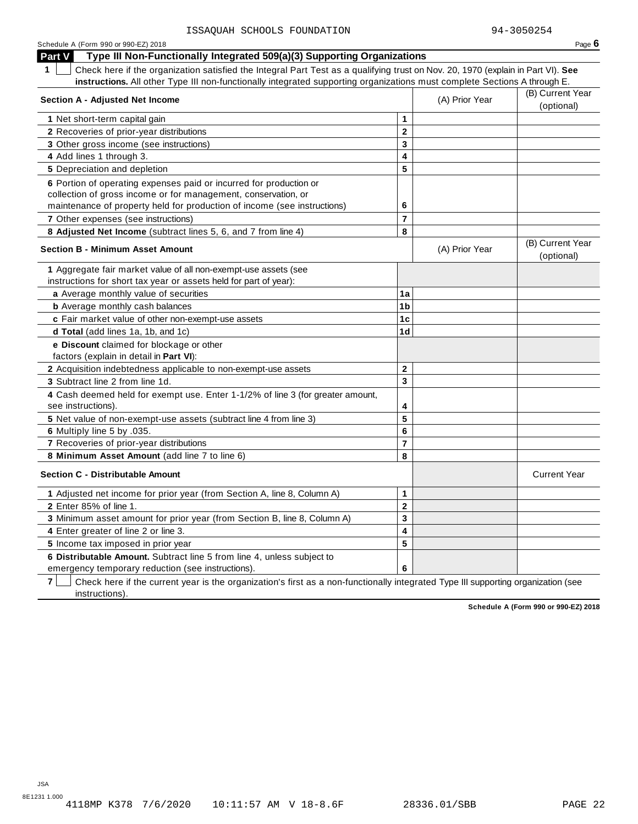| Schedule A (Form 990 or 990-EZ) 2018<br>Type III Non-Functionally Integrated 509(a)(3) Supporting Organizations<br><b>Part V</b>                |                         |                | Page $6$                       |
|-------------------------------------------------------------------------------------------------------------------------------------------------|-------------------------|----------------|--------------------------------|
| $\mathbf 1$<br>Check here if the organization satisfied the Integral Part Test as a qualifying trust on Nov. 20, 1970 (explain in Part VI). See |                         |                |                                |
| instructions. All other Type III non-functionally integrated supporting organizations must complete Sections A through E.                       |                         |                |                                |
| <b>Section A - Adjusted Net Income</b>                                                                                                          |                         | (A) Prior Year | (B) Current Year<br>(optional) |
| 1 Net short-term capital gain                                                                                                                   | 1                       |                |                                |
| 2 Recoveries of prior-year distributions                                                                                                        | $\mathbf 2$             |                |                                |
| 3 Other gross income (see instructions)                                                                                                         | 3                       |                |                                |
| 4 Add lines 1 through 3.                                                                                                                        | 4                       |                |                                |
| 5 Depreciation and depletion                                                                                                                    | 5                       |                |                                |
| 6 Portion of operating expenses paid or incurred for production or                                                                              |                         |                |                                |
| collection of gross income or for management, conservation, or                                                                                  |                         |                |                                |
| maintenance of property held for production of income (see instructions)                                                                        | 6                       |                |                                |
| <b>7</b> Other expenses (see instructions)                                                                                                      | $\overline{7}$          |                |                                |
| 8 Adjusted Net Income (subtract lines 5, 6, and 7 from line 4)                                                                                  | 8                       |                |                                |
| <b>Section B - Minimum Asset Amount</b>                                                                                                         |                         | (A) Prior Year | (B) Current Year<br>(optional) |
| 1 Aggregate fair market value of all non-exempt-use assets (see                                                                                 |                         |                |                                |
| instructions for short tax year or assets held for part of year):                                                                               |                         |                |                                |
| a Average monthly value of securities                                                                                                           | 1a                      |                |                                |
| <b>b</b> Average monthly cash balances                                                                                                          | 1 <sub>b</sub>          |                |                                |
| c Fair market value of other non-exempt-use assets                                                                                              | 1 <sub>c</sub>          |                |                                |
| <b>d Total</b> (add lines 1a, 1b, and 1c)                                                                                                       | 1 <sub>d</sub>          |                |                                |
| e Discount claimed for blockage or other<br>factors (explain in detail in Part VI):                                                             |                         |                |                                |
| 2 Acquisition indebtedness applicable to non-exempt-use assets                                                                                  | $\mathbf 2$             |                |                                |
| 3 Subtract line 2 from line 1d.                                                                                                                 | $\overline{\mathbf{3}}$ |                |                                |
| 4 Cash deemed held for exempt use. Enter 1-1/2% of line 3 (for greater amount,<br>see instructions).                                            | 4                       |                |                                |
| 5 Net value of non-exempt-use assets (subtract line 4 from line 3)                                                                              | 5                       |                |                                |
| 6 Multiply line 5 by .035.                                                                                                                      | 6                       |                |                                |
| 7 Recoveries of prior-year distributions                                                                                                        | $\overline{7}$          |                |                                |
| 8 Minimum Asset Amount (add line 7 to line 6)                                                                                                   | 8                       |                |                                |
| <b>Section C - Distributable Amount</b>                                                                                                         |                         |                | <b>Current Year</b>            |
| 1 Adjusted net income for prior year (from Section A, line 8, Column A)                                                                         | 1                       |                |                                |
| 2 Enter 85% of line 1.                                                                                                                          | $\mathbf 2$             |                |                                |
| 3 Minimum asset amount for prior year (from Section B, line 8, Column A)                                                                        | 3                       |                |                                |
| 4 Enter greater of line 2 or line 3.                                                                                                            | 4                       |                |                                |
| 5 Income tax imposed in prior year                                                                                                              | 5                       |                |                                |
| 6 Distributable Amount. Subtract line 5 from line 4, unless subject to                                                                          |                         |                |                                |
| emergency temporary reduction (see instructions).                                                                                               | 6                       |                |                                |

**7** | Check here if the current year is the organization's first as a non-functionally integrated Type III supporting organization (see instructions).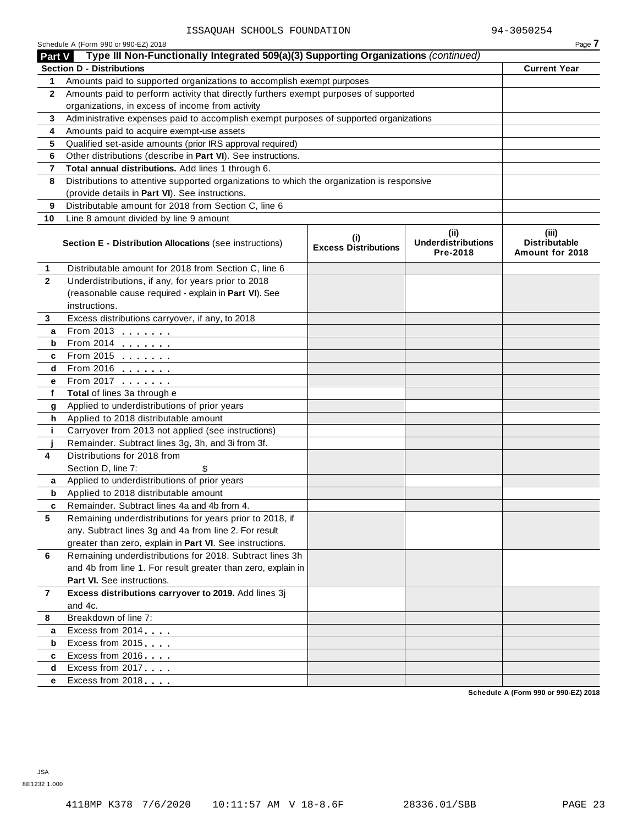| Part V         | Schedule A (Form 990 or 990-EZ) 2018<br>Type III Non-Functionally Integrated 509(a)(3) Supporting Organizations (continued)                                   |                                    |                                               | Page 7                                           |
|----------------|---------------------------------------------------------------------------------------------------------------------------------------------------------------|------------------------------------|-----------------------------------------------|--------------------------------------------------|
|                | <b>Section D - Distributions</b>                                                                                                                              |                                    |                                               | <b>Current Year</b>                              |
|                |                                                                                                                                                               |                                    |                                               |                                                  |
| 1              | Amounts paid to supported organizations to accomplish exempt purposes<br>Amounts paid to perform activity that directly furthers exempt purposes of supported |                                    |                                               |                                                  |
| $\mathbf{2}$   | organizations, in excess of income from activity                                                                                                              |                                    |                                               |                                                  |
|                |                                                                                                                                                               |                                    |                                               |                                                  |
| 3              | Administrative expenses paid to accomplish exempt purposes of supported organizations                                                                         |                                    |                                               |                                                  |
| 4              | Amounts paid to acquire exempt-use assets                                                                                                                     |                                    |                                               |                                                  |
| 5              | Qualified set-aside amounts (prior IRS approval required)<br>Other distributions (describe in Part VI). See instructions.                                     |                                    |                                               |                                                  |
| 6              |                                                                                                                                                               |                                    |                                               |                                                  |
| 7              | Total annual distributions. Add lines 1 through 6.                                                                                                            |                                    |                                               |                                                  |
| 8              | Distributions to attentive supported organizations to which the organization is responsive<br>(provide details in Part VI). See instructions.                 |                                    |                                               |                                                  |
|                | Distributable amount for 2018 from Section C, line 6                                                                                                          |                                    |                                               |                                                  |
| 9              |                                                                                                                                                               |                                    |                                               |                                                  |
| 10             | Line 8 amount divided by line 9 amount                                                                                                                        |                                    |                                               |                                                  |
|                | <b>Section E - Distribution Allocations (see instructions)</b>                                                                                                | (i)<br><b>Excess Distributions</b> | (ii)<br><b>Underdistributions</b><br>Pre-2018 | (iii)<br><b>Distributable</b><br>Amount for 2018 |
| 1              | Distributable amount for 2018 from Section C, line 6                                                                                                          |                                    |                                               |                                                  |
| $\mathbf{2}$   | Underdistributions, if any, for years prior to 2018                                                                                                           |                                    |                                               |                                                  |
|                | (reasonable cause required - explain in Part VI). See                                                                                                         |                                    |                                               |                                                  |
|                | instructions.                                                                                                                                                 |                                    |                                               |                                                  |
| 3              | Excess distributions carryover, if any, to 2018                                                                                                               |                                    |                                               |                                                  |
| а              | From 2013 $\frac{1}{2}$                                                                                                                                       |                                    |                                               |                                                  |
| b              | From 2014 $\frac{2014}{20}$                                                                                                                                   |                                    |                                               |                                                  |
| c              | From 2015 $\frac{1}{2}$                                                                                                                                       |                                    |                                               |                                                  |
| d              | From 2016 $\frac{2016}{200}$                                                                                                                                  |                                    |                                               |                                                  |
| е              | From 2017 <b>Figure 1.1 (19)</b>                                                                                                                              |                                    |                                               |                                                  |
| f              | Total of lines 3a through e                                                                                                                                   |                                    |                                               |                                                  |
| g              | Applied to underdistributions of prior years                                                                                                                  |                                    |                                               |                                                  |
| h              | Applied to 2018 distributable amount                                                                                                                          |                                    |                                               |                                                  |
| j.             | Carryover from 2013 not applied (see instructions)                                                                                                            |                                    |                                               |                                                  |
|                | Remainder. Subtract lines 3g, 3h, and 3i from 3f.                                                                                                             |                                    |                                               |                                                  |
| 4              | Distributions for 2018 from                                                                                                                                   |                                    |                                               |                                                  |
|                | Section D, line 7:<br>\$                                                                                                                                      |                                    |                                               |                                                  |
| a              | Applied to underdistributions of prior years                                                                                                                  |                                    |                                               |                                                  |
| b              | Applied to 2018 distributable amount                                                                                                                          |                                    |                                               |                                                  |
| c              | Remainder. Subtract lines 4a and 4b from 4.                                                                                                                   |                                    |                                               |                                                  |
| 5              | Remaining underdistributions for years prior to 2018, if                                                                                                      |                                    |                                               |                                                  |
|                | any. Subtract lines 3g and 4a from line 2. For result                                                                                                         |                                    |                                               |                                                  |
|                | greater than zero, explain in Part VI. See instructions.                                                                                                      |                                    |                                               |                                                  |
| 6              | Remaining underdistributions for 2018. Subtract lines 3h                                                                                                      |                                    |                                               |                                                  |
|                | and 4b from line 1. For result greater than zero, explain in                                                                                                  |                                    |                                               |                                                  |
|                | Part VI. See instructions.                                                                                                                                    |                                    |                                               |                                                  |
| $\overline{7}$ | Excess distributions carryover to 2019. Add lines 3j                                                                                                          |                                    |                                               |                                                  |
|                | and 4c.                                                                                                                                                       |                                    |                                               |                                                  |
| 8              | Breakdown of line 7:                                                                                                                                          |                                    |                                               |                                                  |
| а              | Excess from 2014                                                                                                                                              |                                    |                                               |                                                  |
| b              | Excess from 2015                                                                                                                                              |                                    |                                               |                                                  |
| c              | Excess from 2016                                                                                                                                              |                                    |                                               |                                                  |
| d              | Excess from 2017                                                                                                                                              |                                    |                                               |                                                  |
| е              | Excess from 2018                                                                                                                                              |                                    |                                               |                                                  |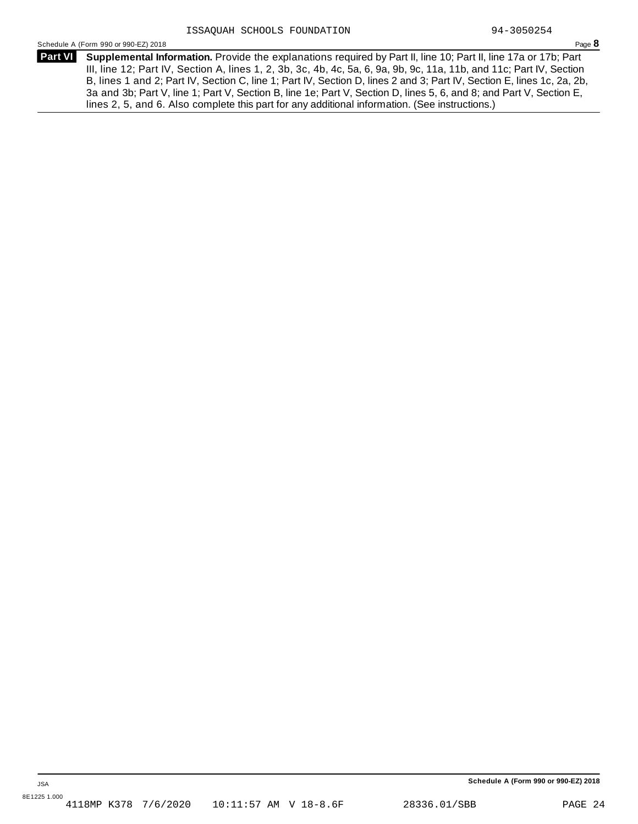**Supplemental Information.** Provide the explanations required by Part II, line 10; Part II, line 17a or 17b; Part **Part VI** III, line 12; Part IV, Section A, lines 1, 2, 3b, 3c, 4b, 4c, 5a, 6, 9a, 9b, 9c, 11a, 11b, and 11c; Part IV, Section B, lines 1 and 2; Part IV, Section C, line 1; Part IV, Section D, lines 2 and 3; Part IV, Section E, lines 1c, 2a, 2b, 3a and 3b; Part V, line 1; Part V, Section B, line 1e; Part V, Section D, lines 5, 6, and 8; and Part V, Section E, lines 2, 5, and 6. Also complete this part for any additional information. (See instructions.)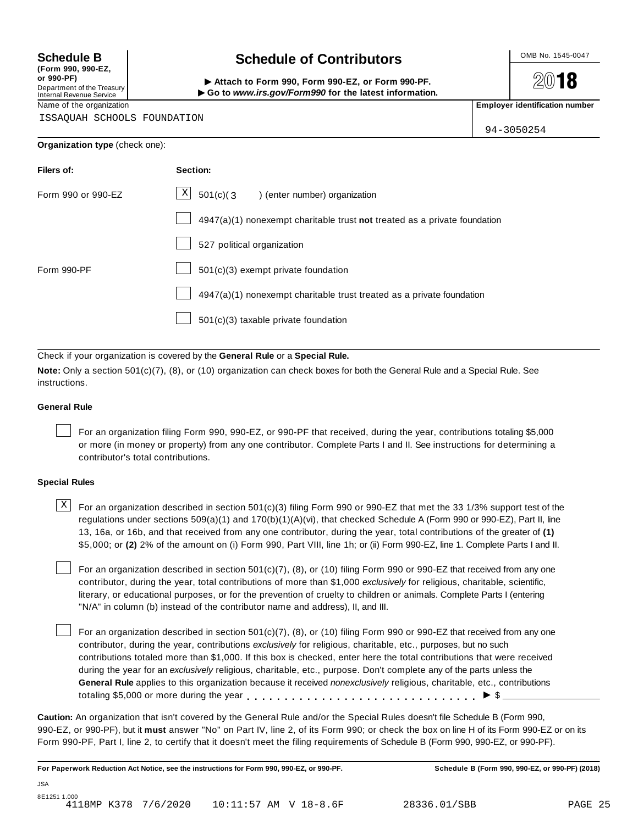**(Form 990, 990-EZ, or 990-PF)** Department of the Treasury<br>Internal Revenue Service

# **Schedule B chedule of Contributors**

(Point issue, sub-Ez,<br>Department of the Treasury internal Revenue Service<br>Department of the Treasury internal Revenue Service internal Revenue Service internal Revenue Service internal<br>Name of the organization internal Re

**2018** 

94-3050254

ISSAQUAH SCHOOLS FOUNDATION

| Organization type (check one): |  |
|--------------------------------|--|
|--------------------------------|--|

| Filers of:         | Section:                                                                    |  |  |  |  |
|--------------------|-----------------------------------------------------------------------------|--|--|--|--|
| Form 990 or 990-EZ | $\mathbf{x}$<br>$501(c)$ (3<br>enter number) organization                   |  |  |  |  |
|                    | $4947(a)(1)$ nonexempt charitable trust not treated as a private foundation |  |  |  |  |
|                    | 527 political organization                                                  |  |  |  |  |
| Form 990-PF        | $501(c)(3)$ exempt private foundation                                       |  |  |  |  |
|                    | 4947(a)(1) nonexempt charitable trust treated as a private foundation       |  |  |  |  |
|                    | 501(c)(3) taxable private foundation                                        |  |  |  |  |

Check if your organization is covered by the **General Rule** or a **Special Rule.**

**Note:** Only a section 501(c)(7), (8), or (10) organization can check boxes for both the General Rule and a Special Rule. See instructions.

### **General Rule**

For an organization filing Form 990, 990-EZ, or 990-PF that received, during the year, contributions totaling \$5,000 or more (in money or property) from any one contributor. Complete Parts I and II. See instructions for determining a contributor's total contributions.

### **Special Rules**

 $\text{X}$  For an organization described in section 501(c)(3) filing Form 990 or 990-EZ that met the 33 1/3% support test of the regulations under sections 509(a)(1) and 170(b)(1)(A)(vi), that checked Schedule A (Form 990 or 990-EZ), Part II, line 13, 16a, or 16b, and that received from any one contributor, during the year, total contributions of the greater of **(1)** \$5,000; or **(2)** 2% of the amount on (i) Form 990, Part VIII, line 1h; or (ii) Form 990-EZ, line 1. Complete Parts I and II.

For an organization described in section 501(c)(7), (8), or (10) filing Form 990 or 990-EZ that received from any one contributor, during the year, total contributions of more than \$1,000 *exclusively* for religious, charitable, scientific, literary, or educational purposes, or for the prevention of cruelty to children or animals. Complete Parts I (entering "N/A" in column (b) instead of the contributor name and address), II, and III.

For an organization described in section 501(c)(7), (8), or (10) filing Form 990 or 990-EZ that received from any one contributor, during the year, contributions *exclusively* for religious, charitable, etc., purposes, but no such contributions totaled more than \$1,000. If this box is checked, enter here the total contributions that were received during the year for an *exclusively* religious, charitable, etc., purpose. Don't complete any of the parts unless the **General Rule** applies to this organization because it received *nonexclusively* religious, charitable, etc., contributions totaling \$5,000 or more during the year  $\ldots \ldots \ldots \ldots \ldots \ldots \ldots \ldots \ldots \vdots$ 

**Caution:** An organization that isn't covered by the General Rule and/or the Special Rules doesn't file Schedule B (Form 990, 990-EZ, or 990-PF), but it **must** answer "No" on Part IV, line 2, of its Form 990; or check the box on line H of its Form 990-EZ or on its Form 990-PF, Part I, line 2, to certify that it doesn't meet the filing requirements of Schedule B (Form 990, 990-EZ, or 990-PF).

For Paperwork Reduction Act Notice, see the instructions for Form 990, 990-EZ, or 990-PF. Schedule B (Form 990, 990-EZ, or 990-PF) (2018)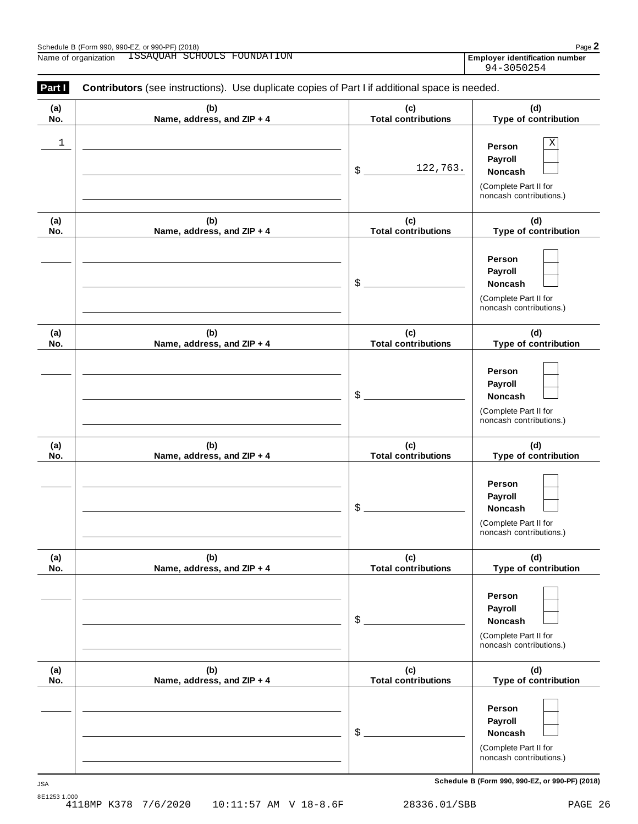| Schedule B (Form 990, 990-EZ, or 990-PF) (2018) |                     |                        | $Page$ .                            |
|-------------------------------------------------|---------------------|------------------------|-------------------------------------|
| Name of organization                            | SCHOOLS<br>⊥SSAOUAH | ATION<br>'( )I JNI )A' | r identification number<br>Emplover |

| Part I     | Contributors (see instructions). Use duplicate copies of Part I if additional space is needed. |                                   |                                                                                       |
|------------|------------------------------------------------------------------------------------------------|-----------------------------------|---------------------------------------------------------------------------------------|
| (a)<br>No. | (b)<br>Name, address, and ZIP + 4                                                              | (c)<br><b>Total contributions</b> | (d)<br>Type of contribution                                                           |
| 1          |                                                                                                | 122,763.<br>\$                    | Χ<br>Person<br>Payroll<br>Noncash<br>(Complete Part II for<br>noncash contributions.) |
| (a)<br>No. | (b)<br>Name, address, and ZIP + 4                                                              | (c)<br><b>Total contributions</b> | (d)<br>Type of contribution                                                           |
|            |                                                                                                | \$                                | Person<br>Payroll<br>Noncash<br>(Complete Part II for<br>noncash contributions.)      |
| (a)<br>No. | (b)<br>Name, address, and ZIP + 4                                                              | (c)<br><b>Total contributions</b> | (d)<br>Type of contribution                                                           |
|            |                                                                                                | \$                                | Person<br>Payroll<br>Noncash<br>(Complete Part II for<br>noncash contributions.)      |
| (a)<br>No. | (b)<br>Name, address, and ZIP + 4                                                              | (c)<br><b>Total contributions</b> | (d)<br>Type of contribution                                                           |
|            |                                                                                                | \$                                | Person<br>Payroll<br>Noncash<br>(Complete Part II for<br>noncash contributions.)      |
| (a)<br>No. | (b)<br>Name, address, and ZIP + 4                                                              | (c)<br><b>Total contributions</b> | (d)<br>Type of contribution                                                           |
|            |                                                                                                | \$                                | Person<br>Payroll<br>Noncash<br>(Complete Part II for<br>noncash contributions.)      |
| (a)<br>No. | (b)<br>Name, address, and ZIP + 4                                                              | (c)<br><b>Total contributions</b> | (d)<br>Type of contribution                                                           |
|            |                                                                                                | \$                                | Person<br>Payroll<br>Noncash<br>(Complete Part II for<br>noncash contributions.)      |

**Schedule B (Form 990, 990-EZ, or 990-PF) (2018)** JSA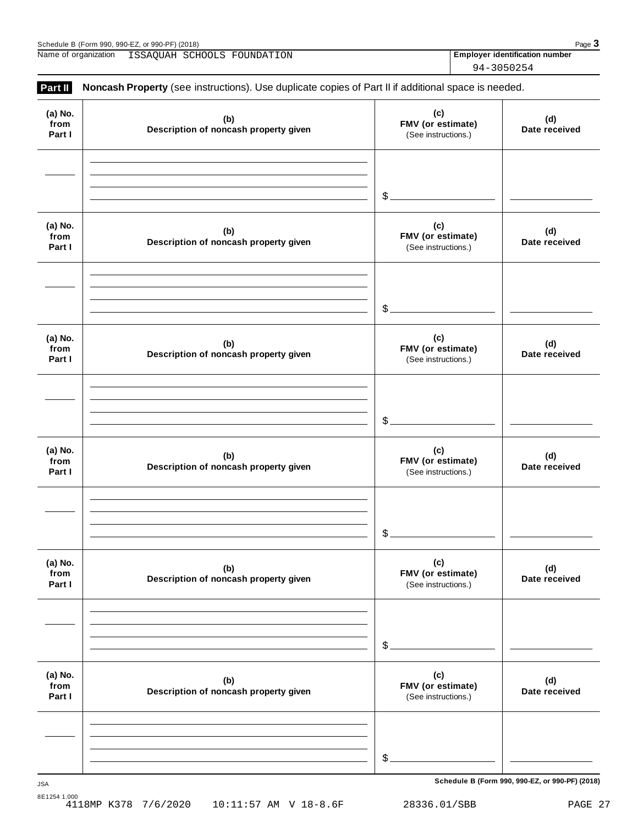| or 990-PF) (2018)<br>Schedule B<br>990-EZ<br>(Form 990.<br>. От<br>ັບ ພ | $P$ aq $\epsilon$ |
|-------------------------------------------------------------------------|-------------------|
|                                                                         |                   |

Name of organization **ISSAQUAH SCHOOLS FOUNDATION Employer identification number** 

94-3050254

| Part II                   | Noncash Property (see instructions). Use duplicate copies of Part II if additional space is needed. |                                                 |                      |
|---------------------------|-----------------------------------------------------------------------------------------------------|-------------------------------------------------|----------------------|
| (a) No.<br>from<br>Part I | (b)<br>Description of noncash property given                                                        | (c)<br>FMV (or estimate)<br>(See instructions.) | (d)<br>Date received |
|                           |                                                                                                     | $\frac{1}{2}$                                   |                      |
| (a) No.<br>from<br>Part I | (b)<br>Description of noncash property given                                                        | (c)<br>FMV (or estimate)<br>(See instructions.) | (d)<br>Date received |
|                           |                                                                                                     | $\frac{1}{2}$                                   |                      |
| (a) No.<br>from<br>Part I | (b)<br>Description of noncash property given                                                        | (c)<br>FMV (or estimate)<br>(See instructions.) | (d)<br>Date received |
|                           |                                                                                                     | $$-$                                            |                      |
| (a) No.<br>from<br>Part I | (b)<br>Description of noncash property given                                                        | (c)<br>FMV (or estimate)<br>(See instructions.) | (d)<br>Date received |
|                           |                                                                                                     | \$                                              |                      |
| (a) No.<br>from<br>Part I | (b)<br>Description of noncash property given                                                        | (c)<br>FMV (or estimate)<br>(See instructions.) | (d)<br>Date received |
|                           |                                                                                                     | \$                                              |                      |
| (a) No.<br>from<br>Part I | (b)<br>Description of noncash property given                                                        | (c)<br>FMV (or estimate)<br>(See instructions.) | (d)<br>Date received |
|                           |                                                                                                     |                                                 |                      |
|                           |                                                                                                     | \$                                              |                      |

**Schedule B (Form 990, 990-EZ, or 990-PF) (2018)** JSA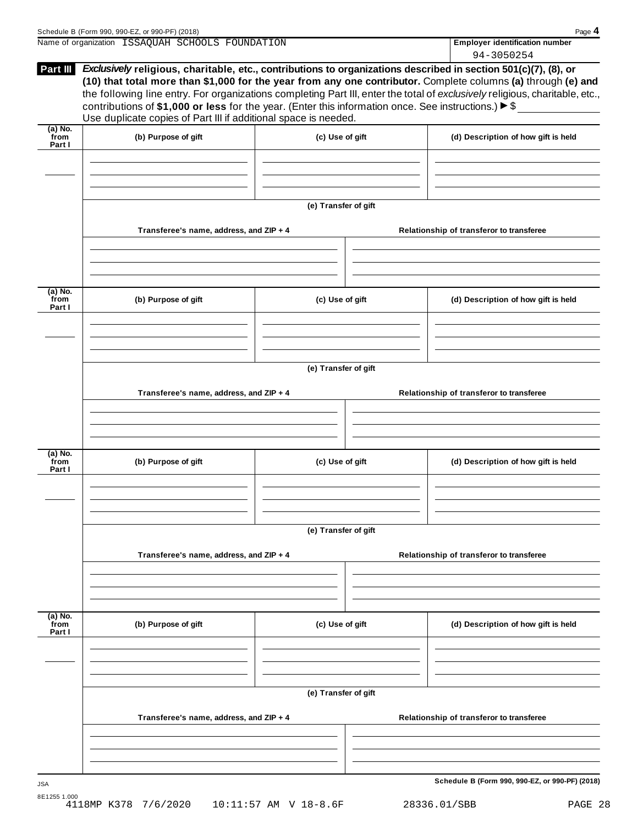|                             | Schedule B (Form 990, 990-EZ, or 990-PF) (2018)                                                                                                                                        |                      |  | Page 4                                                                                                                                                                                                                                        |  |  |
|-----------------------------|----------------------------------------------------------------------------------------------------------------------------------------------------------------------------------------|----------------------|--|-----------------------------------------------------------------------------------------------------------------------------------------------------------------------------------------------------------------------------------------------|--|--|
|                             | Name of organization ISSAQUAH SCHOOLS FOUNDATION                                                                                                                                       |                      |  | Employer identification number                                                                                                                                                                                                                |  |  |
| Part III                    | Exclusively religious, charitable, etc., contributions to organizations described in section 501(c)(7), (8), or                                                                        |                      |  | 94-3050254                                                                                                                                                                                                                                    |  |  |
|                             | contributions of \$1,000 or less for the year. (Enter this information once. See instructions.) $\triangleright$ \$<br>Use duplicate copies of Part III if additional space is needed. |                      |  | (10) that total more than \$1,000 for the year from any one contributor. Complete columns (a) through (e) and<br>the following line entry. For organizations completing Part III, enter the total of exclusively religious, charitable, etc., |  |  |
| (a) No.<br>`from            | (b) Purpose of gift                                                                                                                                                                    | (c) Use of gift      |  | (d) Description of how gift is held                                                                                                                                                                                                           |  |  |
| Part I                      |                                                                                                                                                                                        |                      |  |                                                                                                                                                                                                                                               |  |  |
|                             |                                                                                                                                                                                        | (e) Transfer of gift |  |                                                                                                                                                                                                                                               |  |  |
|                             | Transferee's name, address, and ZIP + 4                                                                                                                                                |                      |  | Relationship of transferor to transferee                                                                                                                                                                                                      |  |  |
|                             |                                                                                                                                                                                        |                      |  |                                                                                                                                                                                                                                               |  |  |
| $(a)$ No.<br>from<br>Part I | (b) Purpose of gift                                                                                                                                                                    | (c) Use of gift      |  | (d) Description of how gift is held                                                                                                                                                                                                           |  |  |
|                             |                                                                                                                                                                                        |                      |  |                                                                                                                                                                                                                                               |  |  |
|                             | (e) Transfer of gift                                                                                                                                                                   |                      |  |                                                                                                                                                                                                                                               |  |  |
|                             | Transferee's name, address, and ZIP + 4                                                                                                                                                |                      |  | Relationship of transferor to transferee                                                                                                                                                                                                      |  |  |
|                             |                                                                                                                                                                                        |                      |  |                                                                                                                                                                                                                                               |  |  |
| (a) No.<br>from<br>Part I   | (b) Purpose of gift                                                                                                                                                                    | (c) Use of gift      |  | (d) Description of how gift is held                                                                                                                                                                                                           |  |  |
|                             |                                                                                                                                                                                        |                      |  |                                                                                                                                                                                                                                               |  |  |
|                             |                                                                                                                                                                                        | (e) Transfer of gift |  |                                                                                                                                                                                                                                               |  |  |
|                             | Transferee's name, address, and ZIP + 4                                                                                                                                                |                      |  | Relationship of transferor to transferee                                                                                                                                                                                                      |  |  |
|                             |                                                                                                                                                                                        |                      |  |                                                                                                                                                                                                                                               |  |  |
| $(a)$ No.<br>from<br>Part I | (b) Purpose of gift                                                                                                                                                                    | (c) Use of gift      |  | (d) Description of how gift is held                                                                                                                                                                                                           |  |  |
|                             |                                                                                                                                                                                        |                      |  |                                                                                                                                                                                                                                               |  |  |
|                             | (e) Transfer of gift                                                                                                                                                                   |                      |  |                                                                                                                                                                                                                                               |  |  |
|                             | Transferee's name, address, and ZIP + 4                                                                                                                                                |                      |  | Relationship of transferor to transferee                                                                                                                                                                                                      |  |  |
|                             |                                                                                                                                                                                        |                      |  |                                                                                                                                                                                                                                               |  |  |
|                             |                                                                                                                                                                                        |                      |  | Schedule B (Form 990, 990-EZ, or 990-PF) (2018)                                                                                                                                                                                               |  |  |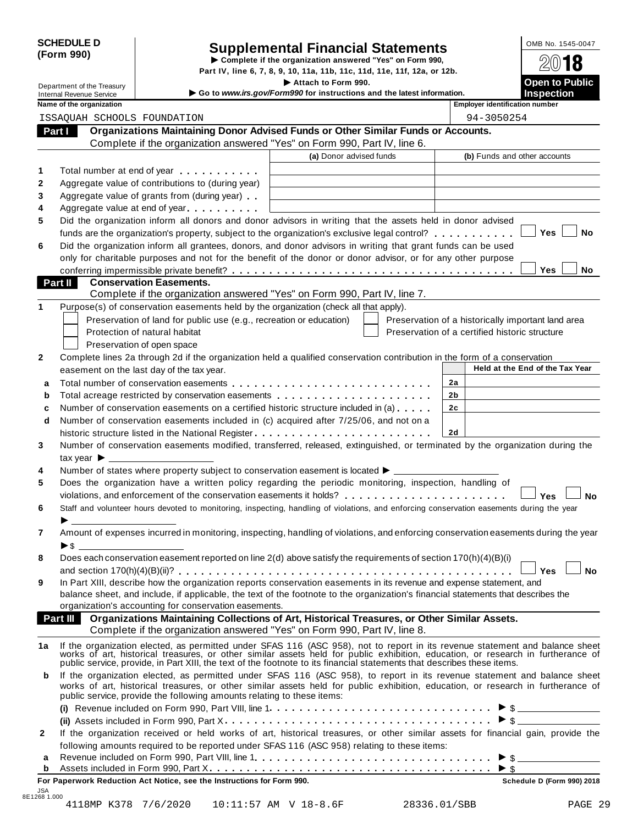|            | <b>SCHEDULE D</b> |
|------------|-------------------|
| (Form 990) |                   |

# SCHEDULE D<br>
Supplemental Financial Statements<br>
Form 990) Part IV, line 6, 7, 8, 9, 10, 11a, 11b, 11c, 11d, 11e, 11f, 12a, or 12b.

|         |                                                               |                                                                                                                                                                                                                                                                                                                                        | Part IV, line 6, 7, 8, 9, 10, 11a, 11b, 11c, 11d, 11e, 11f, 12a, or 12b.                      |    |                                                    |                                            |           |
|---------|---------------------------------------------------------------|----------------------------------------------------------------------------------------------------------------------------------------------------------------------------------------------------------------------------------------------------------------------------------------------------------------------------------------|-----------------------------------------------------------------------------------------------|----|----------------------------------------------------|--------------------------------------------|-----------|
|         | Department of the Treasury<br><b>Internal Revenue Service</b> |                                                                                                                                                                                                                                                                                                                                        | Attach to Form 990.<br>Go to www.irs.gov/Form990 for instructions and the latest information. |    |                                                    | <b>Open to Public</b><br><b>Inspection</b> |           |
|         | Name of the organization                                      |                                                                                                                                                                                                                                                                                                                                        |                                                                                               |    | <b>Employer identification number</b>              |                                            |           |
|         |                                                               | ISSAQUAH SCHOOLS FOUNDATION                                                                                                                                                                                                                                                                                                            |                                                                                               |    | 94-3050254                                         |                                            |           |
| Part I  |                                                               | Organizations Maintaining Donor Advised Funds or Other Similar Funds or Accounts.                                                                                                                                                                                                                                                      |                                                                                               |    |                                                    |                                            |           |
|         |                                                               | Complete if the organization answered "Yes" on Form 990, Part IV, line 6.                                                                                                                                                                                                                                                              |                                                                                               |    |                                                    |                                            |           |
|         |                                                               |                                                                                                                                                                                                                                                                                                                                        | (a) Donor advised funds                                                                       |    | (b) Funds and other accounts                       |                                            |           |
| 1       |                                                               | Total number at end of year manufacturers.                                                                                                                                                                                                                                                                                             |                                                                                               |    |                                                    |                                            |           |
| 2       |                                                               | Aggregate value of contributions to (during year)                                                                                                                                                                                                                                                                                      |                                                                                               |    |                                                    |                                            |           |
| 3       |                                                               | Aggregate value of grants from (during year)                                                                                                                                                                                                                                                                                           |                                                                                               |    |                                                    |                                            |           |
| 4       |                                                               | Aggregate value at end of year                                                                                                                                                                                                                                                                                                         |                                                                                               |    |                                                    |                                            |           |
| 5       |                                                               | Did the organization inform all donors and donor advisors in writing that the assets held in donor advised                                                                                                                                                                                                                             |                                                                                               |    |                                                    |                                            |           |
|         |                                                               | funds are the organization's property, subject to the organization's exclusive legal control?                                                                                                                                                                                                                                          |                                                                                               |    |                                                    | Yes                                        | No        |
| 6       |                                                               | Did the organization inform all grantees, donors, and donor advisors in writing that grant funds can be used                                                                                                                                                                                                                           |                                                                                               |    |                                                    |                                            |           |
|         |                                                               | only for charitable purposes and not for the benefit of the donor or donor advisor, or for any other purpose                                                                                                                                                                                                                           |                                                                                               |    |                                                    |                                            |           |
|         |                                                               |                                                                                                                                                                                                                                                                                                                                        |                                                                                               |    |                                                    | Yes                                        | No        |
| Part II |                                                               | <b>Conservation Easements.</b>                                                                                                                                                                                                                                                                                                         |                                                                                               |    |                                                    |                                            |           |
|         |                                                               | Complete if the organization answered "Yes" on Form 990, Part IV, line 7.                                                                                                                                                                                                                                                              |                                                                                               |    |                                                    |                                            |           |
| 1       |                                                               | Purpose(s) of conservation easements held by the organization (check all that apply).                                                                                                                                                                                                                                                  |                                                                                               |    |                                                    |                                            |           |
|         |                                                               | Preservation of land for public use (e.g., recreation or education)<br>Protection of natural habitat                                                                                                                                                                                                                                   |                                                                                               |    | Preservation of a historically important land area |                                            |           |
|         |                                                               |                                                                                                                                                                                                                                                                                                                                        |                                                                                               |    | Preservation of a certified historic structure     |                                            |           |
| 2       |                                                               | Preservation of open space<br>Complete lines 2a through 2d if the organization held a qualified conservation contribution in the form of a conservation                                                                                                                                                                                |                                                                                               |    |                                                    |                                            |           |
|         |                                                               | easement on the last day of the tax year.                                                                                                                                                                                                                                                                                              |                                                                                               |    |                                                    | Held at the End of the Tax Year            |           |
|         |                                                               |                                                                                                                                                                                                                                                                                                                                        |                                                                                               | 2a |                                                    |                                            |           |
| a<br>b  |                                                               | Total acreage restricted by conservation easements                                                                                                                                                                                                                                                                                     |                                                                                               | 2b |                                                    |                                            |           |
| c       |                                                               | Number of conservation easements on a certified historic structure included in (a)                                                                                                                                                                                                                                                     |                                                                                               | 2c |                                                    |                                            |           |
| d       |                                                               | Number of conservation easements included in (c) acquired after 7/25/06, and not on a                                                                                                                                                                                                                                                  |                                                                                               |    |                                                    |                                            |           |
|         |                                                               |                                                                                                                                                                                                                                                                                                                                        |                                                                                               | 2d |                                                    |                                            |           |
| 3       |                                                               | Number of conservation easements modified, transferred, released, extinguished, or terminated by the organization during the                                                                                                                                                                                                           |                                                                                               |    |                                                    |                                            |           |
|         | tax year $\blacktriangleright$                                |                                                                                                                                                                                                                                                                                                                                        |                                                                                               |    |                                                    |                                            |           |
| 4       |                                                               | Number of states where property subject to conservation easement is located ▶ _________                                                                                                                                                                                                                                                |                                                                                               |    |                                                    |                                            |           |
| 5       |                                                               | Does the organization have a written policy regarding the periodic monitoring, inspection, handling of                                                                                                                                                                                                                                 |                                                                                               |    |                                                    |                                            |           |
|         |                                                               | violations, and enforcement of the conservation easements it holds?                                                                                                                                                                                                                                                                    |                                                                                               |    |                                                    | Yes                                        | <b>No</b> |
| 6       |                                                               | Staff and volunteer hours devoted to monitoring, inspecting, handling of violations, and enforcing conservation easements during the year                                                                                                                                                                                              |                                                                                               |    |                                                    |                                            |           |
|         |                                                               |                                                                                                                                                                                                                                                                                                                                        |                                                                                               |    |                                                    |                                            |           |
| 7       |                                                               | Amount of expenses incurred in monitoring, inspecting, handling of violations, and enforcing conservation easements during the year                                                                                                                                                                                                    |                                                                                               |    |                                                    |                                            |           |
|         |                                                               |                                                                                                                                                                                                                                                                                                                                        |                                                                                               |    |                                                    |                                            |           |
| 8       |                                                               | Does each conservation easement reported on line 2(d) above satisfy the requirements of section 170(h)(4)(B)(i)                                                                                                                                                                                                                        |                                                                                               |    |                                                    |                                            |           |
|         |                                                               |                                                                                                                                                                                                                                                                                                                                        |                                                                                               |    |                                                    | Yes                                        | <b>No</b> |
| 9       |                                                               | In Part XIII, describe how the organization reports conservation easements in its revenue and expense statement, and                                                                                                                                                                                                                   |                                                                                               |    |                                                    |                                            |           |
|         |                                                               | balance sheet, and include, if applicable, the text of the footnote to the organization's financial statements that describes the<br>organization's accounting for conservation easements.                                                                                                                                             |                                                                                               |    |                                                    |                                            |           |
|         |                                                               | Part III Organizations Maintaining Collections of Art, Historical Treasures, or Other Similar Assets.                                                                                                                                                                                                                                  |                                                                                               |    |                                                    |                                            |           |
|         |                                                               | Complete if the organization answered "Yes" on Form 990, Part IV, line 8.                                                                                                                                                                                                                                                              |                                                                                               |    |                                                    |                                            |           |
| 1a      |                                                               |                                                                                                                                                                                                                                                                                                                                        |                                                                                               |    |                                                    |                                            |           |
|         |                                                               | If the organization elected, as permitted under SFAS 116 (ASC 958), not to report in its revenue statement and balance sheet works of art, historical treasures, or other similar assets held for public exhibition, education                                                                                                         |                                                                                               |    |                                                    |                                            |           |
| b       |                                                               | If the organization elected, as permitted under SFAS 116 (ASC 958), to report in its revenue statement and balance sheet<br>works of art, historical treasures, or other similar assets held for public exhibition, education, or research in furtherance of<br>public service, provide the following amounts relating to these items: |                                                                                               |    |                                                    |                                            |           |
|         |                                                               |                                                                                                                                                                                                                                                                                                                                        |                                                                                               |    |                                                    |                                            |           |
|         |                                                               |                                                                                                                                                                                                                                                                                                                                        |                                                                                               |    |                                                    |                                            |           |
| 2       |                                                               | If the organization received or held works of art, historical treasures, or other similar assets for financial gain, provide the                                                                                                                                                                                                       |                                                                                               |    |                                                    |                                            |           |
|         |                                                               | following amounts required to be reported under SFAS 116 (ASC 958) relating to these items:                                                                                                                                                                                                                                            |                                                                                               |    |                                                    |                                            |           |
| а       |                                                               |                                                                                                                                                                                                                                                                                                                                        |                                                                                               |    |                                                    |                                            |           |
| b       |                                                               |                                                                                                                                                                                                                                                                                                                                        |                                                                                               |    | $\blacktriangleright$ s                            |                                            |           |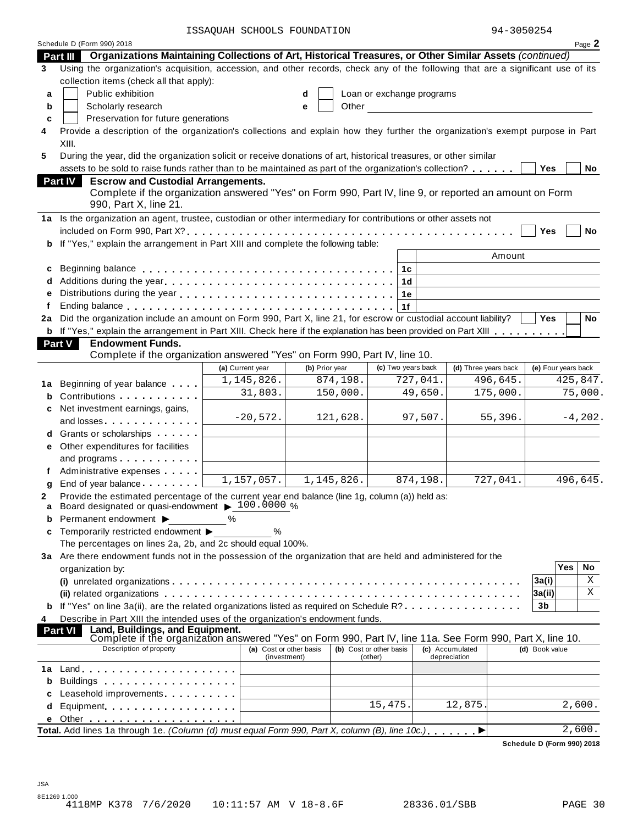ISSAQUAH SCHOOLS FOUNDATION 94-3050254

|  |  | 94-3050254 |  |
|--|--|------------|--|
|  |  |            |  |

|      | Schedule D (Form 990) 2018                                                                                                                                             | UAII DCIIOOLD FOONDAI                   |                |            |                                    |          |                                 | Page 2                     |  |
|------|------------------------------------------------------------------------------------------------------------------------------------------------------------------------|-----------------------------------------|----------------|------------|------------------------------------|----------|---------------------------------|----------------------------|--|
|      | Part III Organizations Maintaining Collections of Art, Historical Treasures, or Other Similar Assets (continued)                                                       |                                         |                |            |                                    |          |                                 |                            |  |
| 3    | Using the organization's acquisition, accession, and other records, check any of the following that are a significant use of its                                       |                                         |                |            |                                    |          |                                 |                            |  |
|      | collection items (check all that apply):                                                                                                                               |                                         |                |            |                                    |          |                                 |                            |  |
| a    | Public exhibition                                                                                                                                                      |                                         | d              |            | Loan or exchange programs          |          |                                 |                            |  |
| b    | Scholarly research                                                                                                                                                     |                                         | e              | Other      |                                    |          |                                 |                            |  |
| c    | Preservation for future generations                                                                                                                                    |                                         |                |            |                                    |          |                                 |                            |  |
| 4    | Provide a description of the organization's collections and explain how they further the organization's exempt purpose in Part                                         |                                         |                |            |                                    |          |                                 |                            |  |
|      | XIII.                                                                                                                                                                  |                                         |                |            |                                    |          |                                 |                            |  |
| 5    | During the year, did the organization solicit or receive donations of art, historical treasures, or other similar                                                      |                                         |                |            |                                    |          |                                 |                            |  |
|      | assets to be sold to raise funds rather than to be maintained as part of the organization's collection?<br>No<br>Yes                                                   |                                         |                |            |                                    |          |                                 |                            |  |
|      | <b>Part IV</b><br><b>Escrow and Custodial Arrangements.</b><br>Complete if the organization answered "Yes" on Form 990, Part IV, line 9, or reported an amount on Form |                                         |                |            |                                    |          |                                 |                            |  |
|      | 990, Part X, line 21.                                                                                                                                                  |                                         |                |            |                                    |          |                                 |                            |  |
|      | 1a Is the organization an agent, trustee, custodian or other intermediary for contributions or other assets not                                                        |                                         |                |            |                                    |          |                                 |                            |  |
|      |                                                                                                                                                                        |                                         |                |            |                                    |          |                                 | Yes<br>No                  |  |
|      | b If "Yes," explain the arrangement in Part XIII and complete the following table:                                                                                     |                                         |                |            |                                    |          |                                 |                            |  |
|      |                                                                                                                                                                        |                                         |                |            |                                    |          | Amount                          |                            |  |
| c    |                                                                                                                                                                        |                                         |                |            | 1c                                 |          |                                 |                            |  |
|      |                                                                                                                                                                        |                                         |                |            | 1 <sub>d</sub>                     |          |                                 |                            |  |
| е    |                                                                                                                                                                        |                                         |                |            | 1е                                 |          |                                 |                            |  |
|      |                                                                                                                                                                        |                                         |                |            | 1f                                 |          |                                 |                            |  |
| 2a l | Did the organization include an amount on Form 990, Part X, line 21, for escrow or custodial account liability?                                                        |                                         |                |            |                                    |          |                                 | <b>Yes</b><br><b>No</b>    |  |
|      | b If "Yes," explain the arrangement in Part XIII. Check here if the explanation has been provided on Part XIII                                                         |                                         |                |            |                                    |          |                                 |                            |  |
|      | Part V<br><b>Endowment Funds.</b>                                                                                                                                      |                                         |                |            |                                    |          |                                 |                            |  |
|      | Complete if the organization answered "Yes" on Form 990, Part IV, line 10.                                                                                             |                                         |                |            |                                    |          |                                 |                            |  |
|      |                                                                                                                                                                        | (a) Current year                        | (b) Prior year |            | (c) Two years back                 |          | (d) Three years back            | (e) Four years back        |  |
| 1a   | Beginning of year balance                                                                                                                                              | 1,145,826.                              |                | 874,198.   |                                    | 727,041. | 496,645.                        | 425,847.                   |  |
|      | Contributions                                                                                                                                                          | 31,803.                                 |                | 150,000.   |                                    | 49,650.  | 175,000.                        | 75,000.                    |  |
| c    | Net investment earnings, gains,                                                                                                                                        |                                         |                |            |                                    |          |                                 |                            |  |
|      | and losses                                                                                                                                                             | $-20,572.$                              |                | 121,628.   |                                    | 97,507.  | 55,396.                         | $-4, 202.$                 |  |
|      | d Grants or scholarships <b>compared</b>                                                                                                                               |                                         |                |            |                                    |          |                                 |                            |  |
| е    | Other expenditures for facilities                                                                                                                                      |                                         |                |            |                                    |          |                                 |                            |  |
|      | and programs expansion and programs                                                                                                                                    |                                         |                |            |                                    |          |                                 |                            |  |
|      | Administrative expenses                                                                                                                                                |                                         |                |            |                                    |          |                                 |                            |  |
| q    | End of year balance                                                                                                                                                    | 1,157,057.                              |                | 1,145,826. |                                    | 874,198. | 727,041.                        | 496,645.                   |  |
|      | Provide the estimated percentage of the current year end balance (line 1g, column (a)) held as:                                                                        |                                         |                |            |                                    |          |                                 |                            |  |
| a    | Board designated or quasi-endowment > 100.0000 %                                                                                                                       |                                         |                |            |                                    |          |                                 |                            |  |
| b    | Permanent endowment ▶                                                                                                                                                  |                                         |                |            |                                    |          |                                 |                            |  |
| c    | Temporarily restricted endowment ▶                                                                                                                                     | %                                       |                |            |                                    |          |                                 |                            |  |
|      | The percentages on lines 2a, 2b, and 2c should equal 100%.                                                                                                             |                                         |                |            |                                    |          |                                 |                            |  |
|      | 3a Are there endowment funds not in the possession of the organization that are held and administered for the<br>organization by:                                      |                                         |                |            |                                    |          |                                 | <b>Yes</b><br>No           |  |
|      |                                                                                                                                                                        |                                         |                |            |                                    |          |                                 | Χ<br>3a(i)                 |  |
|      |                                                                                                                                                                        |                                         |                |            |                                    |          |                                 | Χ<br>3a(ii)                |  |
|      | <b>b</b> If "Yes" on line 3a(ii), are the related organizations listed as required on Schedule R?                                                                      |                                         |                |            |                                    |          |                                 | 3 <sub>b</sub>             |  |
| 4    | Describe in Part XIII the intended uses of the organization's endowment funds.                                                                                         |                                         |                |            |                                    |          |                                 |                            |  |
|      | Land, Buildings, and Equipment.<br><b>Part VI</b>                                                                                                                      |                                         |                |            |                                    |          |                                 |                            |  |
|      | Complete if the organization answered "Yes" on Form 990, Part IV, line 11a. See Form 990, Part X, line 10.                                                             |                                         |                |            |                                    |          |                                 |                            |  |
|      | Description of property                                                                                                                                                | (a) Cost or other basis<br>(investment) |                |            | (b) Cost or other basis<br>(other) |          | (c) Accumulated<br>depreciation | (d) Book value             |  |
| 1a   | Land                                                                                                                                                                   |                                         |                |            |                                    |          |                                 |                            |  |
| b    |                                                                                                                                                                        |                                         |                |            |                                    |          |                                 |                            |  |
| c    | Leasehold improvements <b>Leasehold</b> improvements                                                                                                                   |                                         |                |            |                                    |          |                                 |                            |  |
| d    | Equipment                                                                                                                                                              |                                         |                |            | 15, 475.                           |          | 12,875                          | 2,600.                     |  |
| е    |                                                                                                                                                                        |                                         |                |            |                                    |          |                                 |                            |  |
|      | Total. Add lines 1a through 1e. (Column (d) must equal Form 990, Part X, column (B), line 10c.).                                                                       |                                         |                |            |                                    |          | ▶                               | 2,600.                     |  |
|      |                                                                                                                                                                        |                                         |                |            |                                    |          |                                 | Schedule D (Form 990) 2018 |  |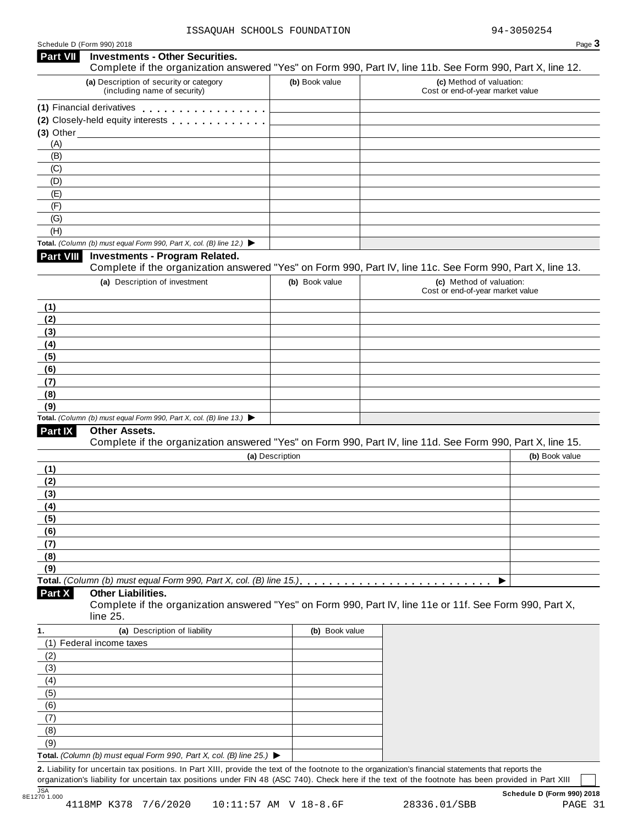| Schedule D (Form 990) 2018 |  |  |
|----------------------------|--|--|
|                            |  |  |

# Schedule <sup>D</sup> (Form 990) <sup>2018</sup> Page **3 Investments - Other Securities. Part VII** Investments - Other Securities.<br>Complete if the organization answered "Yes" on Form 990, Part IV, line 11b. See Form 990, Part X, line 12. **(a)** Description of security or category (including name of security) **(b)** Book value **(c)** Method of valuation: Cost or end-of-year market value **(1)** Financial derivatives m m m m m m m m m m m m m m m m m **(1)** Financial derivatives **maturity of minimum metallicity**<br>**(2)** Closely-held equity interests **maturity metallicity (3)** Other (A) (B) (C) (D) (E) (F) (G) (H) **Total.** *(Column (b) must equal Form 990, Part X, col. (B) line 12.)* I **Investments - Program Related.** Complete if the organization answered "Yes" on Form 990, Part IV, line 11c. See Form 990, Part X, line 13. **(a)** Description of investment **(b)** Book value **(c)** Method of valuation: Cost or end-of-year market value **(1) (2) (3) (4) (5) (6) (7) (8) (9) Total.** *(Column (b) must equal Form 990, Part X, col. (B) line 13.)* I **Other Assets.** Complete if the organization answered "Yes" on Form 990, Part IV, line 11d. See Form 990, Part X, line 15. **(a)** Description **(b)** Book value **(1) (2) (3) (4) (5) (6) (7) (8) (9) Total.** *(Column (b) must equal Form 990, Part X, col. (B) line 15.)* m m m m m m m m m m m m m m m m m m m m m m m m m m I **Other Liabilities.** Complete if the organization answered "Yes" on Form 990, Part IV, line 11e or 11f. See Form 990, Part X, line 25. **Part X 1. (a)** Description of liability **(b)** Book value (1) Federal income taxes (2) (3) (4) (5) (6) (7) (8) (9) **Total.** *(Column (b) must equal Form 990, Part X, col. (B) line 25.)* I **2.** Liability for uncertain tax positions. In Part XIII, provide the text of the footnote to the organization's financial statements that reports the organization's liability for uncertain tax positions under FIN 48 (ASC 740). Check here if the text of the footnote has been provided in Part XIII

JSA **Schedule D (Form 990) 2018**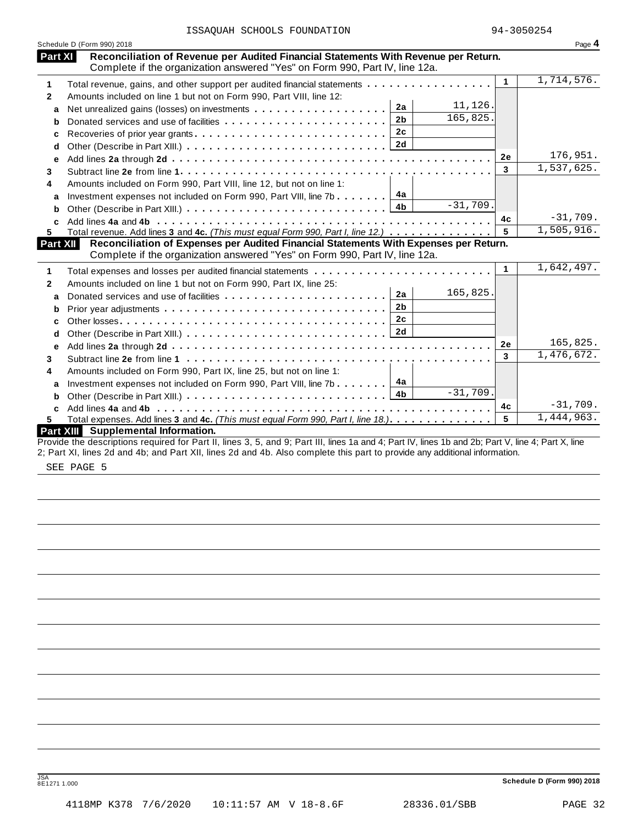| ISSAQUAH SCHOOLS FOUNDATION |  |
|-----------------------------|--|
|-----------------------------|--|

|                | Schedule D (Form 990) 2018                                                                               |                      | Page 4     |
|----------------|----------------------------------------------------------------------------------------------------------|----------------------|------------|
| <b>Part XI</b> | Reconciliation of Revenue per Audited Financial Statements With Revenue per Return.                      |                      |            |
|                | Complete if the organization answered "Yes" on Form 990, Part IV, line 12a.                              |                      |            |
| 1              | Total revenue, gains, and other support per audited financial statements                                 | $\blacktriangleleft$ | 1,714,576. |
| $\mathbf{2}$   | Amounts included on line 1 but not on Form 990, Part VIII, line 12:                                      |                      |            |
| a              | 11,126.<br>2a                                                                                            |                      |            |
| b              | 165,825.<br>2 <sub>b</sub><br>Donated services and use of facilities                                     |                      |            |
| c              | 2c<br>Recoveries of prior year grants                                                                    |                      |            |
| d              |                                                                                                          |                      |            |
| е              |                                                                                                          | <b>2e</b>            | 176,951.   |
| 3              |                                                                                                          | 3                    | 1,537,625. |
| 4              | Amounts included on Form 990, Part VIII, line 12, but not on line 1:                                     |                      |            |
| a              | Investment expenses not included on Form 990, Part VIII, line 7b $\boxed{4a}$                            |                      |            |
| b              | $-31,709.$                                                                                               |                      |            |
| C              |                                                                                                          | 4c                   | $-31,709.$ |
| 5.             | Total revenue. Add lines 3 and 4c. (This must equal Form 990, Part I, line 12.)                          | 5                    | 1,505,916. |
|                | Reconciliation of Expenses per Audited Financial Statements With Expenses per Return.<br><b>Part XII</b> |                      |            |
|                | Complete if the organization answered "Yes" on Form 990, Part IV, line 12a.                              |                      |            |
| 1              | Total expenses and losses per audited financial statements                                               | 1                    | 1,642,497. |
| $\mathbf{2}$   | Amounts included on line 1 but not on Form 990, Part IX, line 25:                                        |                      |            |
| a              | 165,825.<br>2a                                                                                           |                      |            |
| b              | 2 <sub>b</sub>                                                                                           |                      |            |
| c              | 2c                                                                                                       |                      |            |
| d              |                                                                                                          |                      |            |
| е              |                                                                                                          | 2e                   | 165,825.   |
| 3              |                                                                                                          | $\mathbf{3}$         | 1,476,672. |
| 4              | Amounts included on Form 990, Part IX, line 25, but not on line 1:                                       |                      |            |
| a              | 4a<br>Investment expenses not included on Form 990, Part VIII, line 7b                                   |                      |            |
| b              | $-31,709.$<br>4 <sub>b</sub>                                                                             |                      |            |
|                |                                                                                                          | 4с                   | $-31,709.$ |
|                |                                                                                                          | 5                    | 1,444,963. |
| C<br>5.        | Total expenses. Add lines 3 and 4c. (This must equal Form 990, Part I, line 18.)                         |                      |            |

SEE PAGE 5

JSA **Schedule <sup>D</sup> (Form 990) <sup>2018</sup>** 8E1271 1.000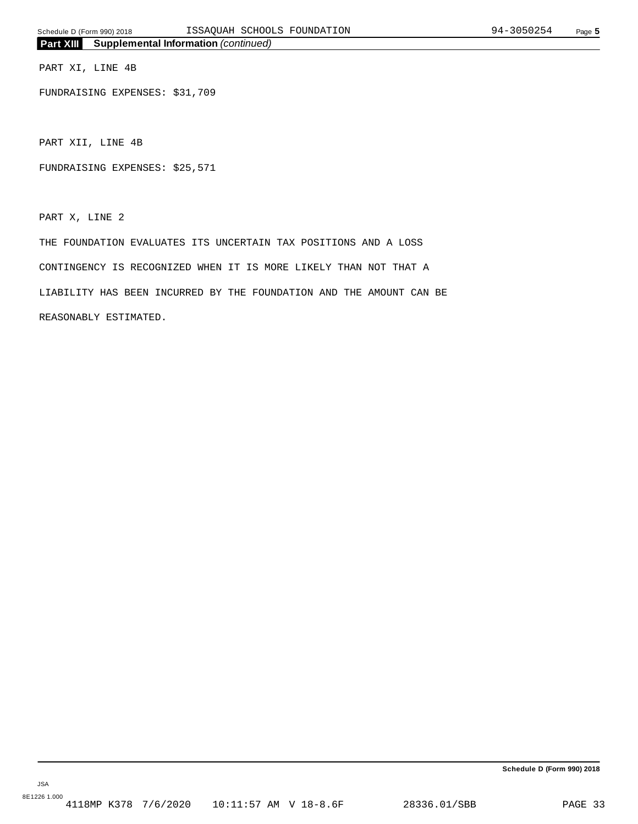PART XI, LINE 4B

FUNDRAISING EXPENSES: \$31,709

PART XII, LINE 4B

FUNDRAISING EXPENSES: \$25,571

PART X, LINE 2

THE FOUNDATION EVALUATES ITS UNCERTAIN TAX POSITIONS AND A LOSS CONTINGENCY IS RECOGNIZED WHEN IT IS MORE LIKELY THAN NOT THAT A LIABILITY HAS BEEN INCURRED BY THE FOUNDATION AND THE AMOUNT CAN BE REASONABLY ESTIMATED.

**Schedule D (Form 990) 2018**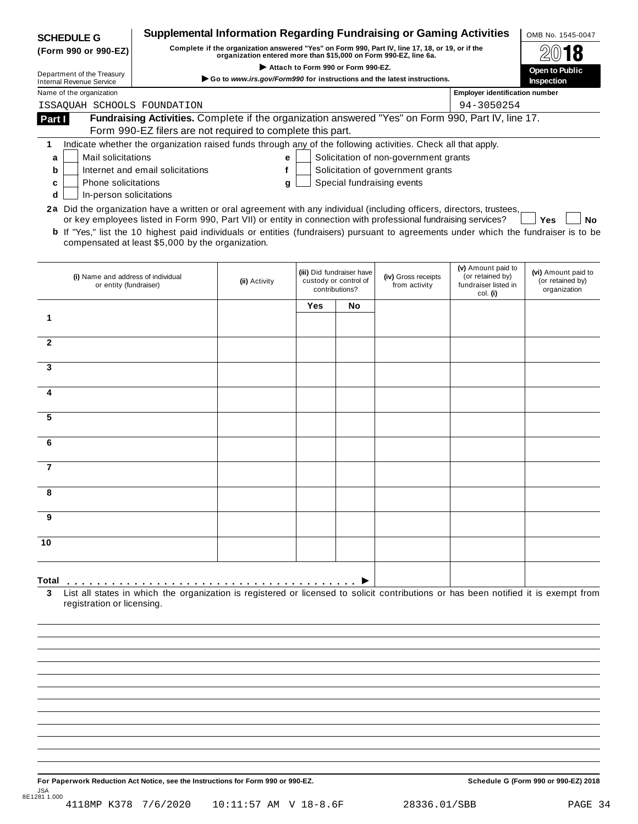| <b>SCHEDULE G</b>                                                                                                      | <b>Supplemental Information Regarding Fundraising or Gaming Activities</b>                                                                                                                                                                                                                                          |                                                                                                                                                                     |     |                                                                      |                                       |                                                                            | OMB No. 1545-0047                                       |
|------------------------------------------------------------------------------------------------------------------------|---------------------------------------------------------------------------------------------------------------------------------------------------------------------------------------------------------------------------------------------------------------------------------------------------------------------|---------------------------------------------------------------------------------------------------------------------------------------------------------------------|-----|----------------------------------------------------------------------|---------------------------------------|----------------------------------------------------------------------------|---------------------------------------------------------|
| (Form 990 or 990-EZ)                                                                                                   |                                                                                                                                                                                                                                                                                                                     | Complete if the organization answered "Yes" on Form 990, Part IV, line 17, 18, or 19, or if the<br>organization entered more than \$15,000 on Form 990-EZ, line 6a. |     |                                                                      |                                       |                                                                            |                                                         |
| Department of the Treasury                                                                                             | Attach to Form 990 or Form 990-EZ.                                                                                                                                                                                                                                                                                  |                                                                                                                                                                     |     |                                                                      |                                       |                                                                            | <b>Open to Public</b>                                   |
| <b>Internal Revenue Service</b>                                                                                        | Go to www.irs.gov/Form990 for instructions and the latest instructions.<br>Inspection                                                                                                                                                                                                                               |                                                                                                                                                                     |     |                                                                      |                                       |                                                                            |                                                         |
| Name of the organization                                                                                               |                                                                                                                                                                                                                                                                                                                     |                                                                                                                                                                     |     |                                                                      |                                       | <b>Employer identification number</b>                                      |                                                         |
| ISSAQUAH SCHOOLS FOUNDATION                                                                                            |                                                                                                                                                                                                                                                                                                                     |                                                                                                                                                                     |     |                                                                      |                                       | 94-3050254                                                                 |                                                         |
| Part I                                                                                                                 | Fundraising Activities. Complete if the organization answered "Yes" on Form 990, Part IV, line 17.<br>Form 990-EZ filers are not required to complete this part.                                                                                                                                                    |                                                                                                                                                                     |     |                                                                      |                                       |                                                                            |                                                         |
| 1                                                                                                                      | Indicate whether the organization raised funds through any of the following activities. Check all that apply.                                                                                                                                                                                                       |                                                                                                                                                                     |     |                                                                      |                                       |                                                                            |                                                         |
| Mail solicitations<br>a                                                                                                |                                                                                                                                                                                                                                                                                                                     | е                                                                                                                                                                   |     |                                                                      | Solicitation of non-government grants |                                                                            |                                                         |
| b                                                                                                                      | Internet and email solicitations                                                                                                                                                                                                                                                                                    | f                                                                                                                                                                   |     |                                                                      | Solicitation of government grants     |                                                                            |                                                         |
| Phone solicitations<br>c                                                                                               |                                                                                                                                                                                                                                                                                                                     | g                                                                                                                                                                   |     |                                                                      | Special fundraising events            |                                                                            |                                                         |
| In-person solicitations<br>d                                                                                           |                                                                                                                                                                                                                                                                                                                     |                                                                                                                                                                     |     |                                                                      |                                       |                                                                            |                                                         |
| 2a Did the organization have a written or oral agreement with any individual (including officers, directors, trustees, | or key employees listed in Form 990, Part VII) or entity in connection with professional fundraising services?<br><b>b</b> If "Yes," list the 10 highest paid individuals or entities (fundraisers) pursuant to agreements under which the fundraiser is to be<br>compensated at least \$5,000 by the organization. |                                                                                                                                                                     |     |                                                                      |                                       |                                                                            | Yes<br>No                                               |
| (i) Name and address of individual<br>or entity (fundraiser)                                                           |                                                                                                                                                                                                                                                                                                                     | (ii) Activity                                                                                                                                                       |     | (iii) Did fundraiser have<br>custody or control of<br>contributions? | (iv) Gross receipts<br>from activity  | (v) Amount paid to<br>(or retained by)<br>fundraiser listed in<br>col. (i) | (vi) Amount paid to<br>(or retained by)<br>organization |
|                                                                                                                        |                                                                                                                                                                                                                                                                                                                     |                                                                                                                                                                     | Yes | <b>No</b>                                                            |                                       |                                                                            |                                                         |
| 1                                                                                                                      |                                                                                                                                                                                                                                                                                                                     |                                                                                                                                                                     |     |                                                                      |                                       |                                                                            |                                                         |
|                                                                                                                        |                                                                                                                                                                                                                                                                                                                     |                                                                                                                                                                     |     |                                                                      |                                       |                                                                            |                                                         |
| $\mathbf{2}$                                                                                                           |                                                                                                                                                                                                                                                                                                                     |                                                                                                                                                                     |     |                                                                      |                                       |                                                                            |                                                         |
| 3                                                                                                                      |                                                                                                                                                                                                                                                                                                                     |                                                                                                                                                                     |     |                                                                      |                                       |                                                                            |                                                         |
|                                                                                                                        |                                                                                                                                                                                                                                                                                                                     |                                                                                                                                                                     |     |                                                                      |                                       |                                                                            |                                                         |
| 4                                                                                                                      |                                                                                                                                                                                                                                                                                                                     |                                                                                                                                                                     |     |                                                                      |                                       |                                                                            |                                                         |
| 5                                                                                                                      |                                                                                                                                                                                                                                                                                                                     |                                                                                                                                                                     |     |                                                                      |                                       |                                                                            |                                                         |
|                                                                                                                        |                                                                                                                                                                                                                                                                                                                     |                                                                                                                                                                     |     |                                                                      |                                       |                                                                            |                                                         |
| 6                                                                                                                      |                                                                                                                                                                                                                                                                                                                     |                                                                                                                                                                     |     |                                                                      |                                       |                                                                            |                                                         |
| 7                                                                                                                      |                                                                                                                                                                                                                                                                                                                     |                                                                                                                                                                     |     |                                                                      |                                       |                                                                            |                                                         |
| 8                                                                                                                      |                                                                                                                                                                                                                                                                                                                     |                                                                                                                                                                     |     |                                                                      |                                       |                                                                            |                                                         |
| 9                                                                                                                      |                                                                                                                                                                                                                                                                                                                     |                                                                                                                                                                     |     |                                                                      |                                       |                                                                            |                                                         |
|                                                                                                                        |                                                                                                                                                                                                                                                                                                                     |                                                                                                                                                                     |     |                                                                      |                                       |                                                                            |                                                         |
| 10                                                                                                                     |                                                                                                                                                                                                                                                                                                                     |                                                                                                                                                                     |     |                                                                      |                                       |                                                                            |                                                         |
| Total<br>3                                                                                                             | List all states in which the organization is registered or licensed to solicit contributions or has been notified it is exempt from                                                                                                                                                                                 |                                                                                                                                                                     |     |                                                                      |                                       |                                                                            |                                                         |
| registration or licensing.                                                                                             |                                                                                                                                                                                                                                                                                                                     |                                                                                                                                                                     |     |                                                                      |                                       |                                                                            |                                                         |
|                                                                                                                        |                                                                                                                                                                                                                                                                                                                     |                                                                                                                                                                     |     |                                                                      |                                       |                                                                            |                                                         |

For Paperwork Reduction Act Notice, see the Instructions for Form 990 or 990-EZ. Schedule G (Form 990 or 990-EZ) 2018 JSA 8E1281 1.000 4118MP K378 7/6/2020 10:11:57 AM V 18-8.6F 28336.01/SBB PAGE 34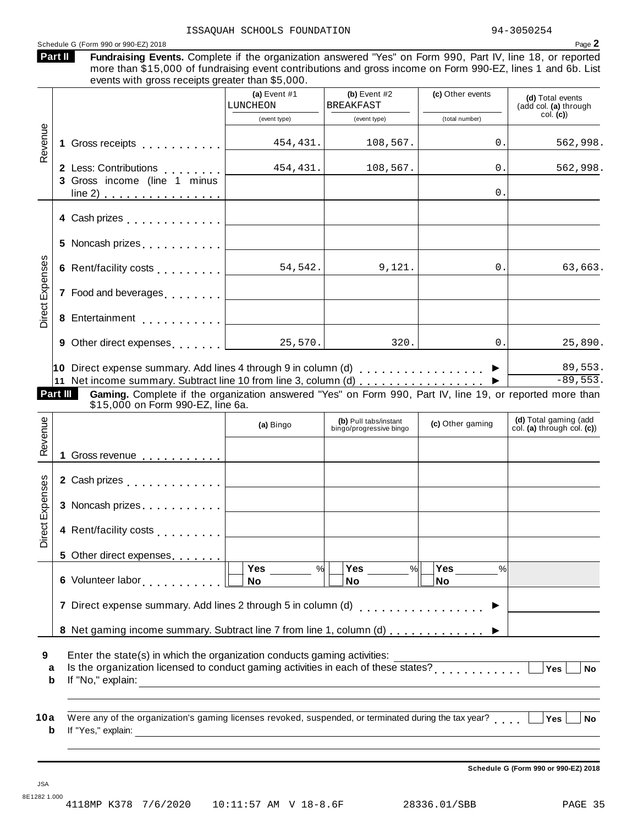| Schedule G (Form 990 or 990-EZ) 2018                                                                                                                                                                                                                                                     | ISSAOUAH SCHOOLS FOUNDATION                  |                                                          |                       | 94-3050254<br>Page 2                                |
|------------------------------------------------------------------------------------------------------------------------------------------------------------------------------------------------------------------------------------------------------------------------------------------|----------------------------------------------|----------------------------------------------------------|-----------------------|-----------------------------------------------------|
| Fundraising Events. Complete if the organization answered "Yes" on Form 990, Part IV, line 18, or reported<br>Part II<br>more than \$15,000 of fundraising event contributions and gross income on Form 990-EZ, lines 1 and 6b. List<br>events with gross receipts greater than \$5,000. |                                              |                                                          |                       |                                                     |
|                                                                                                                                                                                                                                                                                          | (a) Event $#1$<br>LUNCHEON                   | (b) Event $#2$<br><b>BREAKFAST</b>                       | (c) Other events      | (d) Total events<br>(add col. (a) through           |
|                                                                                                                                                                                                                                                                                          | (event type)                                 | (event type)                                             | (total number)        | col. (c)                                            |
| Revenue<br>Gross receipts [1] [1] [1] Cross receipts<br>1.                                                                                                                                                                                                                               | 454, 431.                                    | 108,567.                                                 | 0.                    | 562,998.                                            |
| 2 Less: Contributions<br>3 Gross income (line 1 minus                                                                                                                                                                                                                                    | 454, 431.                                    | 108, 567.                                                | 0.                    | 562,998.                                            |
| $line 2)$                                                                                                                                                                                                                                                                                | <u> 1980 - Johann Barbara, martxa al</u>     |                                                          | 0.                    |                                                     |
| 4 Cash prizes <u>  _ _ _ _ _ _ _ _ _ _ _ _</u>                                                                                                                                                                                                                                           |                                              |                                                          |                       |                                                     |
|                                                                                                                                                                                                                                                                                          |                                              |                                                          |                       |                                                     |
| <b>Direct Expenses</b><br>6 Rent/facility costs $\boxed{\qquad \qquad 54.542.}$                                                                                                                                                                                                          |                                              | 9,121.                                                   | 0.                    | 63,663.                                             |
| 7 Food and beverages [                                                                                                                                                                                                                                                                   | the control of the control of the control of |                                                          |                       |                                                     |
|                                                                                                                                                                                                                                                                                          |                                              |                                                          |                       |                                                     |
|                                                                                                                                                                                                                                                                                          |                                              | 320.                                                     | 0.                    | 25,890.                                             |
| 11 Net income summary. Subtract line 10 from line 3, column (d)<br>Part III<br>Gaming. Complete if the organization answered "Yes" on Form 990, Part IV, line 19, or reported more than<br>\$15,000 on Form 990-EZ, line 6a.                                                             |                                              |                                                          |                       | $-89,553.$                                          |
| Revenue                                                                                                                                                                                                                                                                                  | (a) Bingo                                    | (b) Pull tabs/instant<br>bingo/progressive bingo         | (c) Other gaming      | (d) Total gaming (add<br>col. (a) through col. (c)) |
| 1 Gross revenue <b>contracts</b> contracts and the <b>contracts</b> of <b>contracts</b> of <b>contracts</b> of <b>contracts</b> of <b>contracts</b>                                                                                                                                      |                                              |                                                          |                       |                                                     |
| 2 Cash prizes $\ldots \ldots \ldots \ldots$                                                                                                                                                                                                                                              |                                              |                                                          |                       |                                                     |
| 3 Noncash prizes                                                                                                                                                                                                                                                                         |                                              |                                                          |                       |                                                     |
| Direct Expenses<br>4 Rent/facility costs                                                                                                                                                                                                                                                 |                                              |                                                          |                       |                                                     |
| 5 Other direct expenses                                                                                                                                                                                                                                                                  |                                              |                                                          |                       |                                                     |
|                                                                                                                                                                                                                                                                                          |                                              |                                                          |                       |                                                     |
|                                                                                                                                                                                                                                                                                          | %<br><b>No</b>                               | Yes $\qquad \qquad \qquad$<br>$\frac{9}{6}$<br><b>No</b> | <b>Yes</b><br>%<br>No |                                                     |
| 7 Direct expense summary. Add lines 2 through 5 in column (d)                                                                                                                                                                                                                            |                                              |                                                          | . <b>.</b> .          |                                                     |
| 8 Net gaming income summary. Subtract line 7 from line 1, column (d)                                                                                                                                                                                                                     |                                              |                                                          |                       |                                                     |
| Enter the state(s) in which the organization conducts gaming activities:<br>Is the organization licensed to conduct gaming activities in each of these states?<br>[                                                                                                                      |                                              |                                                          |                       | Yes<br><b>No</b>                                    |
| 9<br>a<br>b                                                                                                                                                                                                                                                                              |                                              |                                                          |                       |                                                     |
| Were any of the organization's gaming licenses revoked, suspended, or terminated during the tax year?<br>10a                                                                                                                                                                             |                                              |                                                          |                       | Yes<br><b>No</b>                                    |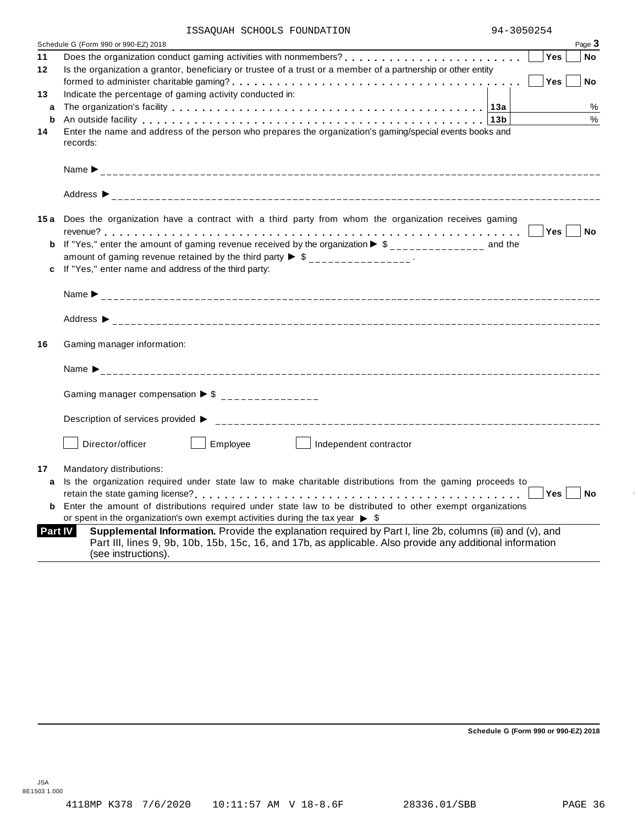|                | ISSAQUAH SCHOOLS FOUNDATION                                                                                                                                                                                                                | 94-3050254                                            |            |           |
|----------------|--------------------------------------------------------------------------------------------------------------------------------------------------------------------------------------------------------------------------------------------|-------------------------------------------------------|------------|-----------|
|                | Schedule G (Form 990 or 990-EZ) 2018                                                                                                                                                                                                       |                                                       |            | Page 3    |
| 11             |                                                                                                                                                                                                                                            |                                                       | <b>Yes</b> | No        |
| 12             | Is the organization a grantor, beneficiary or trustee of a trust or a member of a partnership or other entity                                                                                                                              |                                                       |            |           |
|                |                                                                                                                                                                                                                                            |                                                       | Yes        | No        |
| 13             | Indicate the percentage of gaming activity conducted in:                                                                                                                                                                                   |                                                       |            |           |
| a              |                                                                                                                                                                                                                                            |                                                       |            | %<br>$\%$ |
| b<br>14        | An outside facility enterpreened and according to the control of the control of the control of the control of $\vert 13b\vert$<br>Enter the name and address of the person who prepares the organization's gaming/special events books and |                                                       |            |           |
|                | records:                                                                                                                                                                                                                                   |                                                       |            |           |
|                |                                                                                                                                                                                                                                            |                                                       |            |           |
|                |                                                                                                                                                                                                                                            |                                                       |            |           |
|                |                                                                                                                                                                                                                                            |                                                       |            |           |
|                | Address $\triangleright$                                                                                                                                                                                                                   |                                                       |            |           |
|                | 15a Does the organization have a contract with a third party from whom the organization receives gaming                                                                                                                                    |                                                       |            |           |
|                |                                                                                                                                                                                                                                            | $\overline{\phantom{a}}$ Yes $\overline{\phantom{a}}$ |            | <b>No</b> |
|                | If "Yes," enter the amount of gaming revenue received by the organization $\triangleright$ \$______________ and the                                                                                                                        |                                                       |            |           |
|                | amount of gaming revenue retained by the third party $\triangleright$ \$ _______________.                                                                                                                                                  |                                                       |            |           |
|                | If "Yes," enter name and address of the third party:                                                                                                                                                                                       |                                                       |            |           |
|                |                                                                                                                                                                                                                                            |                                                       |            |           |
|                |                                                                                                                                                                                                                                            |                                                       |            |           |
| 16             | Gaming manager information:                                                                                                                                                                                                                |                                                       |            |           |
|                |                                                                                                                                                                                                                                            |                                                       |            |           |
|                |                                                                                                                                                                                                                                            |                                                       |            |           |
|                | Gaming manager compensation $\triangleright$ \$ ________________                                                                                                                                                                           |                                                       |            |           |
|                |                                                                                                                                                                                                                                            |                                                       |            |           |
|                |                                                                                                                                                                                                                                            |                                                       |            |           |
|                | Director/officer<br>Employee<br>  Independent contractor                                                                                                                                                                                   |                                                       |            |           |
| 17             | Mandatory distributions:                                                                                                                                                                                                                   |                                                       |            |           |
|                | a Is the organization required under state law to make charitable distributions from the gaming proceeds to                                                                                                                                |                                                       |            |           |
|                |                                                                                                                                                                                                                                            |                                                       |            |           |
|                | <b>b</b> Enter the amount of distributions required under state law to be distributed to other exempt organizations                                                                                                                        |                                                       |            |           |
|                | or spent in the organization's own exempt activities during the tax year $\triangleright$ \$                                                                                                                                               |                                                       |            |           |
| <b>Part IV</b> | Supplemental Information. Provide the explanation required by Part I, line 2b, columns (iii) and (v), and                                                                                                                                  |                                                       |            |           |
|                | Part III, lines 9, 9b, 10b, 15b, 15c, 16, and 17b, as applicable. Also provide any additional information                                                                                                                                  |                                                       |            |           |
|                | (see instructions).                                                                                                                                                                                                                        |                                                       |            |           |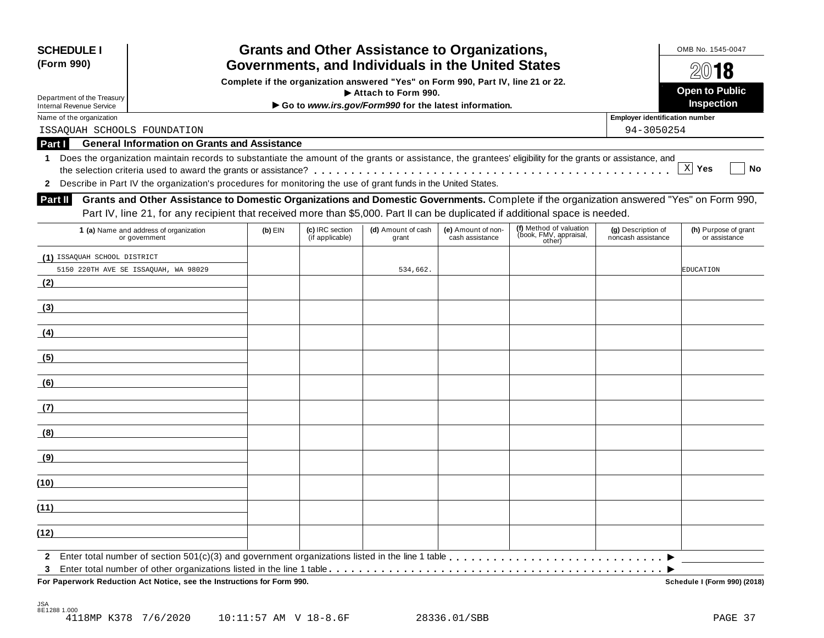| <b>SCHEDULE I</b><br>(Form 990)                                                                                                       |                                                                                                                                                            |           |                                    | <b>Grants and Other Assistance to Organizations,</b>                         |                                       |                                                             |                                          | OMB No. 1545-0047                     |  |  |
|---------------------------------------------------------------------------------------------------------------------------------------|------------------------------------------------------------------------------------------------------------------------------------------------------------|-----------|------------------------------------|------------------------------------------------------------------------------|---------------------------------------|-------------------------------------------------------------|------------------------------------------|---------------------------------------|--|--|
| Governments, and Individuals in the United States<br>Complete if the organization answered "Yes" on Form 990, Part IV, line 21 or 22. |                                                                                                                                                            |           |                                    |                                                                              |                                       |                                                             |                                          | 2018<br><b>Open to Public</b>         |  |  |
| Department of the Treasury<br><b>Internal Revenue Service</b>                                                                         |                                                                                                                                                            |           |                                    | Attach to Form 990.<br>Go to www.irs.gov/Form990 for the latest information. |                                       |                                                             |                                          | Inspection                            |  |  |
| Name of the organization                                                                                                              |                                                                                                                                                            |           |                                    |                                                                              |                                       |                                                             | <b>Employer identification number</b>    |                                       |  |  |
| ISSAOUAH SCHOOLS FOUNDATION                                                                                                           |                                                                                                                                                            |           |                                    |                                                                              |                                       |                                                             | 94-3050254                               |                                       |  |  |
| Part I                                                                                                                                | <b>General Information on Grants and Assistance</b>                                                                                                        |           |                                    |                                                                              |                                       |                                                             |                                          |                                       |  |  |
| 1                                                                                                                                     | Does the organization maintain records to substantiate the amount of the grants or assistance, the grantees' eligibility for the grants or assistance, and |           |                                    |                                                                              |                                       |                                                             |                                          |                                       |  |  |
|                                                                                                                                       |                                                                                                                                                            |           |                                    |                                                                              |                                       |                                                             |                                          | $X$ Yes<br>No                         |  |  |
|                                                                                                                                       | 2 Describe in Part IV the organization's procedures for monitoring the use of grant funds in the United States.                                            |           |                                    |                                                                              |                                       |                                                             |                                          |                                       |  |  |
| <b>Part II</b>                                                                                                                        | Grants and Other Assistance to Domestic Organizations and Domestic Governments. Complete if the organization answered "Yes" on Form 990,                   |           |                                    |                                                                              |                                       |                                                             |                                          |                                       |  |  |
|                                                                                                                                       | Part IV, line 21, for any recipient that received more than \$5,000. Part II can be duplicated if additional space is needed.                              |           |                                    |                                                                              |                                       |                                                             |                                          |                                       |  |  |
|                                                                                                                                       | 1 (a) Name and address of organization<br>or government                                                                                                    | $(b)$ EIN | (c) IRC section<br>(if applicable) | (d) Amount of cash<br>grant                                                  | (e) Amount of non-<br>cash assistance | (f) Method of valuation<br>(book, FMV, appraisal,<br>other) | (g) Description of<br>noncash assistance | (h) Purpose of grant<br>or assistance |  |  |
| (1) ISSAQUAH SCHOOL DISTRICT                                                                                                          |                                                                                                                                                            |           |                                    |                                                                              |                                       |                                                             |                                          |                                       |  |  |
|                                                                                                                                       | 5150 220TH AVE SE ISSAQUAH, WA 98029                                                                                                                       |           |                                    | 534,662.                                                                     |                                       |                                                             |                                          | EDUCATION                             |  |  |
| (2)                                                                                                                                   |                                                                                                                                                            |           |                                    |                                                                              |                                       |                                                             |                                          |                                       |  |  |
| (3)                                                                                                                                   |                                                                                                                                                            |           |                                    |                                                                              |                                       |                                                             |                                          |                                       |  |  |
| (4)                                                                                                                                   |                                                                                                                                                            |           |                                    |                                                                              |                                       |                                                             |                                          |                                       |  |  |
| (5)                                                                                                                                   |                                                                                                                                                            |           |                                    |                                                                              |                                       |                                                             |                                          |                                       |  |  |
| (6)                                                                                                                                   |                                                                                                                                                            |           |                                    |                                                                              |                                       |                                                             |                                          |                                       |  |  |
| (7)                                                                                                                                   |                                                                                                                                                            |           |                                    |                                                                              |                                       |                                                             |                                          |                                       |  |  |
| (8)                                                                                                                                   |                                                                                                                                                            |           |                                    |                                                                              |                                       |                                                             |                                          |                                       |  |  |
| (9)                                                                                                                                   |                                                                                                                                                            |           |                                    |                                                                              |                                       |                                                             |                                          |                                       |  |  |
| (10)                                                                                                                                  |                                                                                                                                                            |           |                                    |                                                                              |                                       |                                                             |                                          |                                       |  |  |
| (11)                                                                                                                                  |                                                                                                                                                            |           |                                    |                                                                              |                                       |                                                             |                                          |                                       |  |  |
| (12)                                                                                                                                  |                                                                                                                                                            |           |                                    |                                                                              |                                       |                                                             |                                          |                                       |  |  |
| 3                                                                                                                                     | For Paperwork Reduction Act Notice, see the Instructions for Form 990.                                                                                     |           |                                    |                                                                              |                                       |                                                             |                                          | Schedule I (Form 990) (2018)          |  |  |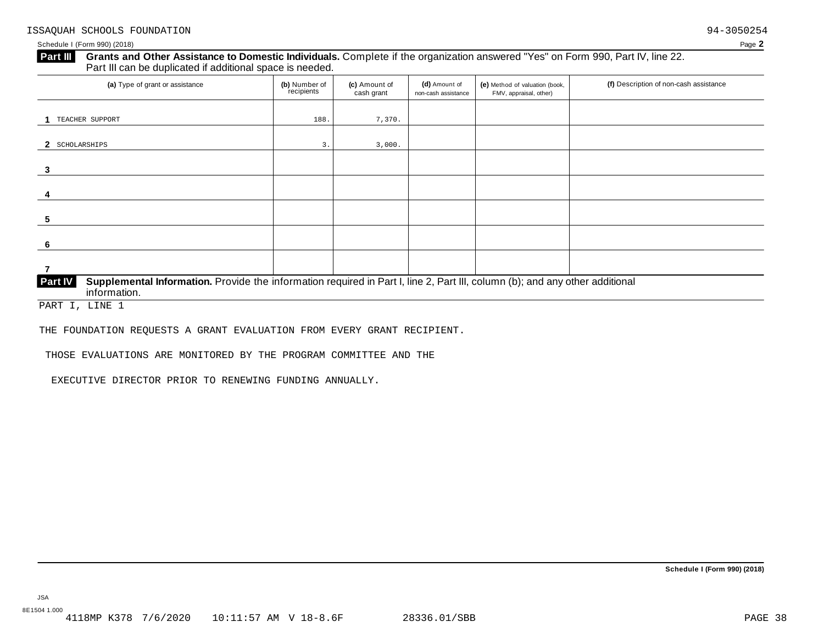Schedule I (Form 990) (2018) Page **2**

# **Grants and Other Assistance to Domestic Individuals.** Complete ifthe organization answered "Yes" on Form 990, Part IV, line 22. **Part III** Grants and Other Assistance to Domestic Individuals<br>Part III can be duplicated if additional space is needed. (a) Type of grant or assistance **(b)** Number of **(c)** Amount of **(d)** Amount of **(e)** Method of valuation (book, **(f)** Description of non-cash assistance FMV, appraisal, other) fecipients **(d)** Amount of non-cash assistance **(c)** Amount of cash grant **1** TEACHER SUPPORT 188. 7,370. **2** SCHOLARSHIPS 3. 3,000. **3 4 5 6 7 Supplemental Information.** Provide the information required in Part I, line 2, Part III, column (b); and any other additional information. **Part IV**

PART I, LINE 1

THE FOUNDATION REQUESTS A GRANT EVALUATION FROM EVERY GRANT RECIPIENT.

THOSE EVALUATIONS ARE MONITORED BY THE PROGRAM COMMITTEE AND THE

EXECUTIVE DIRECTOR PRIOR TO RENEWING FUNDING ANNUALLY.

JSA

8E1504 1.000<br>4118MP K378 7/6/2020 10:11:57 AM V 18-8.6F 28336.01/SBB 2834 2834 2836.01/SBB

**Schedule I (Form 990) (2018)**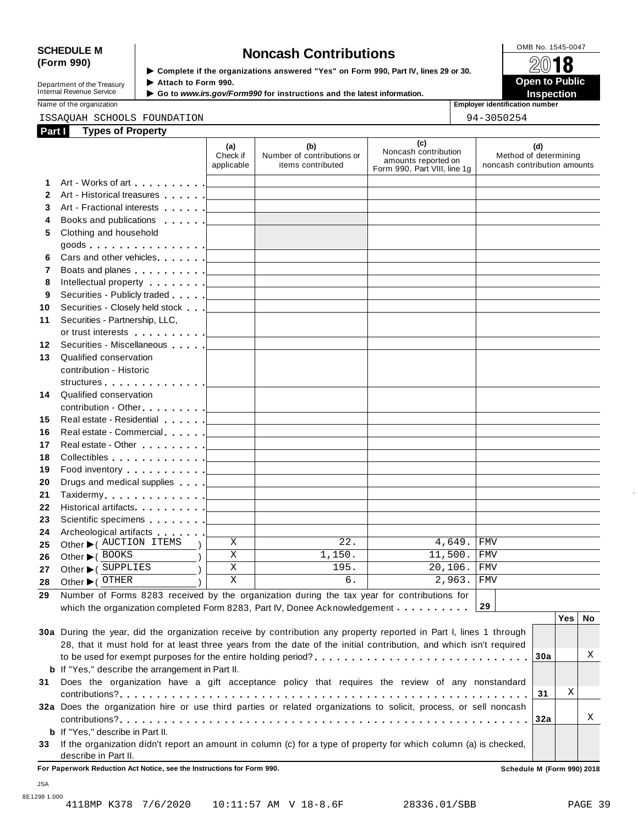# SCHEDULE M<br>
(Form 990) **Security is the exergivenises areward "Yea" on Form 990, Boxt W. Lines 29 or 29.** 2014

**(d)** Method of determining noncash contribution amounts

**Department of the Treasury<br>Internal Revenue Service** 

**(Form 990)** I **Complete if the organizations answered "Yes" on Form 990, Part IV, lines <sup>29</sup> or 30.** À¾µ¼ **Department of the Treasury ▶ Attach to Form 990.**<br>Internal Revenue Service ▶ Go to *www.irs.gov/Form990* for instructions and the latest information.<br>Nome of the organization aumhor

Name of the organization **intervalse of the organization intervalse of the organization intervalse of the organization intervalse of the organization intervalse of the organization intervalse of the organization** 

ISSAQUAH SCHOOLS FOUNDATION 94-3050254

| Part I | <b>Types of Property</b>                                                     |                               |                                                        |                                                                                    |
|--------|------------------------------------------------------------------------------|-------------------------------|--------------------------------------------------------|------------------------------------------------------------------------------------|
|        |                                                                              | (a)<br>Check if<br>applicable | (b)<br>Number of contributions or<br>items contributed | (c)<br>Noncash contribution<br>amounts reported on<br>Form 990, Part VIII, line 1g |
|        | 1 Art - Works of art [1]                                                     |                               |                                                        |                                                                                    |
|        | 2 Art - Historical treasures                                                 |                               |                                                        |                                                                                    |
|        | Art - Fractional interests                                                   |                               |                                                        |                                                                                    |
| 4      | Books and publications [19]                                                  |                               |                                                        |                                                                                    |
| 5.     | Clothing and household<br>goods $\ldots$ $\ldots$ $\ldots$ $\ldots$ $\ldots$ |                               |                                                        |                                                                                    |
|        | <b>6</b> Care and other vehicles                                             |                               |                                                        |                                                                                    |

|    | goods <u> _________</u>                                                                                                                                                                                                        |   |        |                                       |            |
|----|--------------------------------------------------------------------------------------------------------------------------------------------------------------------------------------------------------------------------------|---|--------|---------------------------------------|------------|
| 6  | Cars and other vehicles <b>Cars</b> and other vehicles                                                                                                                                                                         |   |        |                                       |            |
| 7  | Boats and planes <u>  _ _ _ _ _</u>                                                                                                                                                                                            |   |        |                                       |            |
| 8  | Intellectual property <u>  _ _ _ _ _</u>                                                                                                                                                                                       |   |        |                                       |            |
| 9  |                                                                                                                                                                                                                                |   |        |                                       |            |
| 10 |                                                                                                                                                                                                                                |   |        |                                       |            |
| 11 | Securities - Partnership, LLC,                                                                                                                                                                                                 |   |        |                                       |            |
|    |                                                                                                                                                                                                                                |   |        |                                       |            |
| 12 | Securities - Miscellaneous                                                                                                                                                                                                     |   |        |                                       |            |
| 13 | Qualified conservation                                                                                                                                                                                                         |   |        |                                       |            |
|    | contribution - Historic                                                                                                                                                                                                        |   |        |                                       |            |
|    | structures [19]                                                                                                                                                                                                                |   |        |                                       |            |
| 14 | Qualified conservation                                                                                                                                                                                                         |   |        |                                       |            |
|    |                                                                                                                                                                                                                                |   |        |                                       |            |
| 15 | Real estate - Residential                                                                                                                                                                                                      |   |        |                                       |            |
| 16 | Real estate - Commercial [1994]                                                                                                                                                                                                |   |        |                                       |            |
| 17 | Real estate - Other experience and produced by the set of the set of the set of the set of the set of the set of the set of the set of the set of the set of the set of the set of the set of the set of the set of the set of |   |        |                                       |            |
| 18 | Collectibles <u>  _ _ _ _ _   _ _ _ _ _ _ _ _ _ _ _ _</u>                                                                                                                                                                      |   |        |                                       |            |
| 19 | Food inventory $\ldots$ , $\ldots$ , $\ldots$                                                                                                                                                                                  |   |        |                                       |            |
| 20 | Drugs and medical supplies [ _ _ _ _ _ _ _                                                                                                                                                                                     |   |        |                                       |            |
| 21 |                                                                                                                                                                                                                                |   |        |                                       |            |
| 22 | Historical artifacts [1994]                                                                                                                                                                                                    |   |        |                                       |            |
| 23 | Scientific specimens <u>  _ _ _ _ _</u>                                                                                                                                                                                        |   |        |                                       |            |
| 24 | Archeological artifacts [1996]                                                                                                                                                                                                 |   |        |                                       |            |
| 25 | Other C AUCTION ITEMS                                                                                                                                                                                                          | X | 22.    | 4,649.                                | <b>FMV</b> |
| 26 | Other ▶ (BOOKS                                                                                                                                                                                                                 | X | 1,150. | 11,500. FMV                           |            |
| 27 | Other $\blacktriangleright$ ( SUPPLIES                                                                                                                                                                                         | X | 195.   | 20,106. FMV                           |            |
| 28 | Other $\blacktriangleright$ ( $\sqrt{\text{C}}$ THER                                                                                                                                                                           | X | б.     | $2,963.$ FMV                          |            |
|    |                                                                                                                                                                                                                                |   |        | and the company of the company of the |            |

**29** Number of Forms 8283 received by the organization during the tax year for contributions for which the organization completed Form 8283, Part IV, Donee Acknowledgement mand m m and 29

|    |                                                                                                                    |      | Yes⊺ |  |
|----|--------------------------------------------------------------------------------------------------------------------|------|------|--|
|    | 30a During the year, did the organization receive by contribution any property reported in Part I, lines 1 through |      |      |  |
|    | 28, that it must hold for at least three years from the date of the initial contribution, and which isn't required |      |      |  |
|    | to be used for exempt purposes for the entire holding period?30a                                                   |      |      |  |
|    | <b>b</b> If "Yes," describe the arrangement in Part II.                                                            |      |      |  |
| 31 | Does the organization have a gift acceptance policy that requires the review of any nonstandard                    |      |      |  |
|    |                                                                                                                    | -31  | Χ    |  |
|    | 32a Does the organization hire or use third parties or related organizations to solicit, process, or sell noncash  |      |      |  |
|    |                                                                                                                    | ∣32a |      |  |
|    | <b>b</b> If "Yes," describe in Part II.                                                                            |      |      |  |
| 33 | If the organization didn't report an amount in column (c) for a type of property for which column (a) is checked,  |      |      |  |
|    | describe in Part II.                                                                                               |      |      |  |

**For Paperwork Reduction Act Notice, see the Instructions for Form 990. Schedule M (Form 990) 2018**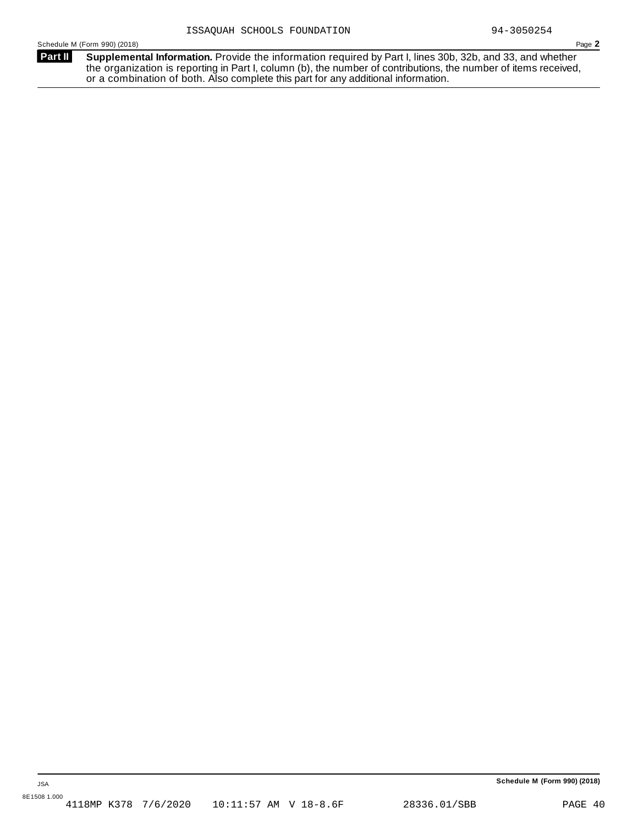**Supplemental Information.** Provide the information required by Part I, lines 30b, 32b, and 33, and whether the organization is reporting in Part I, column (b), the number of contributions, the number of items received, or a combination of both. Also complete this part for any additional information. **Part II**

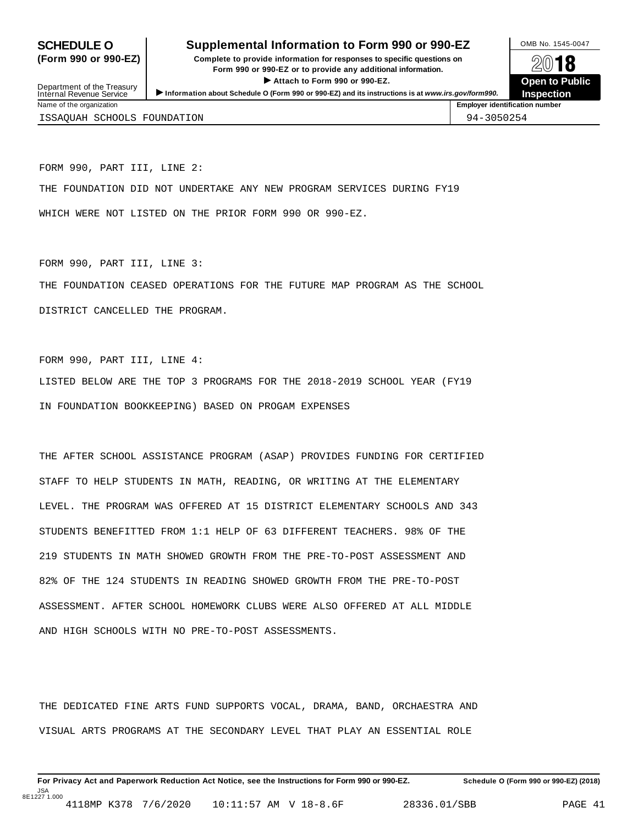# **SCHEDULE O** Supplemental Information to Form 990 or 990-EZ DAMB No. 1545-0047

**(Form 990 or 990-EZ) Complete to provide information for responses to specific questions on** plete to provide information for responses to specific questions on  $\mathbb{Z}^{0}$  **18 EV I O**<br>
■ Attach to Form 990 or 990-EZ. Depen to Public<br>
■ Public Corporation of the Security of the Security of the Security of the Security of the Security of the Security of the Security of the Security of the Securi Department of the Treasury <br>Depen to Public<br>Name of the organization<br>Name of the organization<br>Name of the organization<br>Name of the organization<br>Name of the organization<br>Name of the organization<br>Name of the organization<br>Na



Department of the Treasury<br>Internal Revenue Service

| $.44110$ $.410$ $.410$ $.410$ $.410$ |            |
|--------------------------------------|------------|
| ISSAQUAH SCHOOLS FOUNDATION          | 94-3050254 |
|                                      |            |

FORM 990, PART III, LINE 2:

THE FOUNDATION DID NOT UNDERTAKE ANY NEW PROGRAM SERVICES DURING FY19

WHICH WERE NOT LISTED ON THE PRIOR FORM 990 OR 990-EZ.

FORM 990, PART III, LINE 3:

THE FOUNDATION CEASED OPERATIONS FOR THE FUTURE MAP PROGRAM AS THE SCHOOL

DISTRICT CANCELLED THE PROGRAM.

FORM 990, PART III, LINE 4:

LISTED BELOW ARE THE TOP 3 PROGRAMS FOR THE 2018-2019 SCHOOL YEAR (FY19 IN FOUNDATION BOOKKEEPING) BASED ON PROGAM EXPENSES

THE AFTER SCHOOL ASSISTANCE PROGRAM (ASAP) PROVIDES FUNDING FOR CERTIFIED STAFF TO HELP STUDENTS IN MATH, READING, OR WRITING AT THE ELEMENTARY LEVEL. THE PROGRAM WAS OFFERED AT 15 DISTRICT ELEMENTARY SCHOOLS AND 343 STUDENTS BENEFITTED FROM 1:1 HELP OF 63 DIFFERENT TEACHERS. 98% OF THE 219 STUDENTS IN MATH SHOWED GROWTH FROM THE PRE-TO-POST ASSESSMENT AND 82% OF THE 124 STUDENTS IN READING SHOWED GROWTH FROM THE PRE-TO-POST ASSESSMENT. AFTER SCHOOL HOMEWORK CLUBS WERE ALSO OFFERED AT ALL MIDDLE AND HIGH SCHOOLS WITH NO PRE-TO-POST ASSESSMENTS.

THE DEDICATED FINE ARTS FUND SUPPORTS VOCAL, DRAMA, BAND, ORCHAESTRA AND VISUAL ARTS PROGRAMS AT THE SECONDARY LEVEL THAT PLAY AN ESSENTIAL ROLE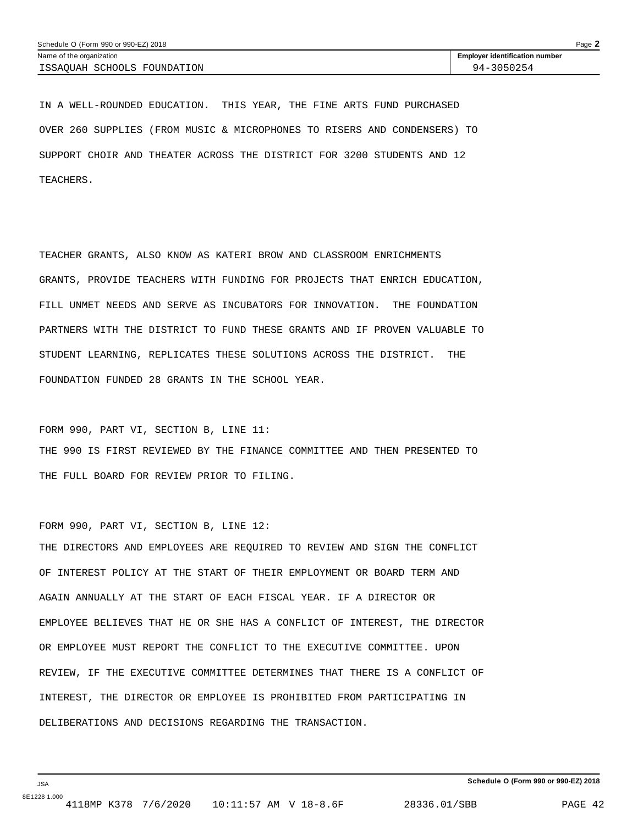IN A WELL-ROUNDED EDUCATION. THIS YEAR, THE FINE ARTS FUND PURCHASED OVER 260 SUPPLIES (FROM MUSIC & MICROPHONES TO RISERS AND CONDENSERS) TO SUPPORT CHOIR AND THEATER ACROSS THE DISTRICT FOR 3200 STUDENTS AND 12 TEACHERS.

TEACHER GRANTS, ALSO KNOW AS KATERI BROW AND CLASSROOM ENRICHMENTS GRANTS, PROVIDE TEACHERS WITH FUNDING FOR PROJECTS THAT ENRICH EDUCATION, FILL UNMET NEEDS AND SERVE AS INCUBATORS FOR INNOVATION. THE FOUNDATION PARTNERS WITH THE DISTRICT TO FUND THESE GRANTS AND IF PROVEN VALUABLE TO STUDENT LEARNING, REPLICATES THESE SOLUTIONS ACROSS THE DISTRICT. THE FOUNDATION FUNDED 28 GRANTS IN THE SCHOOL YEAR.

FORM 990, PART VI, SECTION B, LINE 11: THE 990 IS FIRST REVIEWED BY THE FINANCE COMMITTEE AND THEN PRESENTED TO THE FULL BOARD FOR REVIEW PRIOR TO FILING.

FORM 990, PART VI, SECTION B, LINE 12: THE DIRECTORS AND EMPLOYEES ARE REQUIRED TO REVIEW AND SIGN THE CONFLICT OF INTEREST POLICY AT THE START OF THEIR EMPLOYMENT OR BOARD TERM AND AGAIN ANNUALLY AT THE START OF EACH FISCAL YEAR. IF A DIRECTOR OR EMPLOYEE BELIEVES THAT HE OR SHE HAS A CONFLICT OF INTEREST, THE DIRECTOR OR EMPLOYEE MUST REPORT THE CONFLICT TO THE EXECUTIVE COMMITTEE. UPON REVIEW, IF THE EXECUTIVE COMMITTEE DETERMINES THAT THERE IS A CONFLICT OF INTEREST, THE DIRECTOR OR EMPLOYEE IS PROHIBITED FROM PARTICIPATING IN DELIBERATIONS AND DECISIONS REGARDING THE TRANSACTION.

JSA